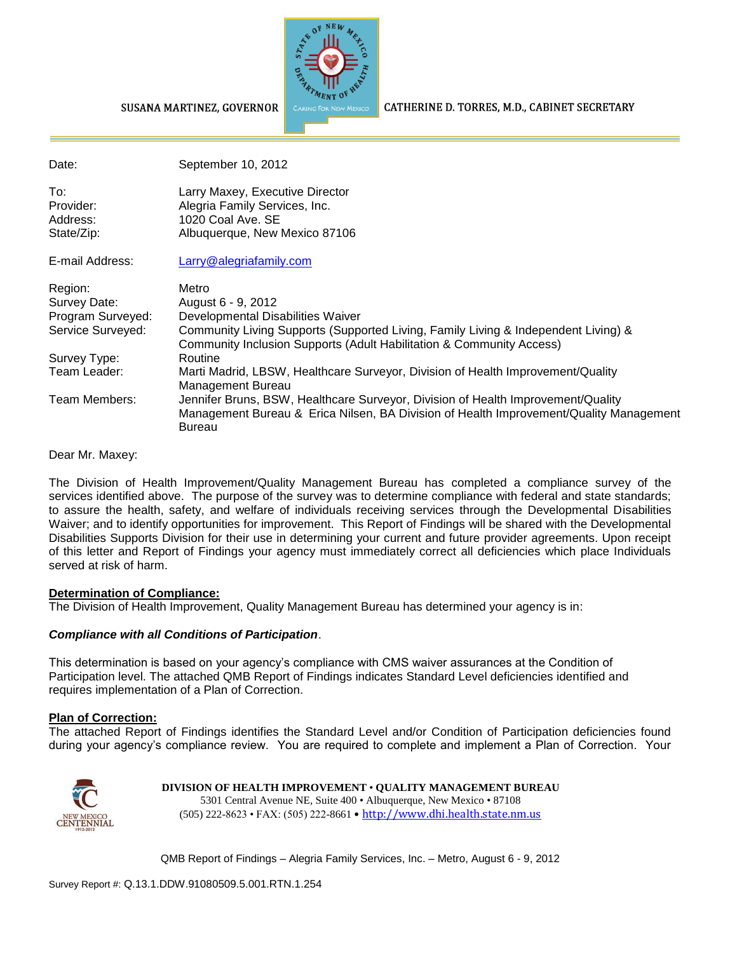

#### SUSANA MARTINEZ, GOVERNOR

CATHERINE D. TORRES, M.D., CABINET SECRETARY

| Date:                                      | September 10, 2012                                                                                                                                                                   |
|--------------------------------------------|--------------------------------------------------------------------------------------------------------------------------------------------------------------------------------------|
| To:<br>Provider:<br>Address:<br>State/Zip: | Larry Maxey, Executive Director<br>Alegria Family Services, Inc.<br>1020 Coal Ave. SE<br>Albuquerque, New Mexico 87106                                                               |
| E-mail Address:                            | Larry@alegriafamily.com                                                                                                                                                              |
| Region:<br>Survey Date:                    | Metro<br>August 6 - 9, 2012                                                                                                                                                          |
| Program Surveyed:                          | Developmental Disabilities Waiver                                                                                                                                                    |
| Service Surveyed:                          | Community Living Supports (Supported Living, Family Living & Independent Living) &<br>Community Inclusion Supports (Adult Habilitation & Community Access)                           |
| Survey Type:                               | Routine                                                                                                                                                                              |
| Team Leader:                               | Marti Madrid, LBSW, Healthcare Surveyor, Division of Health Improvement/Quality<br>Management Bureau                                                                                 |
| Team Members:                              | Jennifer Bruns, BSW, Healthcare Surveyor, Division of Health Improvement/Quality<br>Management Bureau & Erica Nilsen, BA Division of Health Improvement/Quality Management<br>Bureau |

#### Dear Mr. Maxey:

The Division of Health Improvement/Quality Management Bureau has completed a compliance survey of the services identified above. The purpose of the survey was to determine compliance with federal and state standards; to assure the health, safety, and welfare of individuals receiving services through the Developmental Disabilities Waiver; and to identify opportunities for improvement. This Report of Findings will be shared with the Developmental Disabilities Supports Division for their use in determining your current and future provider agreements. Upon receipt of this letter and Report of Findings your agency must immediately correct all deficiencies which place Individuals served at risk of harm.

#### **Determination of Compliance:**

The Division of Health Improvement, Quality Management Bureau has determined your agency is in:

#### *Compliance with all Conditions of Participation*.

This determination is based on your agency's compliance with CMS waiver assurances at the Condition of Participation level. The attached QMB Report of Findings indicates Standard Level deficiencies identified and requires implementation of a Plan of Correction.

#### **Plan of Correction:**

The attached Report of Findings identifies the Standard Level and/or Condition of Participation deficiencies found during your agency's compliance review. You are required to complete and implement a Plan of Correction. Your



#### **DIVISION OF HEALTH IMPROVEMENT** • **QUALITY MANAGEMENT BUREAU** 5301 Central Avenue NE, Suite 400 • Albuquerque, New Mexico • 87108 (505) 222-8623 • FAX: (505) 222-8661 • http://www.dhi.health.state.nm.us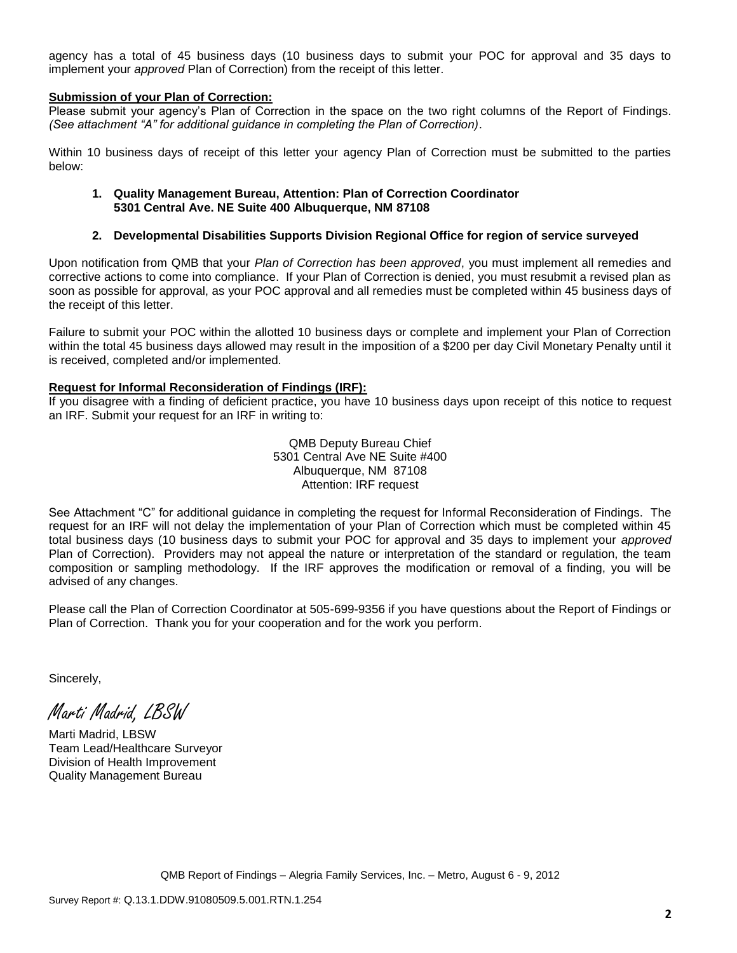agency has a total of 45 business days (10 business days to submit your POC for approval and 35 days to implement your *approved* Plan of Correction) from the receipt of this letter.

#### **Submission of your Plan of Correction:**

Please submit your agency's Plan of Correction in the space on the two right columns of the Report of Findings. *(See attachment "A" for additional guidance in completing the Plan of Correction)*.

Within 10 business days of receipt of this letter your agency Plan of Correction must be submitted to the parties below:

#### **1. Quality Management Bureau, Attention: Plan of Correction Coordinator 5301 Central Ave. NE Suite 400 Albuquerque, NM 87108**

#### **2. Developmental Disabilities Supports Division Regional Office for region of service surveyed**

Upon notification from QMB that your *Plan of Correction has been approved*, you must implement all remedies and corrective actions to come into compliance. If your Plan of Correction is denied, you must resubmit a revised plan as soon as possible for approval, as your POC approval and all remedies must be completed within 45 business days of the receipt of this letter.

Failure to submit your POC within the allotted 10 business days or complete and implement your Plan of Correction within the total 45 business days allowed may result in the imposition of a \$200 per day Civil Monetary Penalty until it is received, completed and/or implemented.

#### **Request for Informal Reconsideration of Findings (IRF):**

If you disagree with a finding of deficient practice, you have 10 business days upon receipt of this notice to request an IRF. Submit your request for an IRF in writing to:

> QMB Deputy Bureau Chief 5301 Central Ave NE Suite #400 Albuquerque, NM 87108 Attention: IRF request

See Attachment "C" for additional guidance in completing the request for Informal Reconsideration of Findings. The request for an IRF will not delay the implementation of your Plan of Correction which must be completed within 45 total business days (10 business days to submit your POC for approval and 35 days to implement your *approved* Plan of Correction). Providers may not appeal the nature or interpretation of the standard or regulation, the team composition or sampling methodology. If the IRF approves the modification or removal of a finding, you will be advised of any changes.

Please call the Plan of Correction Coordinator at 505-699-9356 if you have questions about the Report of Findings or Plan of Correction. Thank you for your cooperation and for the work you perform.

Sincerely,

Marti Madrid, LBSW

Marti Madrid, LBSW Team Lead/Healthcare Surveyor Division of Health Improvement Quality Management Bureau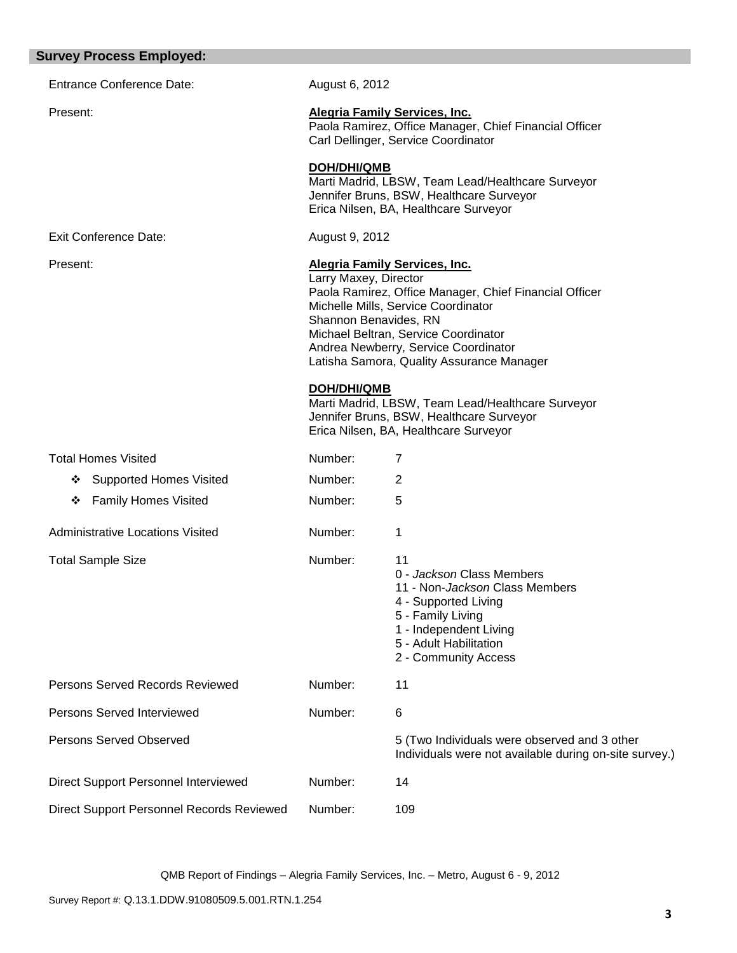| <b>Survey Process Employed:</b>           |                                                                                                                                                                                                                                                                                                               |                                                                                                                                                                                                    |
|-------------------------------------------|---------------------------------------------------------------------------------------------------------------------------------------------------------------------------------------------------------------------------------------------------------------------------------------------------------------|----------------------------------------------------------------------------------------------------------------------------------------------------------------------------------------------------|
| <b>Entrance Conference Date:</b>          | August 6, 2012                                                                                                                                                                                                                                                                                                |                                                                                                                                                                                                    |
| Present:                                  |                                                                                                                                                                                                                                                                                                               | <b>Alegria Family Services, Inc.</b><br>Paola Ramirez, Office Manager, Chief Financial Officer<br>Carl Dellinger, Service Coordinator                                                              |
|                                           | <b>DOH/DHI/QMB</b>                                                                                                                                                                                                                                                                                            | Marti Madrid, LBSW, Team Lead/Healthcare Surveyor<br>Jennifer Bruns, BSW, Healthcare Surveyor<br>Erica Nilsen, BA, Healthcare Surveyor                                                             |
| <b>Exit Conference Date:</b>              | August 9, 2012                                                                                                                                                                                                                                                                                                |                                                                                                                                                                                                    |
| Present:                                  | Alegria Family Services, Inc.<br>Larry Maxey, Director<br>Paola Ramirez, Office Manager, Chief Financial Officer<br>Michelle Mills, Service Coordinator<br>Shannon Benavides, RN<br>Michael Beltran, Service Coordinator<br>Andrea Newberry, Service Coordinator<br>Latisha Samora, Quality Assurance Manager |                                                                                                                                                                                                    |
|                                           | <b>DOH/DHI/QMB</b>                                                                                                                                                                                                                                                                                            | Marti Madrid, LBSW, Team Lead/Healthcare Surveyor<br>Jennifer Bruns, BSW, Healthcare Surveyor<br>Erica Nilsen, BA, Healthcare Surveyor                                                             |
| <b>Total Homes Visited</b>                | Number:                                                                                                                                                                                                                                                                                                       | 7                                                                                                                                                                                                  |
| <b>Supported Homes Visited</b><br>❖       | Number:                                                                                                                                                                                                                                                                                                       | 2                                                                                                                                                                                                  |
| <b>Family Homes Visited</b><br>❖          | Number:                                                                                                                                                                                                                                                                                                       | 5                                                                                                                                                                                                  |
| <b>Administrative Locations Visited</b>   | Number:                                                                                                                                                                                                                                                                                                       | 1                                                                                                                                                                                                  |
| <b>Total Sample Size</b>                  | Number:                                                                                                                                                                                                                                                                                                       | 11<br>0 - Jackson Class Members<br>11 - Non- <i>Jackson</i> Class Members<br>4 - Supported Living<br>5 - Family Living<br>1 - Independent Living<br>5 - Adult Habilitation<br>2 - Community Access |
| Persons Served Records Reviewed           | Number:                                                                                                                                                                                                                                                                                                       | 11                                                                                                                                                                                                 |
| Persons Served Interviewed                | Number:                                                                                                                                                                                                                                                                                                       | 6                                                                                                                                                                                                  |
| <b>Persons Served Observed</b>            |                                                                                                                                                                                                                                                                                                               | 5 (Two Individuals were observed and 3 other<br>Individuals were not available during on-site survey.)                                                                                             |
| Direct Support Personnel Interviewed      | Number:                                                                                                                                                                                                                                                                                                       | 14                                                                                                                                                                                                 |
| Direct Support Personnel Records Reviewed | Number:                                                                                                                                                                                                                                                                                                       | 109                                                                                                                                                                                                |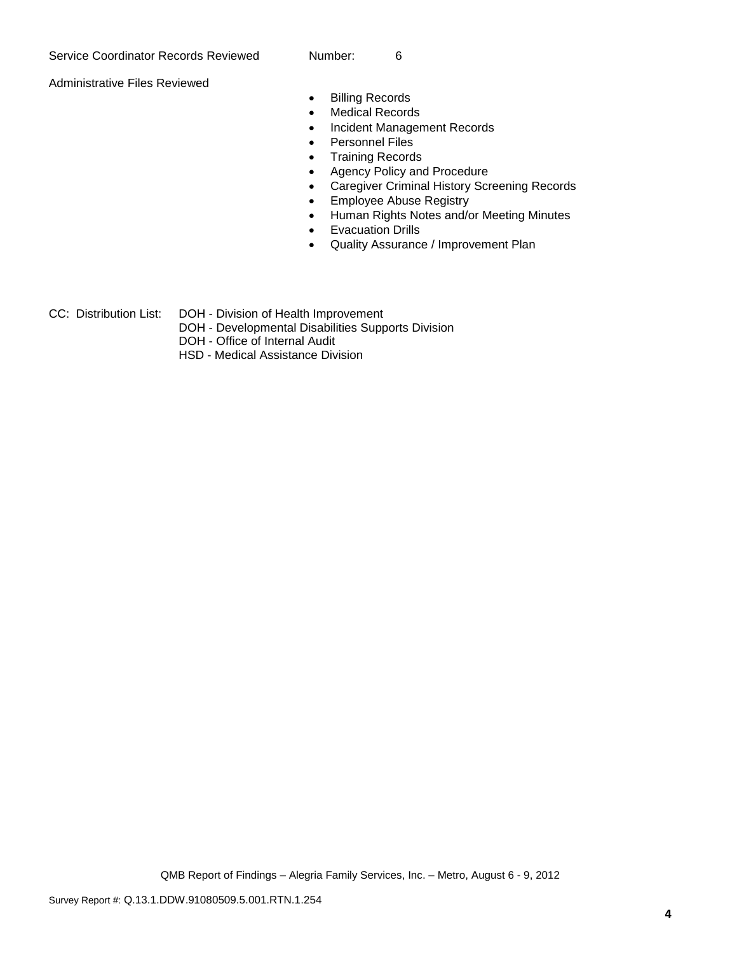Administrative Files Reviewed

- **•** Billing Records
- Medical Records
- Incident Management Records
- Personnel Files
- Training Records
- Agency Policy and Procedure
- Caregiver Criminal History Screening Records
- **•** Employee Abuse Registry
- Human Rights Notes and/or Meeting Minutes
- **•** Evacuation Drills
- Quality Assurance / Improvement Plan

CC: Distribution List: DOH - Division of Health Improvement

- DOH Developmental Disabilities Supports Division
- DOH Office of Internal Audit
- HSD Medical Assistance Division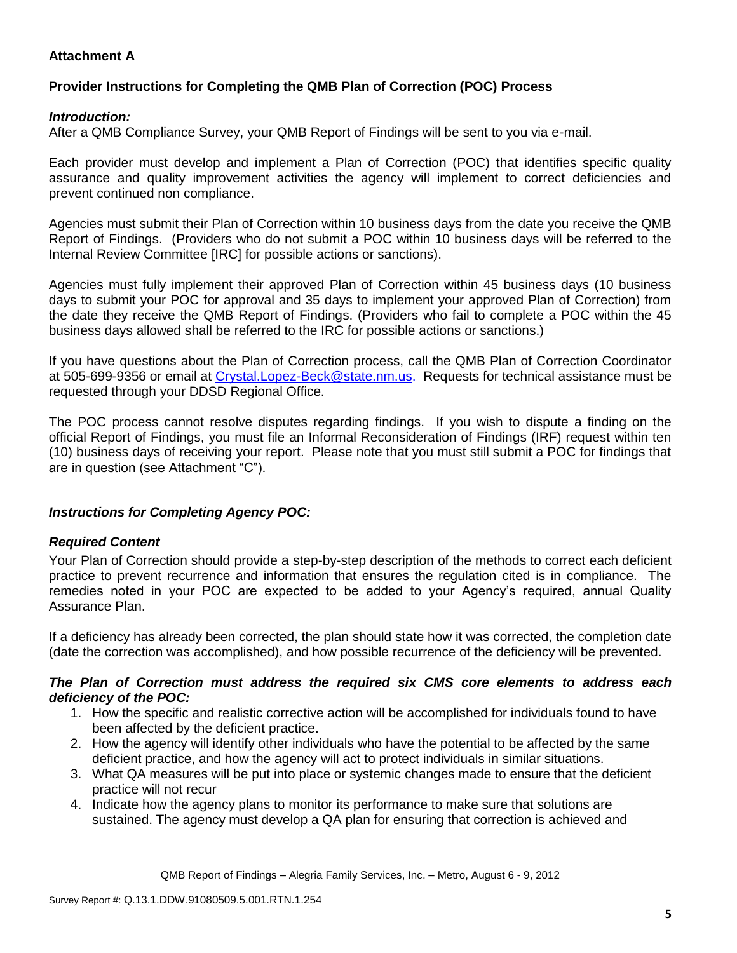# **Attachment A**

# **Provider Instructions for Completing the QMB Plan of Correction (POC) Process**

## *Introduction:*

After a QMB Compliance Survey, your QMB Report of Findings will be sent to you via e-mail.

Each provider must develop and implement a Plan of Correction (POC) that identifies specific quality assurance and quality improvement activities the agency will implement to correct deficiencies and prevent continued non compliance.

Agencies must submit their Plan of Correction within 10 business days from the date you receive the QMB Report of Findings. (Providers who do not submit a POC within 10 business days will be referred to the Internal Review Committee [IRC] for possible actions or sanctions).

Agencies must fully implement their approved Plan of Correction within 45 business days (10 business days to submit your POC for approval and 35 days to implement your approved Plan of Correction) from the date they receive the QMB Report of Findings. (Providers who fail to complete a POC within the 45 business days allowed shall be referred to the IRC for possible actions or sanctions.)

If you have questions about the Plan of Correction process, call the QMB Plan of Correction Coordinator at 505-699-9356 or email at Crystal.Lopez-Beck@state.nm.us. Requests for technical assistance must be requested through your DDSD Regional Office.

The POC process cannot resolve disputes regarding findings. If you wish to dispute a finding on the official Report of Findings, you must file an Informal Reconsideration of Findings (IRF) request within ten (10) business days of receiving your report. Please note that you must still submit a POC for findings that are in question (see Attachment "C").

## *Instructions for Completing Agency POC:*

## *Required Content*

Your Plan of Correction should provide a step-by-step description of the methods to correct each deficient practice to prevent recurrence and information that ensures the regulation cited is in compliance. The remedies noted in your POC are expected to be added to your Agency's required, annual Quality Assurance Plan.

If a deficiency has already been corrected, the plan should state how it was corrected, the completion date (date the correction was accomplished), and how possible recurrence of the deficiency will be prevented.

## *The Plan of Correction must address the required six CMS core elements to address each deficiency of the POC:*

- 1. How the specific and realistic corrective action will be accomplished for individuals found to have been affected by the deficient practice.
- 2. How the agency will identify other individuals who have the potential to be affected by the same deficient practice, and how the agency will act to protect individuals in similar situations.
- 3. What QA measures will be put into place or systemic changes made to ensure that the deficient practice will not recur
- 4. Indicate how the agency plans to monitor its performance to make sure that solutions are sustained. The agency must develop a QA plan for ensuring that correction is achieved and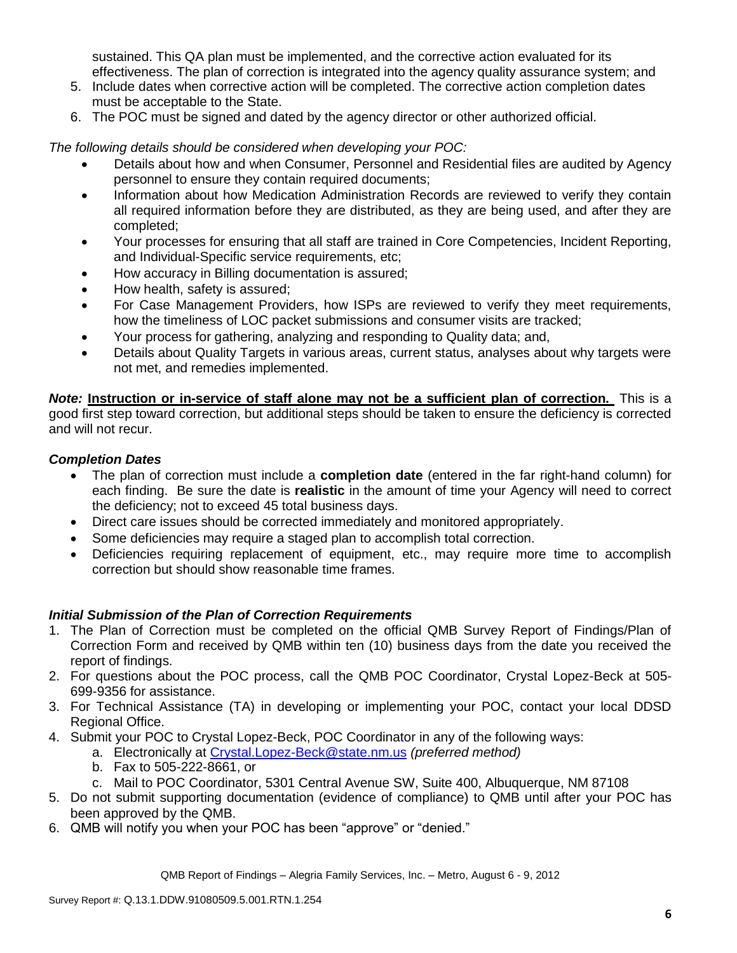sustained. This QA plan must be implemented, and the corrective action evaluated for its effectiveness. The plan of correction is integrated into the agency quality assurance system; and

- 5. Include dates when corrective action will be completed. The corrective action completion dates must be acceptable to the State.
- 6. The POC must be signed and dated by the agency director or other authorized official.

*The following details should be considered when developing your POC:*

- Details about how and when Consumer, Personnel and Residential files are audited by Agency personnel to ensure they contain required documents;
- Information about how Medication Administration Records are reviewed to verify they contain all required information before they are distributed, as they are being used, and after they are completed;
- Your processes for ensuring that all staff are trained in Core Competencies, Incident Reporting, and Individual-Specific service requirements, etc;
- How accuracy in Billing documentation is assured;
- How health, safety is assured;
- For Case Management Providers, how ISPs are reviewed to verify they meet requirements, how the timeliness of LOC packet submissions and consumer visits are tracked;
- Your process for gathering, analyzing and responding to Quality data; and,
- Details about Quality Targets in various areas, current status, analyses about why targets were not met, and remedies implemented.

*Note:* **Instruction or in-service of staff alone may not be a sufficient plan of correction.** This is a good first step toward correction, but additional steps should be taken to ensure the deficiency is corrected and will not recur.

## *Completion Dates*

- The plan of correction must include a **completion date** (entered in the far right-hand column) for each finding. Be sure the date is **realistic** in the amount of time your Agency will need to correct the deficiency; not to exceed 45 total business days.
- Direct care issues should be corrected immediately and monitored appropriately.
- Some deficiencies may require a staged plan to accomplish total correction.
- Deficiencies requiring replacement of equipment, etc., may require more time to accomplish correction but should show reasonable time frames.

## *Initial Submission of the Plan of Correction Requirements*

- 1. The Plan of Correction must be completed on the official QMB Survey Report of Findings/Plan of Correction Form and received by QMB within ten (10) business days from the date you received the report of findings.
- 2. For questions about the POC process, call the QMB POC Coordinator, Crystal Lopez-Beck at 505- 699-9356 for assistance.
- 3. For Technical Assistance (TA) in developing or implementing your POC, contact your local DDSD Regional Office.
- 4. Submit your POC to Crystal Lopez-Beck, POC Coordinator in any of the following ways:
	- a. Electronically at Crystal.Lopez-Beck@state.nm.us *(preferred method)*
	- b. Fax to 505-222-8661, or
	- c. Mail to POC Coordinator, 5301 Central Avenue SW, Suite 400, Albuquerque, NM 87108
- 5. Do not submit supporting documentation (evidence of compliance) to QMB until after your POC has been approved by the QMB.
- 6. QMB will notify you when your POC has been "approve" or "denied."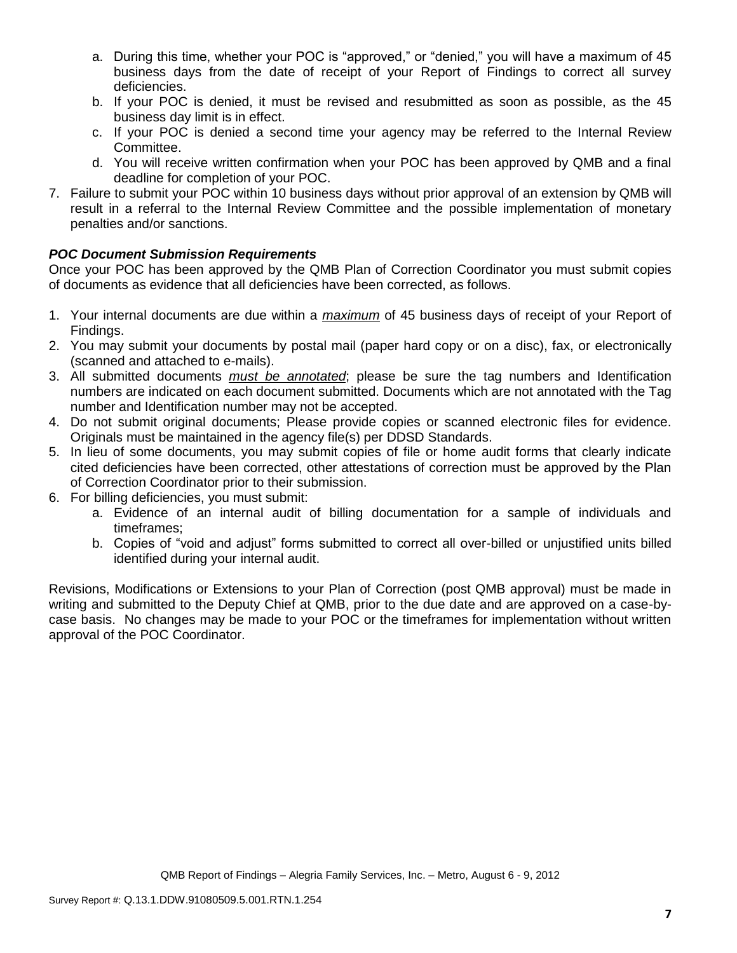- a. During this time, whether your POC is "approved," or "denied," you will have a maximum of 45 business days from the date of receipt of your Report of Findings to correct all survey deficiencies.
- b. If your POC is denied, it must be revised and resubmitted as soon as possible, as the 45 business day limit is in effect.
- c. If your POC is denied a second time your agency may be referred to the Internal Review Committee.
- d. You will receive written confirmation when your POC has been approved by QMB and a final deadline for completion of your POC.
- 7. Failure to submit your POC within 10 business days without prior approval of an extension by QMB will result in a referral to the Internal Review Committee and the possible implementation of monetary penalties and/or sanctions.

# *POC Document Submission Requirements*

Once your POC has been approved by the QMB Plan of Correction Coordinator you must submit copies of documents as evidence that all deficiencies have been corrected, as follows.

- 1. Your internal documents are due within a *maximum* of 45 business days of receipt of your Report of Findings.
- 2. You may submit your documents by postal mail (paper hard copy or on a disc), fax, or electronically (scanned and attached to e-mails).
- 3. All submitted documents *must be annotated*; please be sure the tag numbers and Identification numbers are indicated on each document submitted. Documents which are not annotated with the Tag number and Identification number may not be accepted.
- 4. Do not submit original documents; Please provide copies or scanned electronic files for evidence. Originals must be maintained in the agency file(s) per DDSD Standards.
- 5. In lieu of some documents, you may submit copies of file or home audit forms that clearly indicate cited deficiencies have been corrected, other attestations of correction must be approved by the Plan of Correction Coordinator prior to their submission.
- 6. For billing deficiencies, you must submit:
	- a. Evidence of an internal audit of billing documentation for a sample of individuals and timeframes;
	- b. Copies of "void and adjust" forms submitted to correct all over-billed or unjustified units billed identified during your internal audit.

Revisions, Modifications or Extensions to your Plan of Correction (post QMB approval) must be made in writing and submitted to the Deputy Chief at QMB, prior to the due date and are approved on a case-bycase basis. No changes may be made to your POC or the timeframes for implementation without written approval of the POC Coordinator.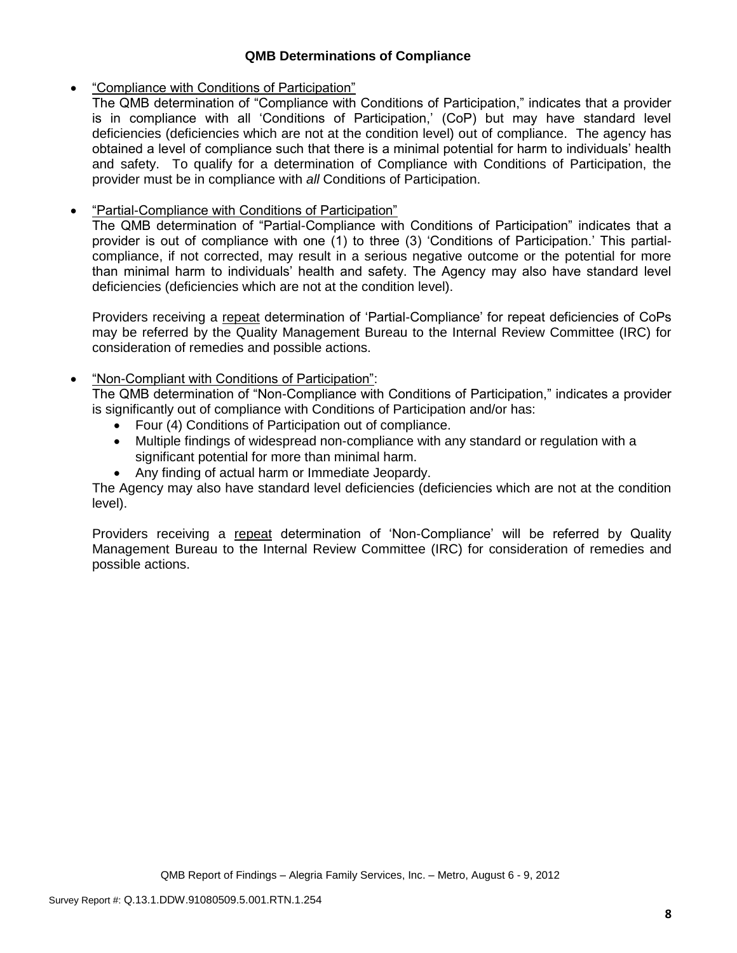## **QMB Determinations of Compliance**

## "Compliance with Conditions of Participation"

The QMB determination of "Compliance with Conditions of Participation," indicates that a provider is in compliance with all 'Conditions of Participation,' (CoP) but may have standard level deficiencies (deficiencies which are not at the condition level) out of compliance. The agency has obtained a level of compliance such that there is a minimal potential for harm to individuals' health and safety. To qualify for a determination of Compliance with Conditions of Participation, the provider must be in compliance with *all* Conditions of Participation.

# **•** "Partial-Compliance with Conditions of Participation"

The QMB determination of "Partial-Compliance with Conditions of Participation" indicates that a provider is out of compliance with one (1) to three (3) 'Conditions of Participation.' This partialcompliance, if not corrected, may result in a serious negative outcome or the potential for more than minimal harm to individuals' health and safety. The Agency may also have standard level deficiencies (deficiencies which are not at the condition level).

Providers receiving a repeat determination of 'Partial-Compliance' for repeat deficiencies of CoPs may be referred by the Quality Management Bureau to the Internal Review Committee (IRC) for consideration of remedies and possible actions.

# "Non-Compliant with Conditions of Participation":

The QMB determination of "Non-Compliance with Conditions of Participation," indicates a provider is significantly out of compliance with Conditions of Participation and/or has:

- Four (4) Conditions of Participation out of compliance.
- Multiple findings of widespread non-compliance with any standard or regulation with a significant potential for more than minimal harm.
- Any finding of actual harm or Immediate Jeopardy.

The Agency may also have standard level deficiencies (deficiencies which are not at the condition level).

Providers receiving a repeat determination of 'Non-Compliance' will be referred by Quality Management Bureau to the Internal Review Committee (IRC) for consideration of remedies and possible actions.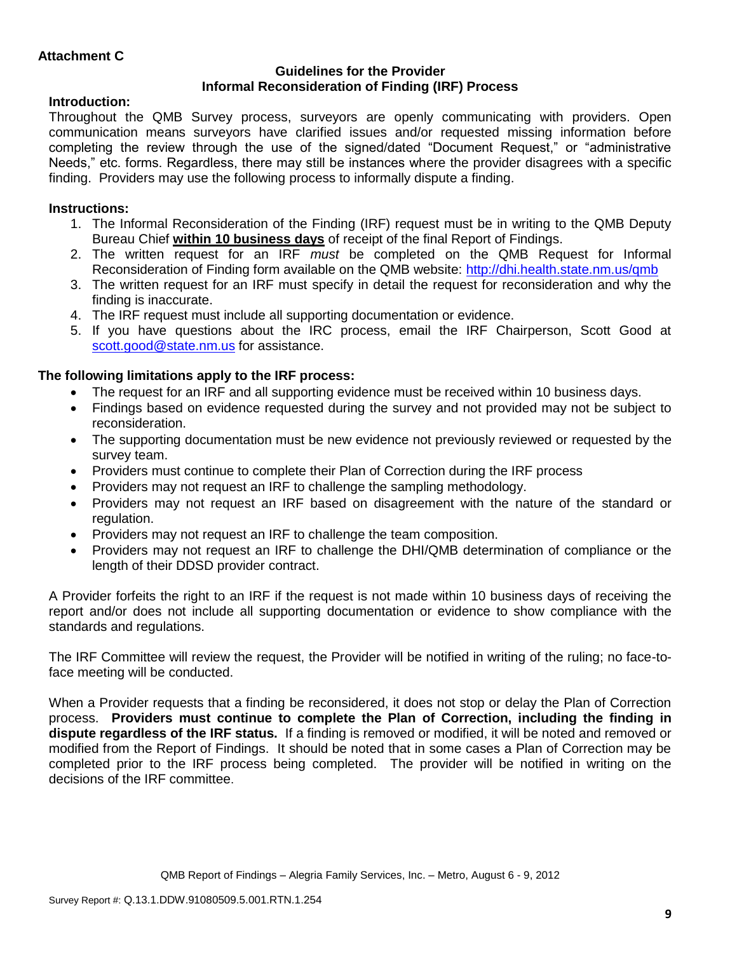## **Guidelines for the Provider Informal Reconsideration of Finding (IRF) Process**

# **Introduction:**

Throughout the QMB Survey process, surveyors are openly communicating with providers. Open communication means surveyors have clarified issues and/or requested missing information before completing the review through the use of the signed/dated "Document Request," or "administrative Needs," etc. forms. Regardless, there may still be instances where the provider disagrees with a specific finding. Providers may use the following process to informally dispute a finding.

# **Instructions:**

- 1. The Informal Reconsideration of the Finding (IRF) request must be in writing to the QMB Deputy Bureau Chief **within 10 business days** of receipt of the final Report of Findings.
- 2. The written request for an IRF *must* be completed on the QMB Request for Informal Reconsideration of Finding form available on the QMB website:<http://dhi.health.state.nm.us/qmb>
- 3. The written request for an IRF must specify in detail the request for reconsideration and why the finding is inaccurate.
- 4. The IRF request must include all supporting documentation or evidence.
- 5. If you have questions about the IRC process, email the IRF Chairperson, Scott Good at [scott.good@state.nm.us](mailto:scott.good@state.nm.us) for assistance.

# **The following limitations apply to the IRF process:**

- The request for an IRF and all supporting evidence must be received within 10 business days.
- Findings based on evidence requested during the survey and not provided may not be subject to reconsideration.
- The supporting documentation must be new evidence not previously reviewed or requested by the survey team.
- Providers must continue to complete their Plan of Correction during the IRF process
- Providers may not request an IRF to challenge the sampling methodology.
- Providers may not request an IRF based on disagreement with the nature of the standard or regulation.
- Providers may not request an IRF to challenge the team composition.
- Providers may not request an IRF to challenge the DHI/QMB determination of compliance or the length of their DDSD provider contract.

A Provider forfeits the right to an IRF if the request is not made within 10 business days of receiving the report and/or does not include all supporting documentation or evidence to show compliance with the standards and regulations.

The IRF Committee will review the request, the Provider will be notified in writing of the ruling; no face-toface meeting will be conducted.

When a Provider requests that a finding be reconsidered, it does not stop or delay the Plan of Correction process. **Providers must continue to complete the Plan of Correction, including the finding in dispute regardless of the IRF status.** If a finding is removed or modified, it will be noted and removed or modified from the Report of Findings. It should be noted that in some cases a Plan of Correction may be completed prior to the IRF process being completed. The provider will be notified in writing on the decisions of the IRF committee.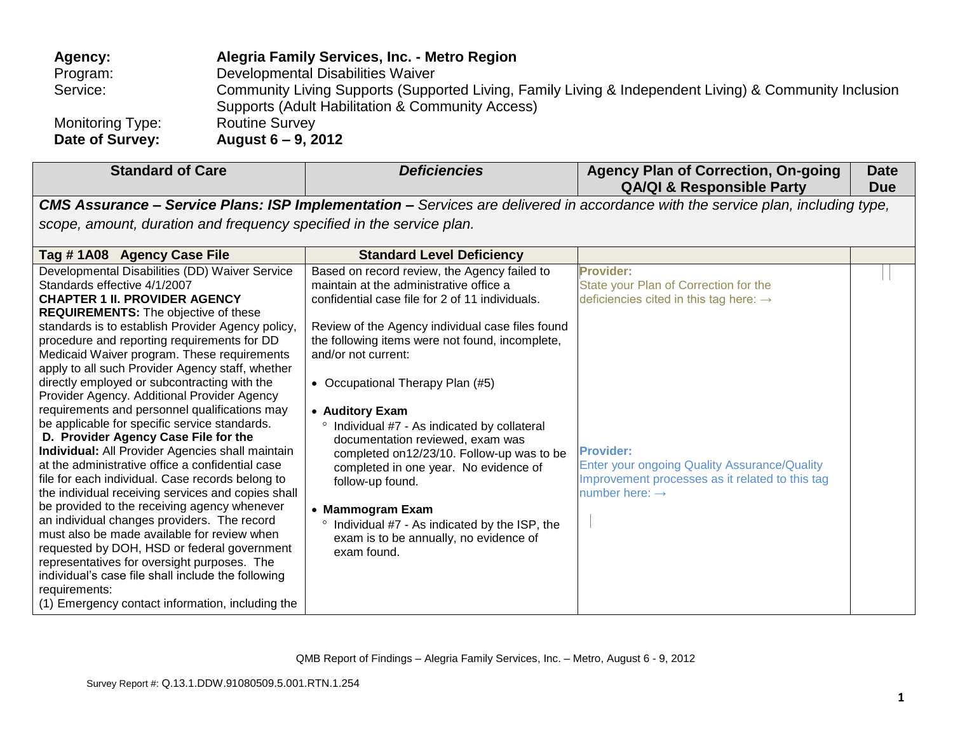| Agency:                 | Alegria Family Services, Inc. - Metro Region                                                           |
|-------------------------|--------------------------------------------------------------------------------------------------------|
| Program:                | Developmental Disabilities Waiver                                                                      |
| Service:                | Community Living Supports (Supported Living, Family Living & Independent Living) & Community Inclusion |
|                         | Supports (Adult Habilitation & Community Access)                                                       |
| <b>Monitoring Type:</b> | <b>Routine Survey</b>                                                                                  |
| Date of Survey:         | August $6 - 9$ , 2012                                                                                  |

| <b>Standard of Care</b>                                                                                                                                                                                                                                                                                                                                                                                                                                                                                                                                                                                                                                                                                                                                                                                                                                                                                                                                                                                                                                                                                                                                                                                               | <b>Deficiencies</b>                                                                                                                                                                                                                                                                                                                                                                                                                                                                                                                                                                                                                                       | <b>Agency Plan of Correction, On-going</b><br><b>QA/QI &amp; Responsible Party</b>                                                                                                                                                                                          | <b>Date</b><br><b>Due</b> |
|-----------------------------------------------------------------------------------------------------------------------------------------------------------------------------------------------------------------------------------------------------------------------------------------------------------------------------------------------------------------------------------------------------------------------------------------------------------------------------------------------------------------------------------------------------------------------------------------------------------------------------------------------------------------------------------------------------------------------------------------------------------------------------------------------------------------------------------------------------------------------------------------------------------------------------------------------------------------------------------------------------------------------------------------------------------------------------------------------------------------------------------------------------------------------------------------------------------------------|-----------------------------------------------------------------------------------------------------------------------------------------------------------------------------------------------------------------------------------------------------------------------------------------------------------------------------------------------------------------------------------------------------------------------------------------------------------------------------------------------------------------------------------------------------------------------------------------------------------------------------------------------------------|-----------------------------------------------------------------------------------------------------------------------------------------------------------------------------------------------------------------------------------------------------------------------------|---------------------------|
|                                                                                                                                                                                                                                                                                                                                                                                                                                                                                                                                                                                                                                                                                                                                                                                                                                                                                                                                                                                                                                                                                                                                                                                                                       |                                                                                                                                                                                                                                                                                                                                                                                                                                                                                                                                                                                                                                                           | <b>CMS Assurance – Service Plans: ISP Implementation –</b> Services are delivered in accordance with the service plan, including type,                                                                                                                                      |                           |
| scope, amount, duration and frequency specified in the service plan.                                                                                                                                                                                                                                                                                                                                                                                                                                                                                                                                                                                                                                                                                                                                                                                                                                                                                                                                                                                                                                                                                                                                                  |                                                                                                                                                                                                                                                                                                                                                                                                                                                                                                                                                                                                                                                           |                                                                                                                                                                                                                                                                             |                           |
| Tag #1A08 Agency Case File                                                                                                                                                                                                                                                                                                                                                                                                                                                                                                                                                                                                                                                                                                                                                                                                                                                                                                                                                                                                                                                                                                                                                                                            | <b>Standard Level Deficiency</b>                                                                                                                                                                                                                                                                                                                                                                                                                                                                                                                                                                                                                          |                                                                                                                                                                                                                                                                             |                           |
| Developmental Disabilities (DD) Waiver Service<br>Standards effective 4/1/2007<br><b>CHAPTER 1 II. PROVIDER AGENCY</b><br><b>REQUIREMENTS:</b> The objective of these<br>standards is to establish Provider Agency policy,<br>procedure and reporting requirements for DD<br>Medicaid Waiver program. These requirements<br>apply to all such Provider Agency staff, whether<br>directly employed or subcontracting with the<br>Provider Agency. Additional Provider Agency<br>requirements and personnel qualifications may<br>be applicable for specific service standards.<br>D. Provider Agency Case File for the<br><b>Individual:</b> All Provider Agencies shall maintain<br>at the administrative office a confidential case<br>file for each individual. Case records belong to<br>the individual receiving services and copies shall<br>be provided to the receiving agency whenever<br>an individual changes providers. The record<br>must also be made available for review when<br>requested by DOH, HSD or federal government<br>representatives for oversight purposes. The<br>individual's case file shall include the following<br>requirements:<br>(1) Emergency contact information, including the | Based on record review, the Agency failed to<br>maintain at the administrative office a<br>confidential case file for 2 of 11 individuals.<br>Review of the Agency individual case files found<br>the following items were not found, incomplete,<br>and/or not current:<br>• Occupational Therapy Plan (#5)<br>• Auditory Exam<br>Individual #7 - As indicated by collateral<br>documentation reviewed, exam was<br>completed on 12/23/10. Follow-up was to be<br>completed in one year. No evidence of<br>follow-up found.<br>• Mammogram Exam<br>Individual #7 - As indicated by the ISP, the<br>exam is to be annually, no evidence of<br>exam found. | <b>Provider:</b><br>State your Plan of Correction for the<br>deficiencies cited in this tag here: $\rightarrow$<br><b>Provider:</b><br><b>Enter your ongoing Quality Assurance/Quality</b><br>Improvement processes as it related to this tag<br>number here: $\rightarrow$ |                           |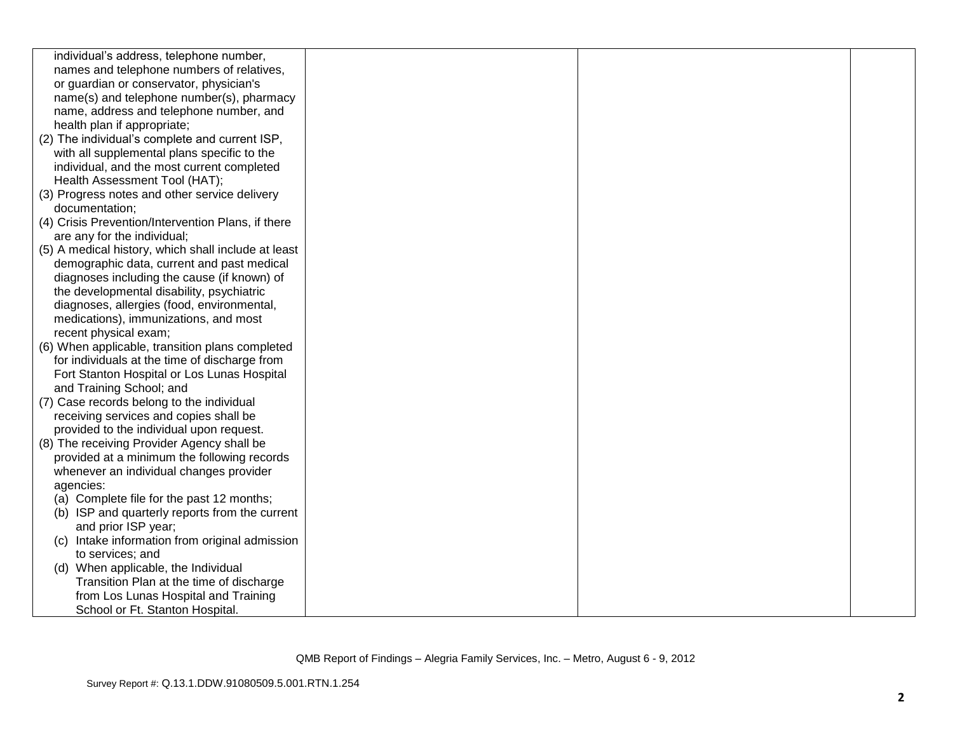| individual's address, telephone number,             |  |  |
|-----------------------------------------------------|--|--|
| names and telephone numbers of relatives,           |  |  |
|                                                     |  |  |
| or guardian or conservator, physician's             |  |  |
| name(s) and telephone number(s), pharmacy           |  |  |
| name, address and telephone number, and             |  |  |
| health plan if appropriate;                         |  |  |
| (2) The individual's complete and current ISP,      |  |  |
| with all supplemental plans specific to the         |  |  |
| individual, and the most current completed          |  |  |
| Health Assessment Tool (HAT);                       |  |  |
| (3) Progress notes and other service delivery       |  |  |
| documentation;                                      |  |  |
| (4) Crisis Prevention/Intervention Plans, if there  |  |  |
| are any for the individual;                         |  |  |
| (5) A medical history, which shall include at least |  |  |
| demographic data, current and past medical          |  |  |
| diagnoses including the cause (if known) of         |  |  |
| the developmental disability, psychiatric           |  |  |
| diagnoses, allergies (food, environmental,          |  |  |
| medications), immunizations, and most               |  |  |
| recent physical exam;                               |  |  |
| (6) When applicable, transition plans completed     |  |  |
| for individuals at the time of discharge from       |  |  |
| Fort Stanton Hospital or Los Lunas Hospital         |  |  |
| and Training School; and                            |  |  |
| (7) Case records belong to the individual           |  |  |
| receiving services and copies shall be              |  |  |
| provided to the individual upon request.            |  |  |
| (8) The receiving Provider Agency shall be          |  |  |
| provided at a minimum the following records         |  |  |
| whenever an individual changes provider             |  |  |
| agencies:                                           |  |  |
| (a) Complete file for the past 12 months;           |  |  |
| (b) ISP and quarterly reports from the current      |  |  |
| and prior ISP year;                                 |  |  |
| (c) Intake information from original admission      |  |  |
| to services; and                                    |  |  |
| (d) When applicable, the Individual                 |  |  |
| Transition Plan at the time of discharge            |  |  |
| from Los Lunas Hospital and Training                |  |  |
| School or Ft. Stanton Hospital.                     |  |  |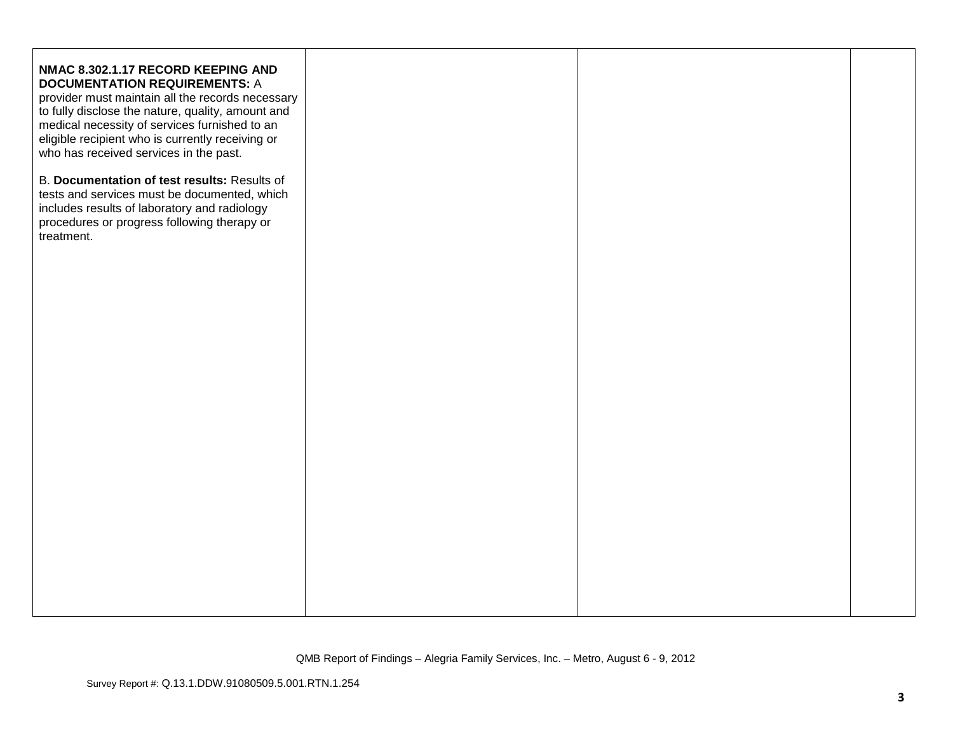| NMAC 8.302.1.17 RECORD KEEPING AND<br><b>DOCUMENTATION REQUIREMENTS: A</b><br>provider must maintain all the records necessary<br>to fully disclose the nature, quality, amount and<br>medical necessity of services furnished to an<br>eligible recipient who is currently receiving or<br>who has received services in the past.<br>B. Documentation of test results: Results of<br>tests and services must be documented, which<br>includes results of laboratory and radiology<br>procedures or progress following therapy or<br>treatment. |  |  |
|-------------------------------------------------------------------------------------------------------------------------------------------------------------------------------------------------------------------------------------------------------------------------------------------------------------------------------------------------------------------------------------------------------------------------------------------------------------------------------------------------------------------------------------------------|--|--|
|                                                                                                                                                                                                                                                                                                                                                                                                                                                                                                                                                 |  |  |
|                                                                                                                                                                                                                                                                                                                                                                                                                                                                                                                                                 |  |  |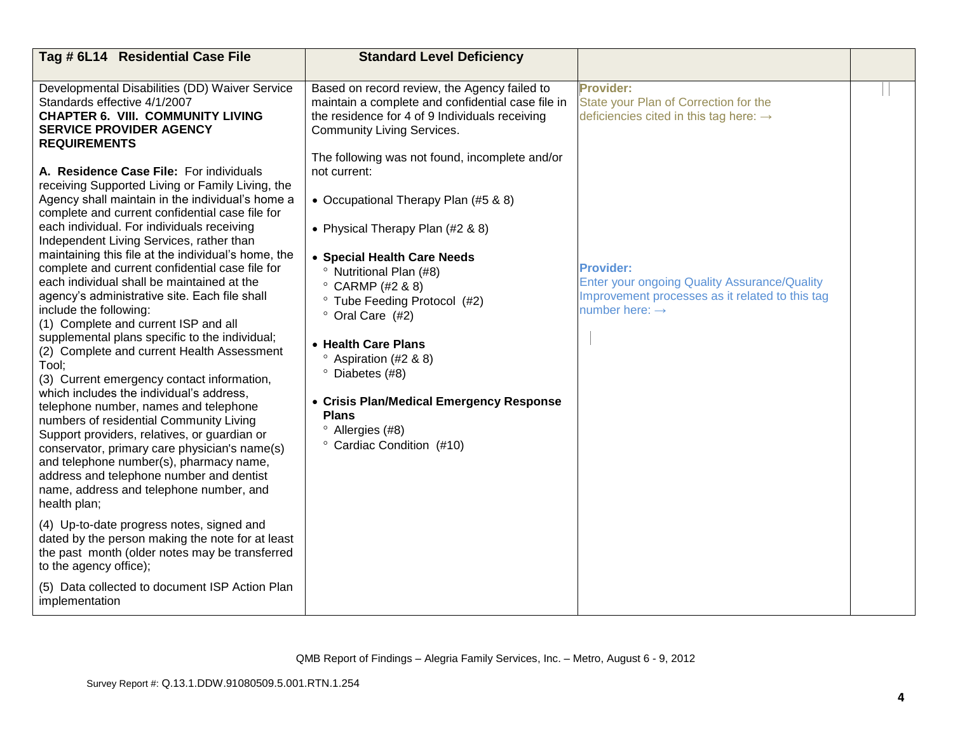| Tag # 6L14 Residential Case File                                                                                                                                                                                                                                                                                                                                                                                                                                                                                                                                                                                                                                                                                                                                                                                                                                                                                                                                                                                                                                                                                                                                                                                                                                                                                                                 | <b>Standard Level Deficiency</b>                                                                                                                                                                                                                                                                                                                                                                                                                                                                   |                                                                                                                                                          |  |
|--------------------------------------------------------------------------------------------------------------------------------------------------------------------------------------------------------------------------------------------------------------------------------------------------------------------------------------------------------------------------------------------------------------------------------------------------------------------------------------------------------------------------------------------------------------------------------------------------------------------------------------------------------------------------------------------------------------------------------------------------------------------------------------------------------------------------------------------------------------------------------------------------------------------------------------------------------------------------------------------------------------------------------------------------------------------------------------------------------------------------------------------------------------------------------------------------------------------------------------------------------------------------------------------------------------------------------------------------|----------------------------------------------------------------------------------------------------------------------------------------------------------------------------------------------------------------------------------------------------------------------------------------------------------------------------------------------------------------------------------------------------------------------------------------------------------------------------------------------------|----------------------------------------------------------------------------------------------------------------------------------------------------------|--|
|                                                                                                                                                                                                                                                                                                                                                                                                                                                                                                                                                                                                                                                                                                                                                                                                                                                                                                                                                                                                                                                                                                                                                                                                                                                                                                                                                  |                                                                                                                                                                                                                                                                                                                                                                                                                                                                                                    |                                                                                                                                                          |  |
| Developmental Disabilities (DD) Waiver Service<br>Standards effective 4/1/2007<br><b>CHAPTER 6. VIII. COMMUNITY LIVING</b><br><b>SERVICE PROVIDER AGENCY</b><br><b>REQUIREMENTS</b>                                                                                                                                                                                                                                                                                                                                                                                                                                                                                                                                                                                                                                                                                                                                                                                                                                                                                                                                                                                                                                                                                                                                                              | Based on record review, the Agency failed to<br>maintain a complete and confidential case file in<br>the residence for 4 of 9 Individuals receiving<br><b>Community Living Services.</b>                                                                                                                                                                                                                                                                                                           | <b>Provider:</b><br>State your Plan of Correction for the<br>deficiencies cited in this tag here: $\rightarrow$                                          |  |
| A. Residence Case File: For individuals<br>receiving Supported Living or Family Living, the<br>Agency shall maintain in the individual's home a<br>complete and current confidential case file for<br>each individual. For individuals receiving<br>Independent Living Services, rather than<br>maintaining this file at the individual's home, the<br>complete and current confidential case file for<br>each individual shall be maintained at the<br>agency's administrative site. Each file shall<br>include the following:<br>(1) Complete and current ISP and all<br>supplemental plans specific to the individual;<br>(2) Complete and current Health Assessment<br>Tool;<br>(3) Current emergency contact information,<br>which includes the individual's address.<br>telephone number, names and telephone<br>numbers of residential Community Living<br>Support providers, relatives, or guardian or<br>conservator, primary care physician's name(s)<br>and telephone number(s), pharmacy name,<br>address and telephone number and dentist<br>name, address and telephone number, and<br>health plan;<br>(4) Up-to-date progress notes, signed and<br>dated by the person making the note for at least<br>the past month (older notes may be transferred<br>to the agency office);<br>(5) Data collected to document ISP Action Plan | The following was not found, incomplete and/or<br>not current:<br>• Occupational Therapy Plan (#5 & 8)<br>• Physical Therapy Plan (#2 & 8)<br>• Special Health Care Needs<br><sup>o</sup> Nutritional Plan (#8)<br>$\degree$ CARMP (#2 & 8)<br>° Tube Feeding Protocol (#2)<br>° Oral Care (#2)<br>• Health Care Plans<br>$\degree$ Aspiration (#2 & 8)<br>° Diabetes (#8)<br>• Crisis Plan/Medical Emergency Response<br><b>Plans</b><br><sup>o</sup> Allergies (#8)<br>° Cardiac Condition (#10) | <b>Provider:</b><br><b>Enter your ongoing Quality Assurance/Quality</b><br>Improvement processes as it related to this tag<br>number here: $\rightarrow$ |  |
| implementation                                                                                                                                                                                                                                                                                                                                                                                                                                                                                                                                                                                                                                                                                                                                                                                                                                                                                                                                                                                                                                                                                                                                                                                                                                                                                                                                   |                                                                                                                                                                                                                                                                                                                                                                                                                                                                                                    |                                                                                                                                                          |  |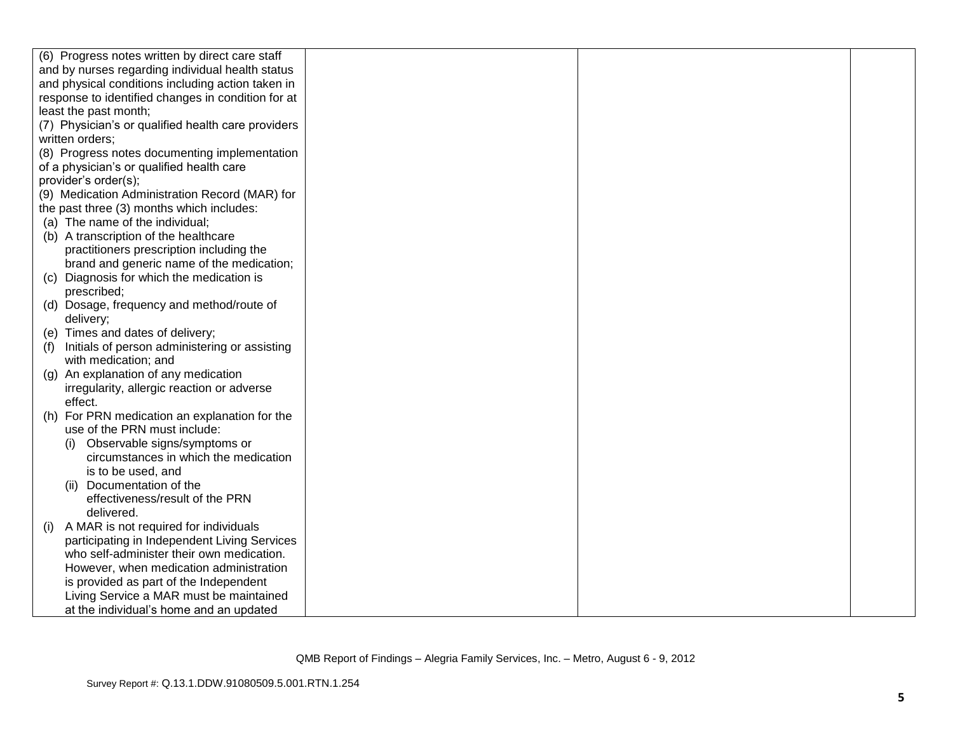|     | (6) Progress notes written by direct care staff    |  |  |
|-----|----------------------------------------------------|--|--|
|     | and by nurses regarding individual health status   |  |  |
|     | and physical conditions including action taken in  |  |  |
|     | response to identified changes in condition for at |  |  |
|     | least the past month;                              |  |  |
|     | (7) Physician's or qualified health care providers |  |  |
|     | written orders;                                    |  |  |
|     | (8) Progress notes documenting implementation      |  |  |
|     | of a physician's or qualified health care          |  |  |
|     | provider's order(s);                               |  |  |
|     | (9) Medication Administration Record (MAR) for     |  |  |
|     | the past three (3) months which includes:          |  |  |
|     | (a) The name of the individual;                    |  |  |
|     | (b) A transcription of the healthcare              |  |  |
|     | practitioners prescription including the           |  |  |
|     | brand and generic name of the medication;          |  |  |
|     | (c) Diagnosis for which the medication is          |  |  |
|     | prescribed;                                        |  |  |
|     | (d) Dosage, frequency and method/route of          |  |  |
|     | delivery;                                          |  |  |
|     | (e) Times and dates of delivery;                   |  |  |
| (f) | Initials of person administering or assisting      |  |  |
|     | with medication; and                               |  |  |
|     | (g) An explanation of any medication               |  |  |
|     | irregularity, allergic reaction or adverse         |  |  |
|     | effect.                                            |  |  |
|     | (h) For PRN medication an explanation for the      |  |  |
|     | use of the PRN must include:                       |  |  |
|     | Observable signs/symptoms or                       |  |  |
|     | circumstances in which the medication              |  |  |
|     | is to be used, and                                 |  |  |
|     | (ii) Documentation of the                          |  |  |
|     | effectiveness/result of the PRN                    |  |  |
|     | delivered.                                         |  |  |
| (i) | A MAR is not required for individuals              |  |  |
|     | participating in Independent Living Services       |  |  |
|     | who self-administer their own medication.          |  |  |
|     | However, when medication administration            |  |  |
|     | is provided as part of the Independent             |  |  |
|     | Living Service a MAR must be maintained            |  |  |
|     | at the individual's home and an updated            |  |  |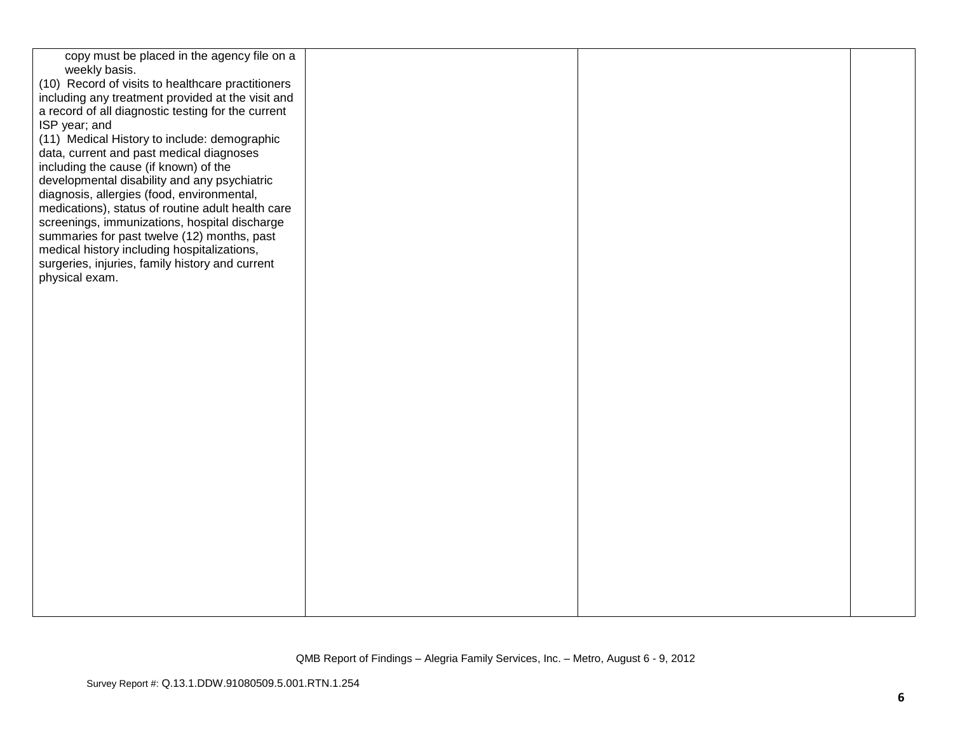| copy must be placed in the agency file on a        |  |  |
|----------------------------------------------------|--|--|
| weekly basis.                                      |  |  |
| (10) Record of visits to healthcare practitioners  |  |  |
| including any treatment provided at the visit and  |  |  |
| a record of all diagnostic testing for the current |  |  |
| ISP year; and                                      |  |  |
| (11) Medical History to include: demographic       |  |  |
| data, current and past medical diagnoses           |  |  |
| including the cause (if known) of the              |  |  |
| developmental disability and any psychiatric       |  |  |
| diagnosis, allergies (food, environmental,         |  |  |
| medications), status of routine adult health care  |  |  |
| screenings, immunizations, hospital discharge      |  |  |
| summaries for past twelve (12) months, past        |  |  |
| medical history including hospitalizations,        |  |  |
| surgeries, injuries, family history and current    |  |  |
| physical exam.                                     |  |  |
|                                                    |  |  |
|                                                    |  |  |
|                                                    |  |  |
|                                                    |  |  |
|                                                    |  |  |
|                                                    |  |  |
|                                                    |  |  |
|                                                    |  |  |
|                                                    |  |  |
|                                                    |  |  |
|                                                    |  |  |
|                                                    |  |  |
|                                                    |  |  |
|                                                    |  |  |
|                                                    |  |  |
|                                                    |  |  |
|                                                    |  |  |
|                                                    |  |  |
|                                                    |  |  |
|                                                    |  |  |
|                                                    |  |  |
|                                                    |  |  |
|                                                    |  |  |
|                                                    |  |  |
|                                                    |  |  |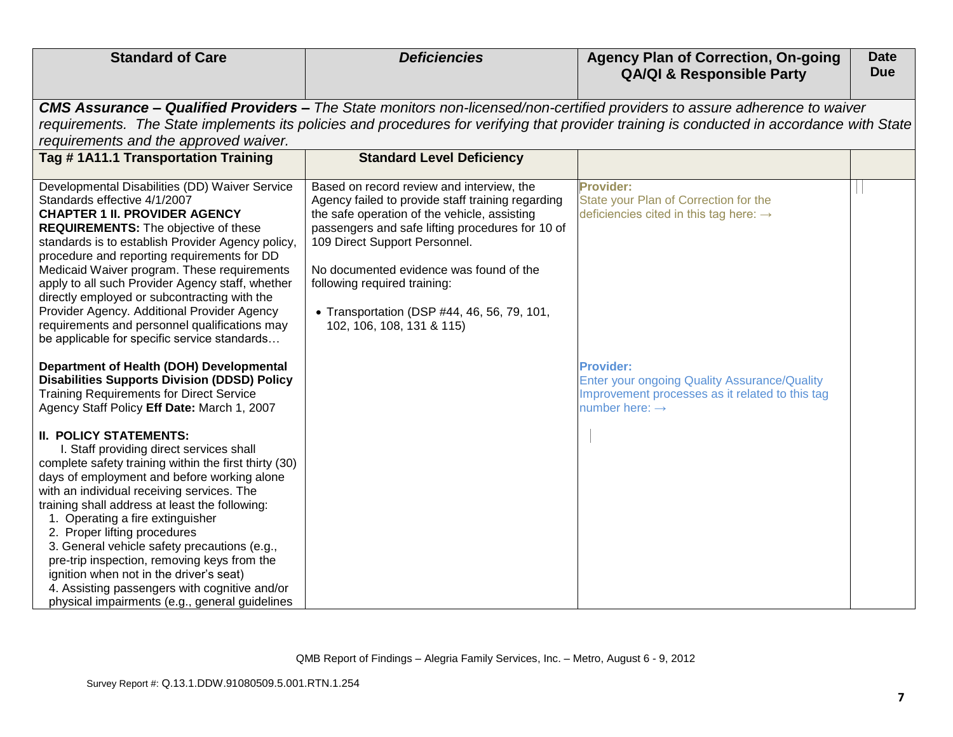| <b>Standard of Care</b>                                                                                                                                                                                                                                                                                                                                                                                                                                                                                                                                                                            | <b>Deficiencies</b>                                                                                                                                                                                                                                                                                                                                                                        | <b>Agency Plan of Correction, On-going</b><br><b>QA/QI &amp; Responsible Party</b>                                                                                                                                                                                       | <b>Date</b><br><b>Due</b> |
|----------------------------------------------------------------------------------------------------------------------------------------------------------------------------------------------------------------------------------------------------------------------------------------------------------------------------------------------------------------------------------------------------------------------------------------------------------------------------------------------------------------------------------------------------------------------------------------------------|--------------------------------------------------------------------------------------------------------------------------------------------------------------------------------------------------------------------------------------------------------------------------------------------------------------------------------------------------------------------------------------------|--------------------------------------------------------------------------------------------------------------------------------------------------------------------------------------------------------------------------------------------------------------------------|---------------------------|
|                                                                                                                                                                                                                                                                                                                                                                                                                                                                                                                                                                                                    |                                                                                                                                                                                                                                                                                                                                                                                            |                                                                                                                                                                                                                                                                          |                           |
|                                                                                                                                                                                                                                                                                                                                                                                                                                                                                                                                                                                                    |                                                                                                                                                                                                                                                                                                                                                                                            | CMS Assurance - Qualified Providers - The State monitors non-licensed/non-certified providers to assure adherence to waiver<br>requirements. The State implements its policies and procedures for verifying that provider training is conducted in accordance with State |                           |
| requirements and the approved waiver.                                                                                                                                                                                                                                                                                                                                                                                                                                                                                                                                                              |                                                                                                                                                                                                                                                                                                                                                                                            |                                                                                                                                                                                                                                                                          |                           |
| Tag #1A11.1 Transportation Training                                                                                                                                                                                                                                                                                                                                                                                                                                                                                                                                                                | <b>Standard Level Deficiency</b>                                                                                                                                                                                                                                                                                                                                                           |                                                                                                                                                                                                                                                                          |                           |
| Developmental Disabilities (DD) Waiver Service<br>Standards effective 4/1/2007<br><b>CHAPTER 1 II. PROVIDER AGENCY</b><br><b>REQUIREMENTS:</b> The objective of these<br>standards is to establish Provider Agency policy,<br>procedure and reporting requirements for DD<br>Medicaid Waiver program. These requirements<br>apply to all such Provider Agency staff, whether<br>directly employed or subcontracting with the<br>Provider Agency. Additional Provider Agency<br>requirements and personnel qualifications may<br>be applicable for specific service standards                       | Based on record review and interview, the<br>Agency failed to provide staff training regarding<br>the safe operation of the vehicle, assisting<br>passengers and safe lifting procedures for 10 of<br>109 Direct Support Personnel.<br>No documented evidence was found of the<br>following required training:<br>• Transportation (DSP #44, 46, 56, 79, 101,<br>102, 106, 108, 131 & 115) | <b>Provider:</b><br>State your Plan of Correction for the<br>deficiencies cited in this tag here: $\rightarrow$                                                                                                                                                          |                           |
| Department of Health (DOH) Developmental<br><b>Disabilities Supports Division (DDSD) Policy</b><br><b>Training Requirements for Direct Service</b><br>Agency Staff Policy Eff Date: March 1, 2007                                                                                                                                                                                                                                                                                                                                                                                                  |                                                                                                                                                                                                                                                                                                                                                                                            | <b>Provider:</b><br><b>Enter your ongoing Quality Assurance/Quality</b><br>Improvement processes as it related to this tag<br>number here: $\rightarrow$                                                                                                                 |                           |
| <b>II. POLICY STATEMENTS:</b><br>I. Staff providing direct services shall<br>complete safety training within the first thirty (30)<br>days of employment and before working alone<br>with an individual receiving services. The<br>training shall address at least the following:<br>1. Operating a fire extinguisher<br>2. Proper lifting procedures<br>3. General vehicle safety precautions (e.g.,<br>pre-trip inspection, removing keys from the<br>ignition when not in the driver's seat)<br>4. Assisting passengers with cognitive and/or<br>physical impairments (e.g., general guidelines |                                                                                                                                                                                                                                                                                                                                                                                            |                                                                                                                                                                                                                                                                          |                           |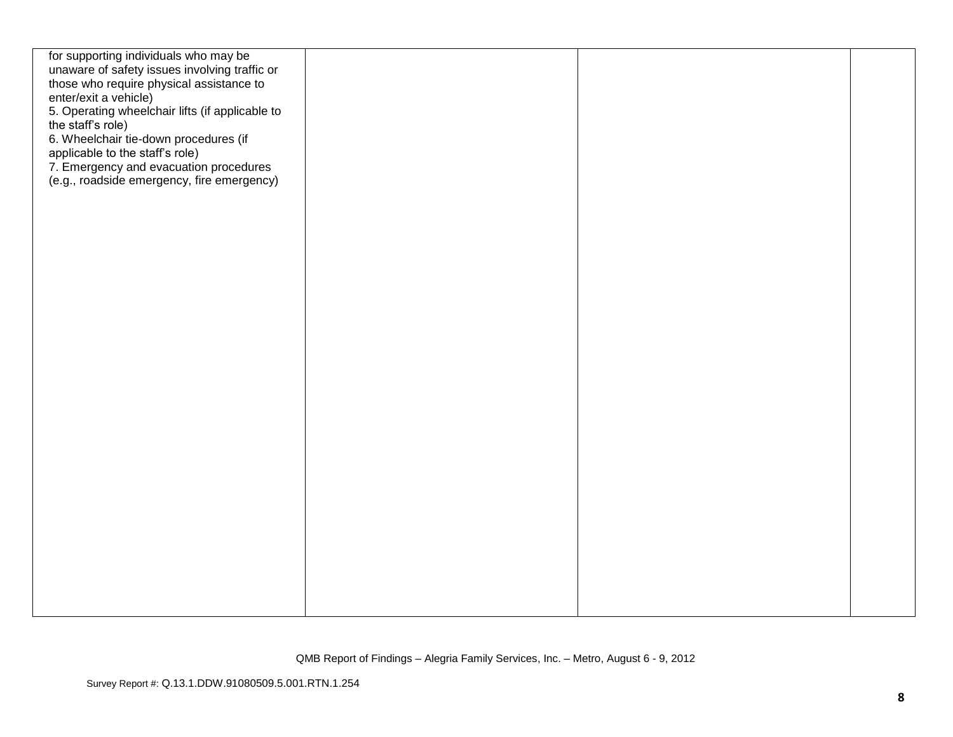| for supporting individuals who may be           |  |  |
|-------------------------------------------------|--|--|
| unaware of safety issues involving traffic or   |  |  |
| those who require physical assistance to        |  |  |
| enter/exit a vehicle)                           |  |  |
| 5. Operating wheelchair lifts (if applicable to |  |  |
| the staff's role)                               |  |  |
|                                                 |  |  |
| 6. Wheelchair tie-down procedures (if           |  |  |
| applicable to the staff's role)                 |  |  |
| 7. Emergency and evacuation procedures          |  |  |
| (e.g., roadside emergency, fire emergency)      |  |  |
|                                                 |  |  |
|                                                 |  |  |
|                                                 |  |  |
|                                                 |  |  |
|                                                 |  |  |
|                                                 |  |  |
|                                                 |  |  |
|                                                 |  |  |
|                                                 |  |  |
|                                                 |  |  |
|                                                 |  |  |
|                                                 |  |  |
|                                                 |  |  |
|                                                 |  |  |
|                                                 |  |  |
|                                                 |  |  |
|                                                 |  |  |
|                                                 |  |  |
|                                                 |  |  |
|                                                 |  |  |
|                                                 |  |  |
|                                                 |  |  |
|                                                 |  |  |
|                                                 |  |  |
|                                                 |  |  |
|                                                 |  |  |
|                                                 |  |  |
|                                                 |  |  |
|                                                 |  |  |
|                                                 |  |  |
|                                                 |  |  |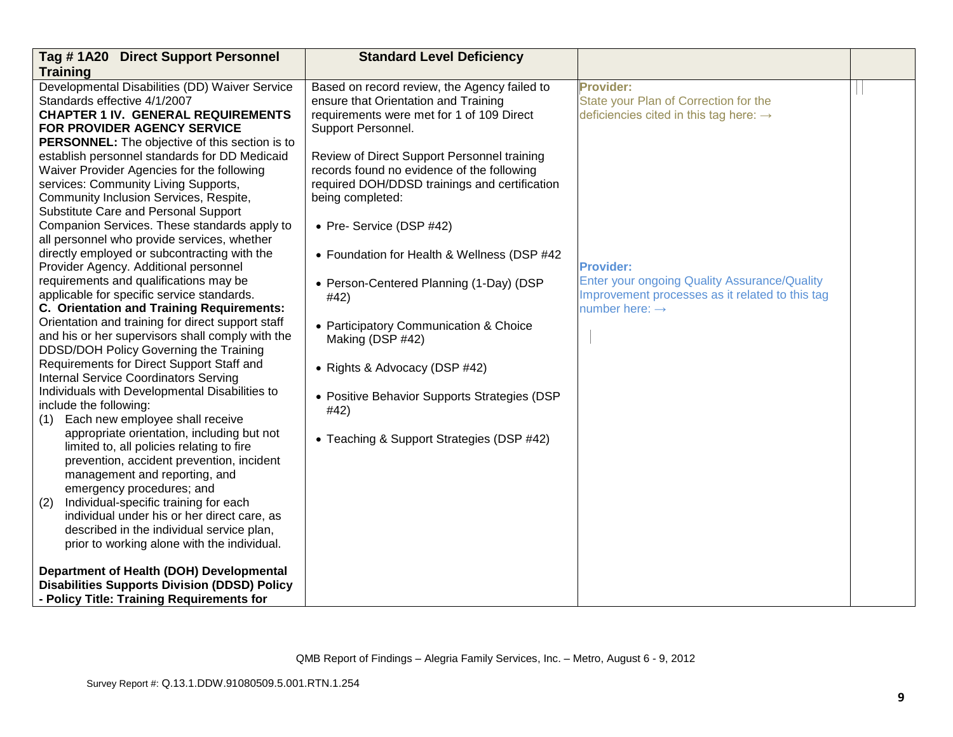| Tag #1A20 Direct Support Personnel                                         | <b>Standard Level Deficiency</b>              |                                                    |  |
|----------------------------------------------------------------------------|-----------------------------------------------|----------------------------------------------------|--|
| <b>Training</b>                                                            |                                               |                                                    |  |
| Developmental Disabilities (DD) Waiver Service                             | Based on record review, the Agency failed to  | <b>Provider:</b>                                   |  |
| Standards effective 4/1/2007                                               | ensure that Orientation and Training          | State your Plan of Correction for the              |  |
| <b>CHAPTER 1 IV. GENERAL REQUIREMENTS</b>                                  | requirements were met for 1 of 109 Direct     | deficiencies cited in this tag here: $\rightarrow$ |  |
| FOR PROVIDER AGENCY SERVICE                                                | Support Personnel.                            |                                                    |  |
| <b>PERSONNEL:</b> The objective of this section is to                      |                                               |                                                    |  |
| establish personnel standards for DD Medicaid                              | Review of Direct Support Personnel training   |                                                    |  |
| Waiver Provider Agencies for the following                                 | records found no evidence of the following    |                                                    |  |
| services: Community Living Supports,                                       | required DOH/DDSD trainings and certification |                                                    |  |
| Community Inclusion Services, Respite,                                     | being completed:                              |                                                    |  |
| Substitute Care and Personal Support                                       |                                               |                                                    |  |
| Companion Services. These standards apply to                               | • Pre- Service (DSP #42)                      |                                                    |  |
| all personnel who provide services, whether                                |                                               |                                                    |  |
| directly employed or subcontracting with the                               | • Foundation for Health & Wellness (DSP #42   |                                                    |  |
| Provider Agency. Additional personnel                                      |                                               | <b>Provider:</b>                                   |  |
| requirements and qualifications may be                                     | • Person-Centered Planning (1-Day) (DSP       | Enter your ongoing Quality Assurance/Quality       |  |
| applicable for specific service standards.                                 | #42)                                          | Improvement processes as it related to this tag    |  |
| C. Orientation and Training Requirements:                                  |                                               | number here: $\rightarrow$                         |  |
| Orientation and training for direct support staff                          | • Participatory Communication & Choice        |                                                    |  |
| and his or her supervisors shall comply with the                           | Making (DSP #42)                              |                                                    |  |
| DDSD/DOH Policy Governing the Training                                     |                                               |                                                    |  |
| Requirements for Direct Support Staff and                                  | • Rights & Advocacy (DSP #42)                 |                                                    |  |
| <b>Internal Service Coordinators Serving</b>                               |                                               |                                                    |  |
| Individuals with Developmental Disabilities to                             | • Positive Behavior Supports Strategies (DSP  |                                                    |  |
| include the following:                                                     | #42)                                          |                                                    |  |
| Each new employee shall receive<br>(1)                                     |                                               |                                                    |  |
| appropriate orientation, including but not                                 | • Teaching & Support Strategies (DSP #42)     |                                                    |  |
| limited to, all policies relating to fire                                  |                                               |                                                    |  |
| prevention, accident prevention, incident<br>management and reporting, and |                                               |                                                    |  |
| emergency procedures; and                                                  |                                               |                                                    |  |
| (2)<br>Individual-specific training for each                               |                                               |                                                    |  |
| individual under his or her direct care, as                                |                                               |                                                    |  |
| described in the individual service plan,                                  |                                               |                                                    |  |
| prior to working alone with the individual.                                |                                               |                                                    |  |
|                                                                            |                                               |                                                    |  |
| Department of Health (DOH) Developmental                                   |                                               |                                                    |  |
| <b>Disabilities Supports Division (DDSD) Policy</b>                        |                                               |                                                    |  |
| - Policy Title: Training Requirements for                                  |                                               |                                                    |  |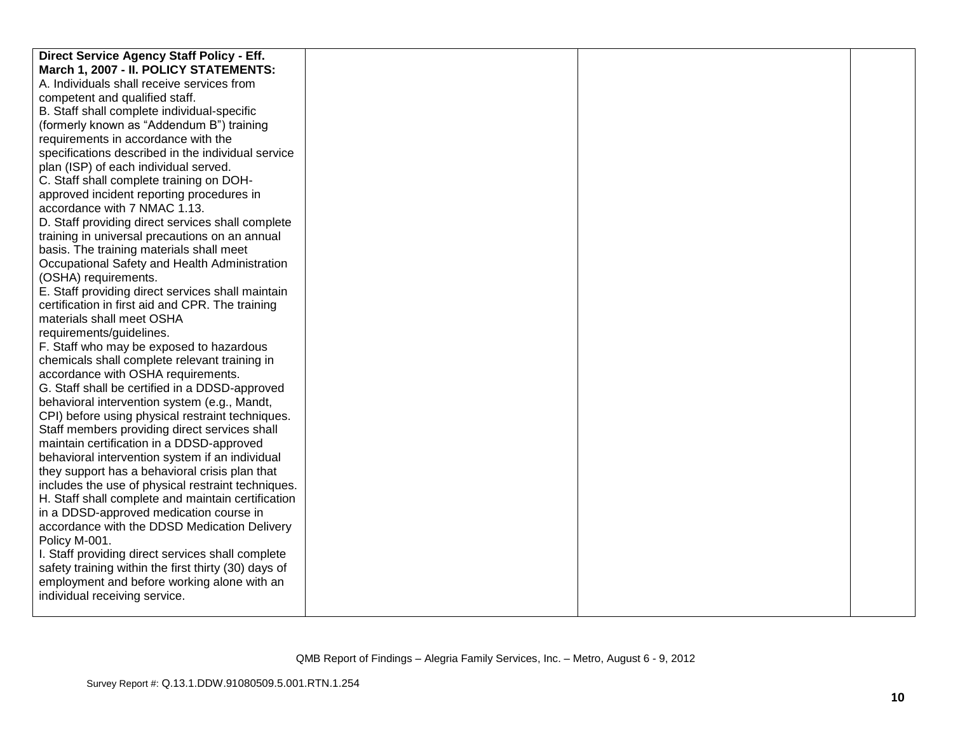| Direct Service Agency Staff Policy - Eff.            |  |  |
|------------------------------------------------------|--|--|
| March 1, 2007 - II. POLICY STATEMENTS:               |  |  |
| A. Individuals shall receive services from           |  |  |
| competent and qualified staff.                       |  |  |
| B. Staff shall complete individual-specific          |  |  |
| (formerly known as "Addendum B") training            |  |  |
| requirements in accordance with the                  |  |  |
| specifications described in the individual service   |  |  |
| plan (ISP) of each individual served.                |  |  |
| C. Staff shall complete training on DOH-             |  |  |
| approved incident reporting procedures in            |  |  |
| accordance with 7 NMAC 1.13.                         |  |  |
| D. Staff providing direct services shall complete    |  |  |
| training in universal precautions on an annual       |  |  |
| basis. The training materials shall meet             |  |  |
| Occupational Safety and Health Administration        |  |  |
| (OSHA) requirements.                                 |  |  |
| E. Staff providing direct services shall maintain    |  |  |
| certification in first aid and CPR. The training     |  |  |
| materials shall meet OSHA                            |  |  |
| requirements/guidelines.                             |  |  |
| F. Staff who may be exposed to hazardous             |  |  |
| chemicals shall complete relevant training in        |  |  |
| accordance with OSHA requirements.                   |  |  |
| G. Staff shall be certified in a DDSD-approved       |  |  |
| behavioral intervention system (e.g., Mandt,         |  |  |
| CPI) before using physical restraint techniques.     |  |  |
| Staff members providing direct services shall        |  |  |
| maintain certification in a DDSD-approved            |  |  |
| behavioral intervention system if an individual      |  |  |
| they support has a behavioral crisis plan that       |  |  |
| includes the use of physical restraint techniques.   |  |  |
| H. Staff shall complete and maintain certification   |  |  |
| in a DDSD-approved medication course in              |  |  |
| accordance with the DDSD Medication Delivery         |  |  |
| Policy M-001.                                        |  |  |
| I. Staff providing direct services shall complete    |  |  |
| safety training within the first thirty (30) days of |  |  |
| employment and before working alone with an          |  |  |
| individual receiving service.                        |  |  |
|                                                      |  |  |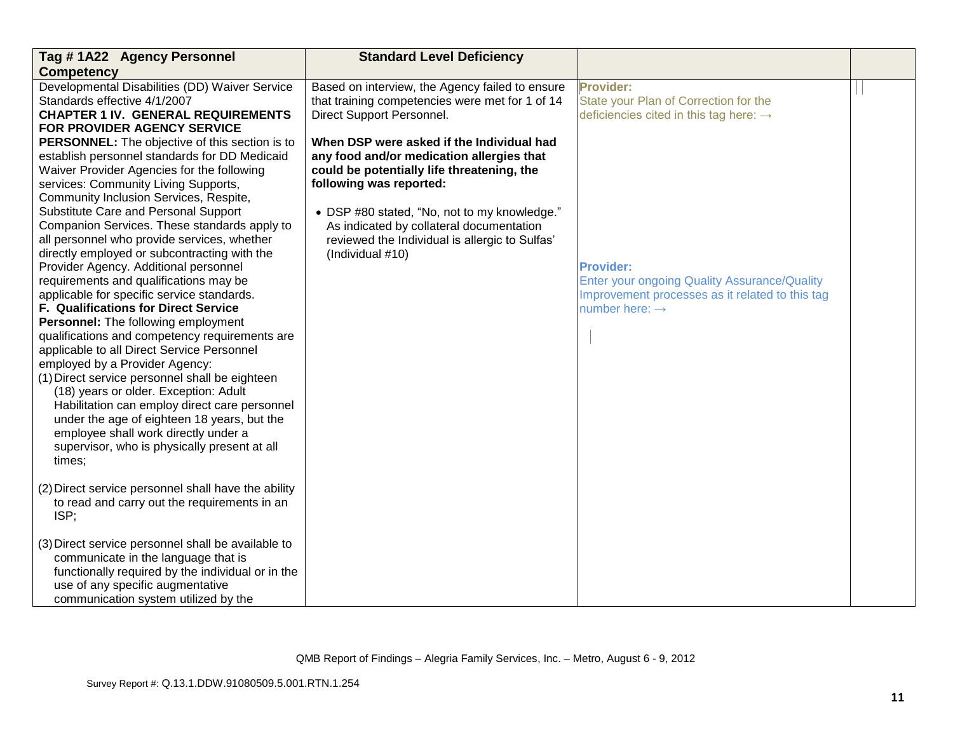| Tag #1A22 Agency Personnel                                                                                                                                                                                                                                                                                                                                                                                                                                                                                                                                                                                                                                                                                                                                                                                                                                                                                                                                                                                                                                                                                                                                                                  | <b>Standard Level Deficiency</b>                                                                                                                                                                                                                                                                                                  |                                                                                                                                                          |  |
|---------------------------------------------------------------------------------------------------------------------------------------------------------------------------------------------------------------------------------------------------------------------------------------------------------------------------------------------------------------------------------------------------------------------------------------------------------------------------------------------------------------------------------------------------------------------------------------------------------------------------------------------------------------------------------------------------------------------------------------------------------------------------------------------------------------------------------------------------------------------------------------------------------------------------------------------------------------------------------------------------------------------------------------------------------------------------------------------------------------------------------------------------------------------------------------------|-----------------------------------------------------------------------------------------------------------------------------------------------------------------------------------------------------------------------------------------------------------------------------------------------------------------------------------|----------------------------------------------------------------------------------------------------------------------------------------------------------|--|
| <b>Competency</b>                                                                                                                                                                                                                                                                                                                                                                                                                                                                                                                                                                                                                                                                                                                                                                                                                                                                                                                                                                                                                                                                                                                                                                           |                                                                                                                                                                                                                                                                                                                                   |                                                                                                                                                          |  |
| Developmental Disabilities (DD) Waiver Service<br>Standards effective 4/1/2007<br><b>CHAPTER 1 IV. GENERAL REQUIREMENTS</b><br>FOR PROVIDER AGENCY SERVICE                                                                                                                                                                                                                                                                                                                                                                                                                                                                                                                                                                                                                                                                                                                                                                                                                                                                                                                                                                                                                                  | Based on interview, the Agency failed to ensure<br>that training competencies were met for 1 of 14<br>Direct Support Personnel.                                                                                                                                                                                                   | <b>Provider:</b><br>State your Plan of Correction for the<br>deficiencies cited in this tag here: $\rightarrow$                                          |  |
| PERSONNEL: The objective of this section is to<br>establish personnel standards for DD Medicaid<br>Waiver Provider Agencies for the following<br>services: Community Living Supports,<br>Community Inclusion Services, Respite,<br>Substitute Care and Personal Support<br>Companion Services. These standards apply to<br>all personnel who provide services, whether<br>directly employed or subcontracting with the<br>Provider Agency. Additional personnel<br>requirements and qualifications may be<br>applicable for specific service standards.<br><b>F. Qualifications for Direct Service</b><br>Personnel: The following employment<br>qualifications and competency requirements are<br>applicable to all Direct Service Personnel<br>employed by a Provider Agency:<br>(1) Direct service personnel shall be eighteen<br>(18) years or older. Exception: Adult<br>Habilitation can employ direct care personnel<br>under the age of eighteen 18 years, but the<br>employee shall work directly under a<br>supervisor, who is physically present at all<br>times;<br>(2) Direct service personnel shall have the ability<br>to read and carry out the requirements in an<br>ISP; | When DSP were asked if the Individual had<br>any food and/or medication allergies that<br>could be potentially life threatening, the<br>following was reported:<br>• DSP #80 stated, "No, not to my knowledge."<br>As indicated by collateral documentation<br>reviewed the Individual is allergic to Sulfas'<br>(Individual #10) | <b>Provider:</b><br><b>Enter your ongoing Quality Assurance/Quality</b><br>Improvement processes as it related to this tag<br>number here: $\rightarrow$ |  |
| (3) Direct service personnel shall be available to<br>communicate in the language that is<br>functionally required by the individual or in the<br>use of any specific augmentative<br>communication system utilized by the                                                                                                                                                                                                                                                                                                                                                                                                                                                                                                                                                                                                                                                                                                                                                                                                                                                                                                                                                                  |                                                                                                                                                                                                                                                                                                                                   |                                                                                                                                                          |  |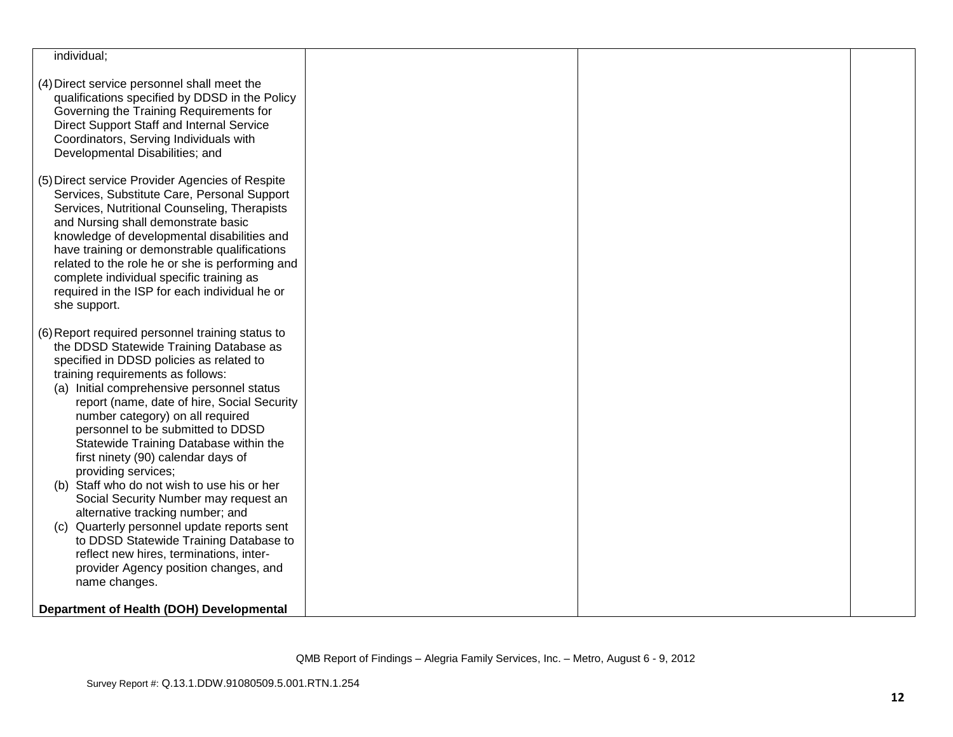| individual;                                                                     |  |  |
|---------------------------------------------------------------------------------|--|--|
|                                                                                 |  |  |
| (4) Direct service personnel shall meet the                                     |  |  |
| qualifications specified by DDSD in the Policy                                  |  |  |
| Governing the Training Requirements for                                         |  |  |
| Direct Support Staff and Internal Service                                       |  |  |
| Coordinators, Serving Individuals with                                          |  |  |
| Developmental Disabilities; and                                                 |  |  |
| (5) Direct service Provider Agencies of Respite                                 |  |  |
| Services, Substitute Care, Personal Support                                     |  |  |
| Services, Nutritional Counseling, Therapists                                    |  |  |
| and Nursing shall demonstrate basic                                             |  |  |
| knowledge of developmental disabilities and                                     |  |  |
| have training or demonstrable qualifications                                    |  |  |
| related to the role he or she is performing and                                 |  |  |
| complete individual specific training as                                        |  |  |
| required in the ISP for each individual he or                                   |  |  |
| she support.                                                                    |  |  |
|                                                                                 |  |  |
| (6) Report required personnel training status to                                |  |  |
| the DDSD Statewide Training Database as                                         |  |  |
| specified in DDSD policies as related to                                        |  |  |
| training requirements as follows:                                               |  |  |
| (a) Initial comprehensive personnel status                                      |  |  |
| report (name, date of hire, Social Security<br>number category) on all required |  |  |
| personnel to be submitted to DDSD                                               |  |  |
| Statewide Training Database within the                                          |  |  |
| first ninety (90) calendar days of                                              |  |  |
| providing services;                                                             |  |  |
| (b) Staff who do not wish to use his or her                                     |  |  |
| Social Security Number may request an                                           |  |  |
| alternative tracking number; and                                                |  |  |
| Quarterly personnel update reports sent<br>(C)                                  |  |  |
| to DDSD Statewide Training Database to                                          |  |  |
| reflect new hires, terminations, inter-                                         |  |  |
| provider Agency position changes, and                                           |  |  |
| name changes.                                                                   |  |  |
|                                                                                 |  |  |
| Department of Health (DOH) Developmental                                        |  |  |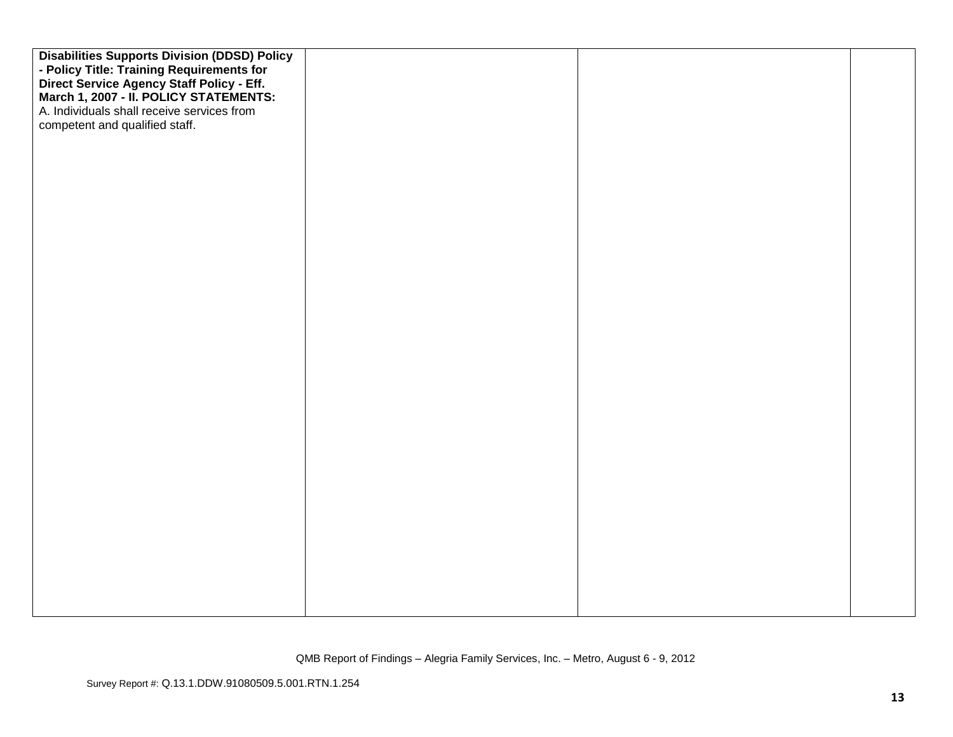| <b>Disabilities Supports Division (DDSD) Policy</b>                                 |  |  |
|-------------------------------------------------------------------------------------|--|--|
| - Policy Title: Training Requirements for                                           |  |  |
| Direct Service Agency Staff Policy - Eff.<br>March 1, 2007 - II. POLICY STATEMENTS: |  |  |
|                                                                                     |  |  |
| A. Individuals shall receive services from                                          |  |  |
| competent and qualified staff.                                                      |  |  |
|                                                                                     |  |  |
|                                                                                     |  |  |
|                                                                                     |  |  |
|                                                                                     |  |  |
|                                                                                     |  |  |
|                                                                                     |  |  |
|                                                                                     |  |  |
|                                                                                     |  |  |
|                                                                                     |  |  |
|                                                                                     |  |  |
|                                                                                     |  |  |
|                                                                                     |  |  |
|                                                                                     |  |  |
|                                                                                     |  |  |
|                                                                                     |  |  |
|                                                                                     |  |  |
|                                                                                     |  |  |
|                                                                                     |  |  |
|                                                                                     |  |  |
|                                                                                     |  |  |
|                                                                                     |  |  |
|                                                                                     |  |  |
|                                                                                     |  |  |
|                                                                                     |  |  |
|                                                                                     |  |  |
|                                                                                     |  |  |
|                                                                                     |  |  |
|                                                                                     |  |  |
|                                                                                     |  |  |
|                                                                                     |  |  |
|                                                                                     |  |  |
|                                                                                     |  |  |
|                                                                                     |  |  |
|                                                                                     |  |  |
|                                                                                     |  |  |
|                                                                                     |  |  |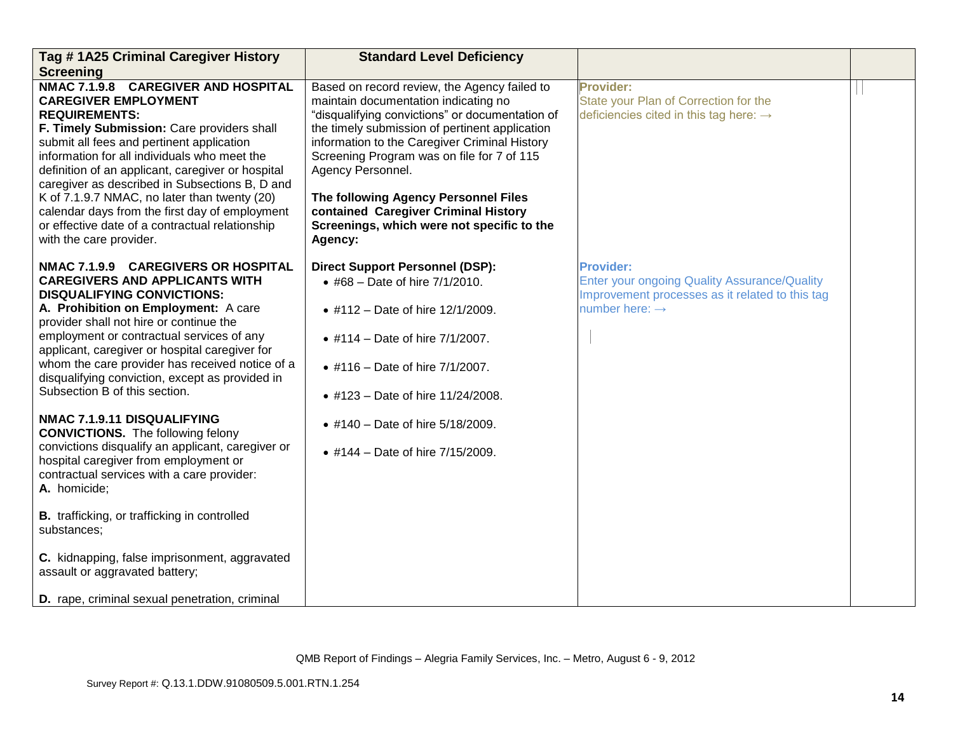| Tag #1A25 Criminal Caregiver History                                                                                                                                                                                                                                                                                                                                                                                                                                                                                         | <b>Standard Level Deficiency</b>                                                                                                                                                                                                                                                                                                                                                                                                                       |                                                                                                                                                          |  |
|------------------------------------------------------------------------------------------------------------------------------------------------------------------------------------------------------------------------------------------------------------------------------------------------------------------------------------------------------------------------------------------------------------------------------------------------------------------------------------------------------------------------------|--------------------------------------------------------------------------------------------------------------------------------------------------------------------------------------------------------------------------------------------------------------------------------------------------------------------------------------------------------------------------------------------------------------------------------------------------------|----------------------------------------------------------------------------------------------------------------------------------------------------------|--|
| <b>Screening</b>                                                                                                                                                                                                                                                                                                                                                                                                                                                                                                             |                                                                                                                                                                                                                                                                                                                                                                                                                                                        |                                                                                                                                                          |  |
| NMAC 7.1.9.8 CAREGIVER AND HOSPITAL<br><b>CAREGIVER EMPLOYMENT</b><br><b>REQUIREMENTS:</b><br>F. Timely Submission: Care providers shall<br>submit all fees and pertinent application<br>information for all individuals who meet the<br>definition of an applicant, caregiver or hospital<br>caregiver as described in Subsections B, D and<br>K of 7.1.9.7 NMAC, no later than twenty (20)<br>calendar days from the first day of employment<br>or effective date of a contractual relationship<br>with the care provider. | Based on record review, the Agency failed to<br>maintain documentation indicating no<br>"disqualifying convictions" or documentation of<br>the timely submission of pertinent application<br>information to the Caregiver Criminal History<br>Screening Program was on file for 7 of 115<br>Agency Personnel.<br>The following Agency Personnel Files<br>contained Caregiver Criminal History<br>Screenings, which were not specific to the<br>Agency: | <b>Provider:</b><br>State your Plan of Correction for the<br>deficiencies cited in this tag here: $\rightarrow$                                          |  |
| NMAC 7.1.9.9 CAREGIVERS OR HOSPITAL<br><b>CAREGIVERS AND APPLICANTS WITH</b><br><b>DISQUALIFYING CONVICTIONS:</b><br>A. Prohibition on Employment: A care<br>provider shall not hire or continue the<br>employment or contractual services of any<br>applicant, caregiver or hospital caregiver for<br>whom the care provider has received notice of a<br>disqualifying conviction, except as provided in<br>Subsection B of this section.                                                                                   | <b>Direct Support Personnel (DSP):</b><br>• #68 - Date of hire $7/1/2010$ .<br>• #112 - Date of hire 12/1/2009.<br>• #114 – Date of hire $7/1/2007$ .<br>• #116 - Date of hire 7/1/2007.<br>• #123 - Date of hire 11/24/2008.                                                                                                                                                                                                                          | <b>Provider:</b><br><b>Enter your ongoing Quality Assurance/Quality</b><br>Improvement processes as it related to this tag<br>number here: $\rightarrow$ |  |
| NMAC 7.1.9.11 DISQUALIFYING<br><b>CONVICTIONS.</b> The following felony<br>convictions disqualify an applicant, caregiver or<br>hospital caregiver from employment or<br>contractual services with a care provider:<br>A. homicide;                                                                                                                                                                                                                                                                                          | • #140 - Date of hire 5/18/2009.<br>• #144 - Date of hire 7/15/2009.                                                                                                                                                                                                                                                                                                                                                                                   |                                                                                                                                                          |  |
| <b>B.</b> trafficking, or trafficking in controlled<br>substances;                                                                                                                                                                                                                                                                                                                                                                                                                                                           |                                                                                                                                                                                                                                                                                                                                                                                                                                                        |                                                                                                                                                          |  |
| C. kidnapping, false imprisonment, aggravated<br>assault or aggravated battery;                                                                                                                                                                                                                                                                                                                                                                                                                                              |                                                                                                                                                                                                                                                                                                                                                                                                                                                        |                                                                                                                                                          |  |
| D. rape, criminal sexual penetration, criminal                                                                                                                                                                                                                                                                                                                                                                                                                                                                               |                                                                                                                                                                                                                                                                                                                                                                                                                                                        |                                                                                                                                                          |  |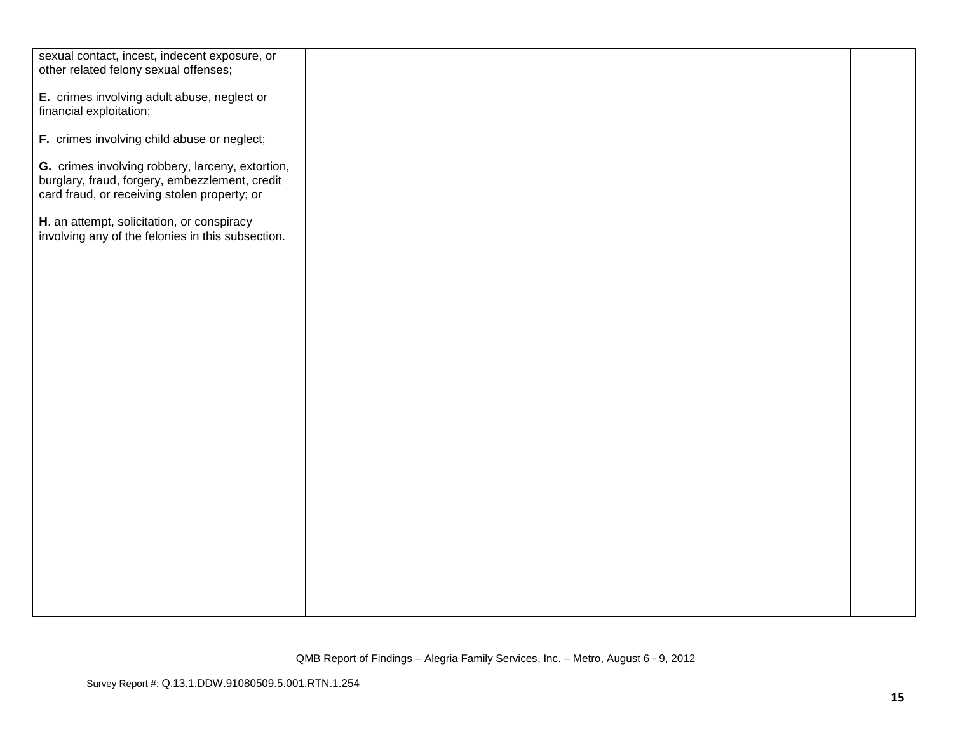| sexual contact, incest, indecent exposure, or     |  |  |
|---------------------------------------------------|--|--|
| other related felony sexual offenses;             |  |  |
|                                                   |  |  |
| E. crimes involving adult abuse, neglect or       |  |  |
|                                                   |  |  |
| financial exploitation;                           |  |  |
|                                                   |  |  |
| F. crimes involving child abuse or neglect;       |  |  |
|                                                   |  |  |
| G. crimes involving robbery, larceny, extortion,  |  |  |
| burglary, fraud, forgery, embezzlement, credit    |  |  |
|                                                   |  |  |
| card fraud, or receiving stolen property; or      |  |  |
|                                                   |  |  |
| H. an attempt, solicitation, or conspiracy        |  |  |
| involving any of the felonies in this subsection. |  |  |
|                                                   |  |  |
|                                                   |  |  |
|                                                   |  |  |
|                                                   |  |  |
|                                                   |  |  |
|                                                   |  |  |
|                                                   |  |  |
|                                                   |  |  |
|                                                   |  |  |
|                                                   |  |  |
|                                                   |  |  |
|                                                   |  |  |
|                                                   |  |  |
|                                                   |  |  |
|                                                   |  |  |
|                                                   |  |  |
|                                                   |  |  |
|                                                   |  |  |
|                                                   |  |  |
|                                                   |  |  |
|                                                   |  |  |
|                                                   |  |  |
|                                                   |  |  |
|                                                   |  |  |
|                                                   |  |  |
|                                                   |  |  |
|                                                   |  |  |
|                                                   |  |  |
|                                                   |  |  |
|                                                   |  |  |
|                                                   |  |  |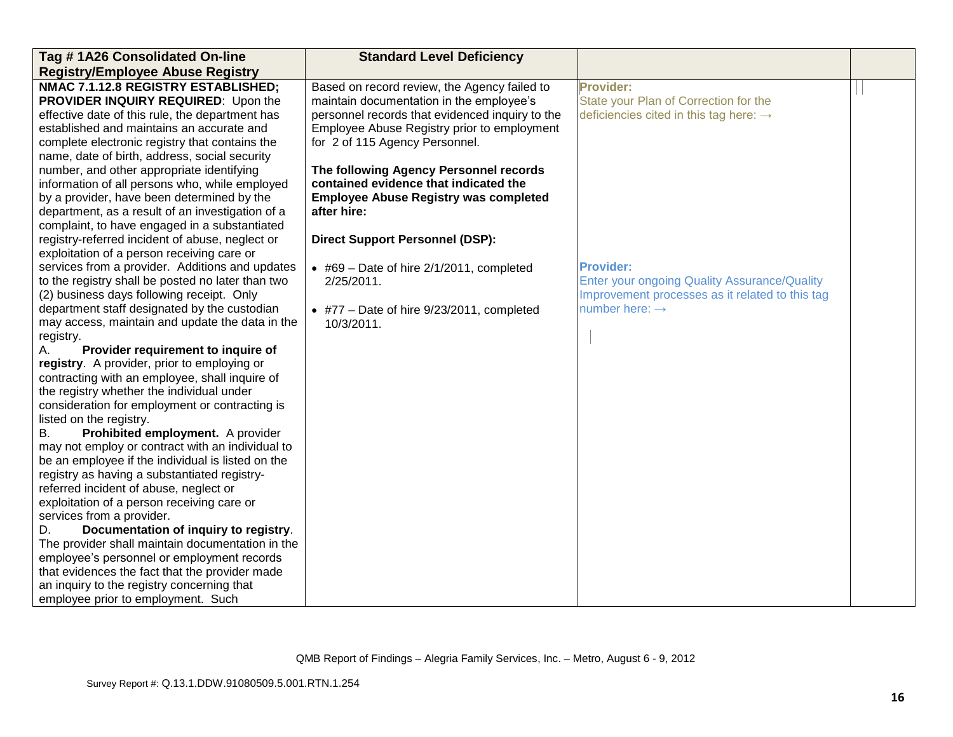| Tag # 1A26 Consolidated On-line                                                                       | <b>Standard Level Deficiency</b>                  |                                                     |  |
|-------------------------------------------------------------------------------------------------------|---------------------------------------------------|-----------------------------------------------------|--|
| <b>Registry/Employee Abuse Registry</b>                                                               |                                                   |                                                     |  |
| NMAC 7.1.12.8 REGISTRY ESTABLISHED;                                                                   | Based on record review, the Agency failed to      | <b>Provider:</b>                                    |  |
| PROVIDER INQUIRY REQUIRED: Upon the                                                                   | maintain documentation in the employee's          | State your Plan of Correction for the               |  |
| effective date of this rule, the department has                                                       | personnel records that evidenced inquiry to the   | deficiencies cited in this tag here: $\rightarrow$  |  |
| established and maintains an accurate and                                                             | Employee Abuse Registry prior to employment       |                                                     |  |
| complete electronic registry that contains the                                                        | for 2 of 115 Agency Personnel.                    |                                                     |  |
| name, date of birth, address, social security                                                         |                                                   |                                                     |  |
| number, and other appropriate identifying                                                             | The following Agency Personnel records            |                                                     |  |
| information of all persons who, while employed                                                        | contained evidence that indicated the             |                                                     |  |
| by a provider, have been determined by the                                                            | <b>Employee Abuse Registry was completed</b>      |                                                     |  |
| department, as a result of an investigation of a                                                      | after hire:                                       |                                                     |  |
| complaint, to have engaged in a substantiated                                                         |                                                   |                                                     |  |
| registry-referred incident of abuse, neglect or                                                       | <b>Direct Support Personnel (DSP):</b>            |                                                     |  |
| exploitation of a person receiving care or                                                            |                                                   |                                                     |  |
| services from a provider. Additions and updates                                                       | $\bullet$ #69 – Date of hire 2/1/2011, completed  | <b>Provider:</b>                                    |  |
| to the registry shall be posted no later than two                                                     | 2/25/2011.                                        | <b>Enter your ongoing Quality Assurance/Quality</b> |  |
| (2) business days following receipt. Only                                                             |                                                   | Improvement processes as it related to this tag     |  |
| department staff designated by the custodian                                                          | $\bullet$ #77 – Date of hire 9/23/2011, completed | number here: $\rightarrow$                          |  |
| may access, maintain and update the data in the                                                       | 10/3/2011.                                        |                                                     |  |
| registry.                                                                                             |                                                   |                                                     |  |
| Provider requirement to inquire of<br>А.                                                              |                                                   |                                                     |  |
| registry. A provider, prior to employing or                                                           |                                                   |                                                     |  |
| contracting with an employee, shall inquire of                                                        |                                                   |                                                     |  |
| the registry whether the individual under                                                             |                                                   |                                                     |  |
| consideration for employment or contracting is                                                        |                                                   |                                                     |  |
| listed on the registry.                                                                               |                                                   |                                                     |  |
| Prohibited employment. A provider<br>В.                                                               |                                                   |                                                     |  |
| may not employ or contract with an individual to<br>be an employee if the individual is listed on the |                                                   |                                                     |  |
| registry as having a substantiated registry-                                                          |                                                   |                                                     |  |
| referred incident of abuse, neglect or                                                                |                                                   |                                                     |  |
| exploitation of a person receiving care or                                                            |                                                   |                                                     |  |
| services from a provider.                                                                             |                                                   |                                                     |  |
| Documentation of inquiry to registry.<br>D.                                                           |                                                   |                                                     |  |
| The provider shall maintain documentation in the                                                      |                                                   |                                                     |  |
| employee's personnel or employment records                                                            |                                                   |                                                     |  |
| that evidences the fact that the provider made                                                        |                                                   |                                                     |  |
| an inquiry to the registry concerning that                                                            |                                                   |                                                     |  |
| employee prior to employment. Such                                                                    |                                                   |                                                     |  |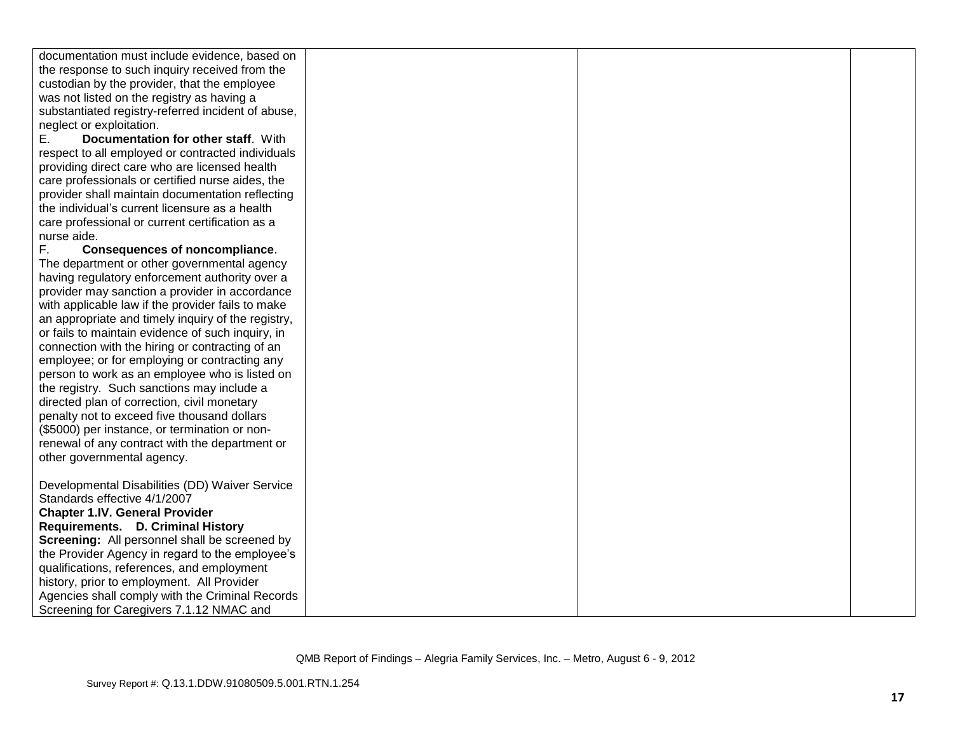| documentation must include evidence, based on                                                                                                                                                                                                                                                                                                                                                                                                                                                                                                                                                                                                                                                                                                                                                                                                                                                                                                                                                                                                                                                                                                                                                                                                                                                                                                                                                                                                                                                                                                                                                                                                                    |
|------------------------------------------------------------------------------------------------------------------------------------------------------------------------------------------------------------------------------------------------------------------------------------------------------------------------------------------------------------------------------------------------------------------------------------------------------------------------------------------------------------------------------------------------------------------------------------------------------------------------------------------------------------------------------------------------------------------------------------------------------------------------------------------------------------------------------------------------------------------------------------------------------------------------------------------------------------------------------------------------------------------------------------------------------------------------------------------------------------------------------------------------------------------------------------------------------------------------------------------------------------------------------------------------------------------------------------------------------------------------------------------------------------------------------------------------------------------------------------------------------------------------------------------------------------------------------------------------------------------------------------------------------------------|
|                                                                                                                                                                                                                                                                                                                                                                                                                                                                                                                                                                                                                                                                                                                                                                                                                                                                                                                                                                                                                                                                                                                                                                                                                                                                                                                                                                                                                                                                                                                                                                                                                                                                  |
|                                                                                                                                                                                                                                                                                                                                                                                                                                                                                                                                                                                                                                                                                                                                                                                                                                                                                                                                                                                                                                                                                                                                                                                                                                                                                                                                                                                                                                                                                                                                                                                                                                                                  |
|                                                                                                                                                                                                                                                                                                                                                                                                                                                                                                                                                                                                                                                                                                                                                                                                                                                                                                                                                                                                                                                                                                                                                                                                                                                                                                                                                                                                                                                                                                                                                                                                                                                                  |
|                                                                                                                                                                                                                                                                                                                                                                                                                                                                                                                                                                                                                                                                                                                                                                                                                                                                                                                                                                                                                                                                                                                                                                                                                                                                                                                                                                                                                                                                                                                                                                                                                                                                  |
|                                                                                                                                                                                                                                                                                                                                                                                                                                                                                                                                                                                                                                                                                                                                                                                                                                                                                                                                                                                                                                                                                                                                                                                                                                                                                                                                                                                                                                                                                                                                                                                                                                                                  |
|                                                                                                                                                                                                                                                                                                                                                                                                                                                                                                                                                                                                                                                                                                                                                                                                                                                                                                                                                                                                                                                                                                                                                                                                                                                                                                                                                                                                                                                                                                                                                                                                                                                                  |
|                                                                                                                                                                                                                                                                                                                                                                                                                                                                                                                                                                                                                                                                                                                                                                                                                                                                                                                                                                                                                                                                                                                                                                                                                                                                                                                                                                                                                                                                                                                                                                                                                                                                  |
| providing direct care who are licensed health                                                                                                                                                                                                                                                                                                                                                                                                                                                                                                                                                                                                                                                                                                                                                                                                                                                                                                                                                                                                                                                                                                                                                                                                                                                                                                                                                                                                                                                                                                                                                                                                                    |
| care professionals or certified nurse aides, the                                                                                                                                                                                                                                                                                                                                                                                                                                                                                                                                                                                                                                                                                                                                                                                                                                                                                                                                                                                                                                                                                                                                                                                                                                                                                                                                                                                                                                                                                                                                                                                                                 |
| provider shall maintain documentation reflecting                                                                                                                                                                                                                                                                                                                                                                                                                                                                                                                                                                                                                                                                                                                                                                                                                                                                                                                                                                                                                                                                                                                                                                                                                                                                                                                                                                                                                                                                                                                                                                                                                 |
| the individual's current licensure as a health                                                                                                                                                                                                                                                                                                                                                                                                                                                                                                                                                                                                                                                                                                                                                                                                                                                                                                                                                                                                                                                                                                                                                                                                                                                                                                                                                                                                                                                                                                                                                                                                                   |
|                                                                                                                                                                                                                                                                                                                                                                                                                                                                                                                                                                                                                                                                                                                                                                                                                                                                                                                                                                                                                                                                                                                                                                                                                                                                                                                                                                                                                                                                                                                                                                                                                                                                  |
|                                                                                                                                                                                                                                                                                                                                                                                                                                                                                                                                                                                                                                                                                                                                                                                                                                                                                                                                                                                                                                                                                                                                                                                                                                                                                                                                                                                                                                                                                                                                                                                                                                                                  |
| F.                                                                                                                                                                                                                                                                                                                                                                                                                                                                                                                                                                                                                                                                                                                                                                                                                                                                                                                                                                                                                                                                                                                                                                                                                                                                                                                                                                                                                                                                                                                                                                                                                                                               |
|                                                                                                                                                                                                                                                                                                                                                                                                                                                                                                                                                                                                                                                                                                                                                                                                                                                                                                                                                                                                                                                                                                                                                                                                                                                                                                                                                                                                                                                                                                                                                                                                                                                                  |
|                                                                                                                                                                                                                                                                                                                                                                                                                                                                                                                                                                                                                                                                                                                                                                                                                                                                                                                                                                                                                                                                                                                                                                                                                                                                                                                                                                                                                                                                                                                                                                                                                                                                  |
|                                                                                                                                                                                                                                                                                                                                                                                                                                                                                                                                                                                                                                                                                                                                                                                                                                                                                                                                                                                                                                                                                                                                                                                                                                                                                                                                                                                                                                                                                                                                                                                                                                                                  |
|                                                                                                                                                                                                                                                                                                                                                                                                                                                                                                                                                                                                                                                                                                                                                                                                                                                                                                                                                                                                                                                                                                                                                                                                                                                                                                                                                                                                                                                                                                                                                                                                                                                                  |
|                                                                                                                                                                                                                                                                                                                                                                                                                                                                                                                                                                                                                                                                                                                                                                                                                                                                                                                                                                                                                                                                                                                                                                                                                                                                                                                                                                                                                                                                                                                                                                                                                                                                  |
|                                                                                                                                                                                                                                                                                                                                                                                                                                                                                                                                                                                                                                                                                                                                                                                                                                                                                                                                                                                                                                                                                                                                                                                                                                                                                                                                                                                                                                                                                                                                                                                                                                                                  |
|                                                                                                                                                                                                                                                                                                                                                                                                                                                                                                                                                                                                                                                                                                                                                                                                                                                                                                                                                                                                                                                                                                                                                                                                                                                                                                                                                                                                                                                                                                                                                                                                                                                                  |
|                                                                                                                                                                                                                                                                                                                                                                                                                                                                                                                                                                                                                                                                                                                                                                                                                                                                                                                                                                                                                                                                                                                                                                                                                                                                                                                                                                                                                                                                                                                                                                                                                                                                  |
|                                                                                                                                                                                                                                                                                                                                                                                                                                                                                                                                                                                                                                                                                                                                                                                                                                                                                                                                                                                                                                                                                                                                                                                                                                                                                                                                                                                                                                                                                                                                                                                                                                                                  |
|                                                                                                                                                                                                                                                                                                                                                                                                                                                                                                                                                                                                                                                                                                                                                                                                                                                                                                                                                                                                                                                                                                                                                                                                                                                                                                                                                                                                                                                                                                                                                                                                                                                                  |
|                                                                                                                                                                                                                                                                                                                                                                                                                                                                                                                                                                                                                                                                                                                                                                                                                                                                                                                                                                                                                                                                                                                                                                                                                                                                                                                                                                                                                                                                                                                                                                                                                                                                  |
|                                                                                                                                                                                                                                                                                                                                                                                                                                                                                                                                                                                                                                                                                                                                                                                                                                                                                                                                                                                                                                                                                                                                                                                                                                                                                                                                                                                                                                                                                                                                                                                                                                                                  |
|                                                                                                                                                                                                                                                                                                                                                                                                                                                                                                                                                                                                                                                                                                                                                                                                                                                                                                                                                                                                                                                                                                                                                                                                                                                                                                                                                                                                                                                                                                                                                                                                                                                                  |
|                                                                                                                                                                                                                                                                                                                                                                                                                                                                                                                                                                                                                                                                                                                                                                                                                                                                                                                                                                                                                                                                                                                                                                                                                                                                                                                                                                                                                                                                                                                                                                                                                                                                  |
|                                                                                                                                                                                                                                                                                                                                                                                                                                                                                                                                                                                                                                                                                                                                                                                                                                                                                                                                                                                                                                                                                                                                                                                                                                                                                                                                                                                                                                                                                                                                                                                                                                                                  |
|                                                                                                                                                                                                                                                                                                                                                                                                                                                                                                                                                                                                                                                                                                                                                                                                                                                                                                                                                                                                                                                                                                                                                                                                                                                                                                                                                                                                                                                                                                                                                                                                                                                                  |
|                                                                                                                                                                                                                                                                                                                                                                                                                                                                                                                                                                                                                                                                                                                                                                                                                                                                                                                                                                                                                                                                                                                                                                                                                                                                                                                                                                                                                                                                                                                                                                                                                                                                  |
|                                                                                                                                                                                                                                                                                                                                                                                                                                                                                                                                                                                                                                                                                                                                                                                                                                                                                                                                                                                                                                                                                                                                                                                                                                                                                                                                                                                                                                                                                                                                                                                                                                                                  |
|                                                                                                                                                                                                                                                                                                                                                                                                                                                                                                                                                                                                                                                                                                                                                                                                                                                                                                                                                                                                                                                                                                                                                                                                                                                                                                                                                                                                                                                                                                                                                                                                                                                                  |
|                                                                                                                                                                                                                                                                                                                                                                                                                                                                                                                                                                                                                                                                                                                                                                                                                                                                                                                                                                                                                                                                                                                                                                                                                                                                                                                                                                                                                                                                                                                                                                                                                                                                  |
|                                                                                                                                                                                                                                                                                                                                                                                                                                                                                                                                                                                                                                                                                                                                                                                                                                                                                                                                                                                                                                                                                                                                                                                                                                                                                                                                                                                                                                                                                                                                                                                                                                                                  |
|                                                                                                                                                                                                                                                                                                                                                                                                                                                                                                                                                                                                                                                                                                                                                                                                                                                                                                                                                                                                                                                                                                                                                                                                                                                                                                                                                                                                                                                                                                                                                                                                                                                                  |
|                                                                                                                                                                                                                                                                                                                                                                                                                                                                                                                                                                                                                                                                                                                                                                                                                                                                                                                                                                                                                                                                                                                                                                                                                                                                                                                                                                                                                                                                                                                                                                                                                                                                  |
|                                                                                                                                                                                                                                                                                                                                                                                                                                                                                                                                                                                                                                                                                                                                                                                                                                                                                                                                                                                                                                                                                                                                                                                                                                                                                                                                                                                                                                                                                                                                                                                                                                                                  |
|                                                                                                                                                                                                                                                                                                                                                                                                                                                                                                                                                                                                                                                                                                                                                                                                                                                                                                                                                                                                                                                                                                                                                                                                                                                                                                                                                                                                                                                                                                                                                                                                                                                                  |
|                                                                                                                                                                                                                                                                                                                                                                                                                                                                                                                                                                                                                                                                                                                                                                                                                                                                                                                                                                                                                                                                                                                                                                                                                                                                                                                                                                                                                                                                                                                                                                                                                                                                  |
| the response to such inquiry received from the<br>custodian by the provider, that the employee<br>was not listed on the registry as having a<br>substantiated registry-referred incident of abuse,<br>neglect or exploitation.<br>Documentation for other staff. With<br>Е.<br>respect to all employed or contracted individuals<br>care professional or current certification as a<br>nurse aide.<br><b>Consequences of noncompliance.</b><br>The department or other governmental agency<br>having regulatory enforcement authority over a<br>provider may sanction a provider in accordance<br>with applicable law if the provider fails to make<br>an appropriate and timely inquiry of the registry,<br>or fails to maintain evidence of such inquiry, in<br>connection with the hiring or contracting of an<br>employee; or for employing or contracting any<br>person to work as an employee who is listed on<br>the registry. Such sanctions may include a<br>directed plan of correction, civil monetary<br>penalty not to exceed five thousand dollars<br>(\$5000) per instance, or termination or non-<br>renewal of any contract with the department or<br>other governmental agency.<br>Developmental Disabilities (DD) Waiver Service<br>Standards effective 4/1/2007<br><b>Chapter 1.IV. General Provider</b><br>Requirements. D. Criminal History<br>Screening: All personnel shall be screened by<br>the Provider Agency in regard to the employee's<br>qualifications, references, and employment<br>history, prior to employment. All Provider<br>Agencies shall comply with the Criminal Records<br>Screening for Caregivers 7.1.12 NMAC and |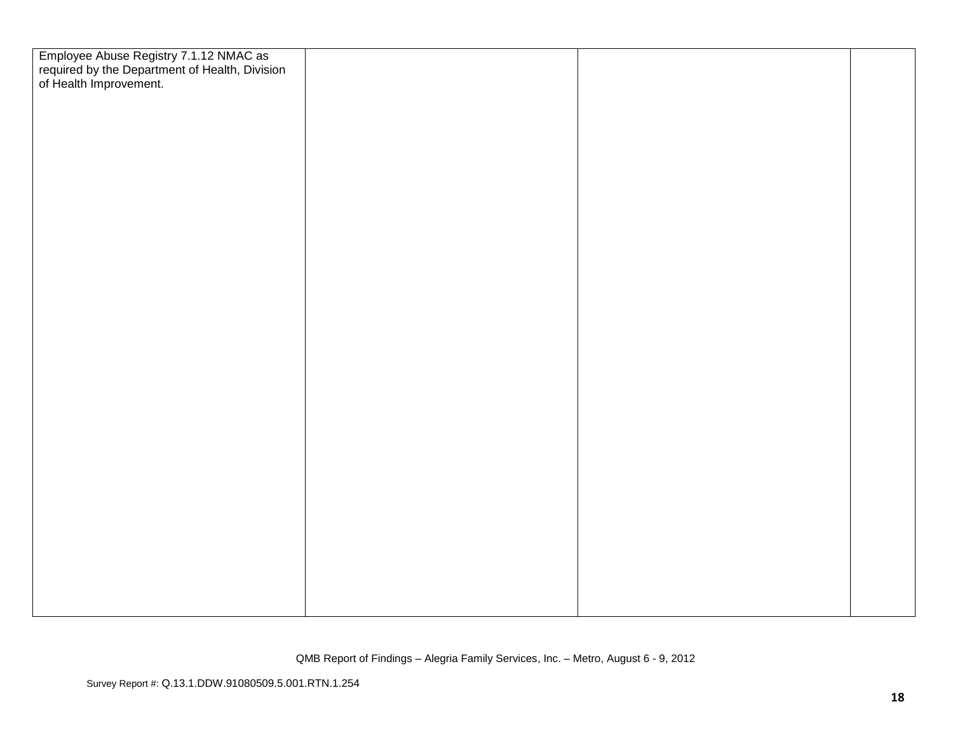| Employee Abuse Registry 7.1.12 NMAC as<br>required by the Department of Health, Division<br>of Health Improvement. |  |  |
|--------------------------------------------------------------------------------------------------------------------|--|--|
|                                                                                                                    |  |  |
|                                                                                                                    |  |  |
|                                                                                                                    |  |  |
|                                                                                                                    |  |  |
|                                                                                                                    |  |  |
|                                                                                                                    |  |  |
|                                                                                                                    |  |  |
|                                                                                                                    |  |  |
|                                                                                                                    |  |  |
|                                                                                                                    |  |  |
|                                                                                                                    |  |  |
|                                                                                                                    |  |  |
|                                                                                                                    |  |  |
|                                                                                                                    |  |  |
|                                                                                                                    |  |  |
|                                                                                                                    |  |  |
|                                                                                                                    |  |  |
|                                                                                                                    |  |  |
|                                                                                                                    |  |  |
|                                                                                                                    |  |  |
|                                                                                                                    |  |  |
|                                                                                                                    |  |  |
|                                                                                                                    |  |  |
|                                                                                                                    |  |  |
|                                                                                                                    |  |  |
|                                                                                                                    |  |  |
|                                                                                                                    |  |  |
|                                                                                                                    |  |  |
|                                                                                                                    |  |  |
|                                                                                                                    |  |  |
|                                                                                                                    |  |  |
|                                                                                                                    |  |  |
|                                                                                                                    |  |  |
|                                                                                                                    |  |  |
|                                                                                                                    |  |  |
|                                                                                                                    |  |  |
|                                                                                                                    |  |  |
|                                                                                                                    |  |  |
|                                                                                                                    |  |  |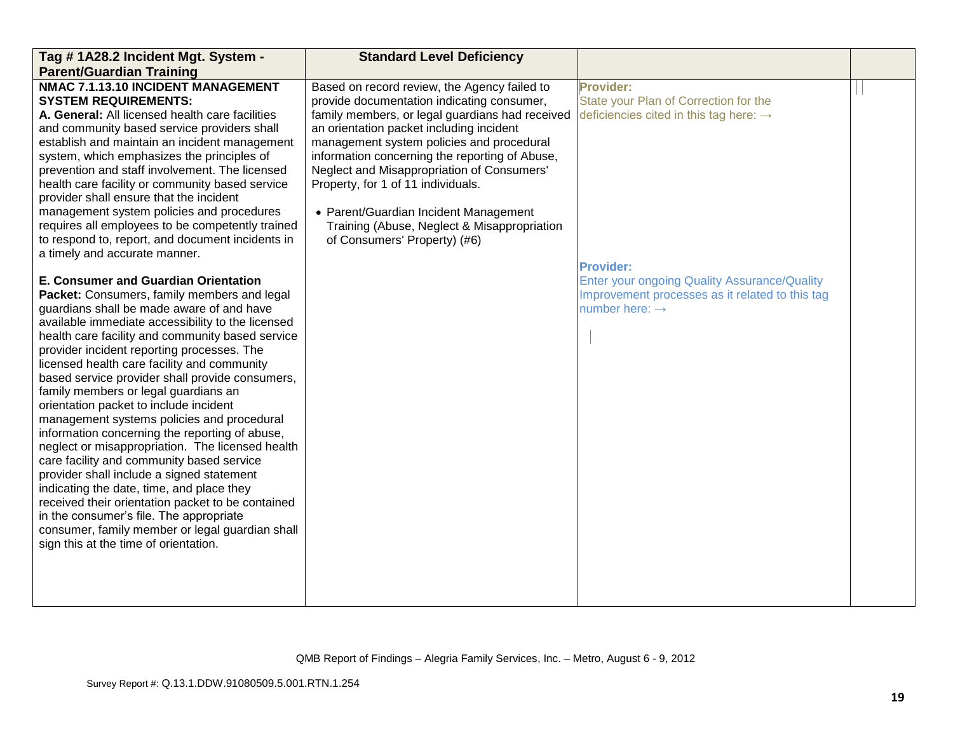| Tag #1A28.2 Incident Mgt. System -                                                                                                                                                                                                                                                                                                                                                                                                                                                                                                                                                                                                                                                                                                                                                                                                                                                                                                                                        | <b>Standard Level Deficiency</b>                                                                                                                                                                                                                                                                                                                                                                                                                                                                     |                                                                                                                                                          |  |
|---------------------------------------------------------------------------------------------------------------------------------------------------------------------------------------------------------------------------------------------------------------------------------------------------------------------------------------------------------------------------------------------------------------------------------------------------------------------------------------------------------------------------------------------------------------------------------------------------------------------------------------------------------------------------------------------------------------------------------------------------------------------------------------------------------------------------------------------------------------------------------------------------------------------------------------------------------------------------|------------------------------------------------------------------------------------------------------------------------------------------------------------------------------------------------------------------------------------------------------------------------------------------------------------------------------------------------------------------------------------------------------------------------------------------------------------------------------------------------------|----------------------------------------------------------------------------------------------------------------------------------------------------------|--|
| <b>Parent/Guardian Training</b>                                                                                                                                                                                                                                                                                                                                                                                                                                                                                                                                                                                                                                                                                                                                                                                                                                                                                                                                           |                                                                                                                                                                                                                                                                                                                                                                                                                                                                                                      |                                                                                                                                                          |  |
| NMAC 7.1.13.10 INCIDENT MANAGEMENT<br><b>SYSTEM REQUIREMENTS:</b><br>A. General: All licensed health care facilities<br>and community based service providers shall<br>establish and maintain an incident management<br>system, which emphasizes the principles of<br>prevention and staff involvement. The licensed<br>health care facility or community based service<br>provider shall ensure that the incident<br>management system policies and procedures<br>requires all employees to be competently trained<br>to respond to, report, and document incidents in<br>a timely and accurate manner.                                                                                                                                                                                                                                                                                                                                                                  | Based on record review, the Agency failed to<br>provide documentation indicating consumer,<br>family members, or legal guardians had received<br>an orientation packet including incident<br>management system policies and procedural<br>information concerning the reporting of Abuse,<br>Neglect and Misappropriation of Consumers'<br>Property, for 1 of 11 individuals.<br>• Parent/Guardian Incident Management<br>Training (Abuse, Neglect & Misappropriation<br>of Consumers' Property) (#6) | <b>Provider:</b><br>State your Plan of Correction for the<br>deficiencies cited in this tag here: $\rightarrow$                                          |  |
| <b>E. Consumer and Guardian Orientation</b><br>Packet: Consumers, family members and legal<br>guardians shall be made aware of and have<br>available immediate accessibility to the licensed<br>health care facility and community based service<br>provider incident reporting processes. The<br>licensed health care facility and community<br>based service provider shall provide consumers,<br>family members or legal guardians an<br>orientation packet to include incident<br>management systems policies and procedural<br>information concerning the reporting of abuse,<br>neglect or misappropriation. The licensed health<br>care facility and community based service<br>provider shall include a signed statement<br>indicating the date, time, and place they<br>received their orientation packet to be contained<br>in the consumer's file. The appropriate<br>consumer, family member or legal guardian shall<br>sign this at the time of orientation. |                                                                                                                                                                                                                                                                                                                                                                                                                                                                                                      | <b>Provider:</b><br><b>Enter your ongoing Quality Assurance/Quality</b><br>Improvement processes as it related to this tag<br>number here: $\rightarrow$ |  |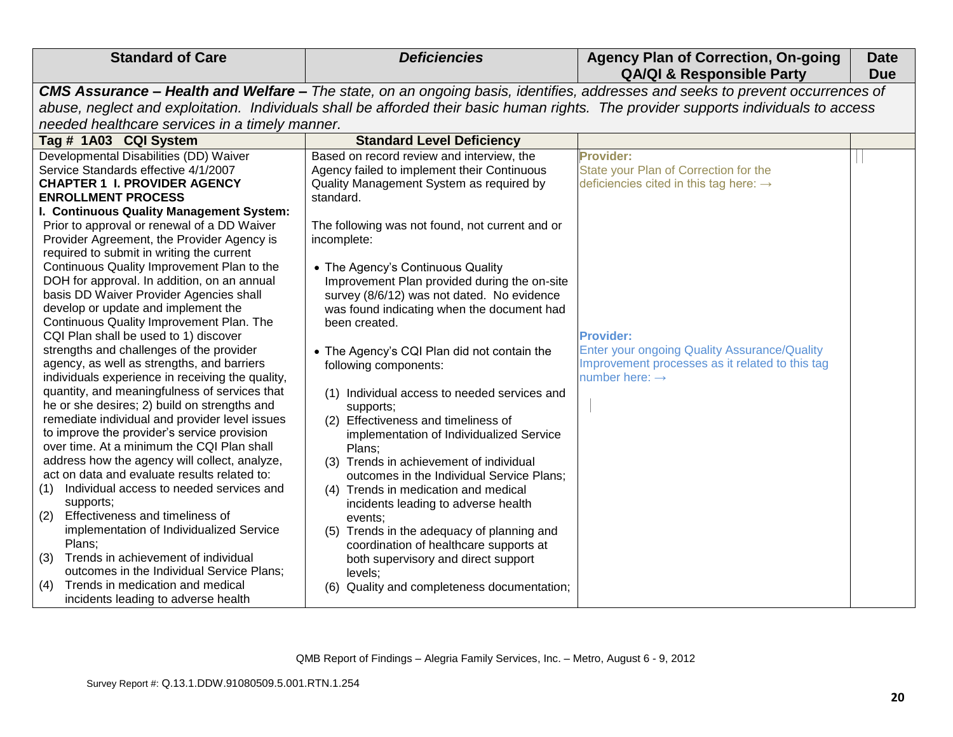| <b>Standard of Care</b>                                                                           | <b>Deficiencies</b>                                                                     | <b>Agency Plan of Correction, On-going</b><br><b>QA/QI &amp; Responsible Party</b>                                                   | <b>Date</b><br><b>Due</b> |
|---------------------------------------------------------------------------------------------------|-----------------------------------------------------------------------------------------|--------------------------------------------------------------------------------------------------------------------------------------|---------------------------|
|                                                                                                   |                                                                                         | CMS Assurance - Health and Welfare - The state, on an ongoing basis, identifies, addresses and seeks to prevent occurrences of       |                           |
|                                                                                                   |                                                                                         | abuse, neglect and exploitation. Individuals shall be afforded their basic human rights. The provider supports individuals to access |                           |
| needed healthcare services in a timely manner.                                                    |                                                                                         |                                                                                                                                      |                           |
| Tag # 1A03 CQI System                                                                             | <b>Standard Level Deficiency</b>                                                        |                                                                                                                                      |                           |
| Developmental Disabilities (DD) Waiver                                                            | Based on record review and interview, the                                               | <b>Provider:</b>                                                                                                                     |                           |
| Service Standards effective 4/1/2007                                                              | Agency failed to implement their Continuous                                             | State your Plan of Correction for the                                                                                                |                           |
| <b>CHAPTER 1 I. PROVIDER AGENCY</b>                                                               | Quality Management System as required by                                                | deficiencies cited in this tag here: $\rightarrow$                                                                                   |                           |
| <b>ENROLLMENT PROCESS</b>                                                                         | standard.                                                                               |                                                                                                                                      |                           |
| I. Continuous Quality Management System:                                                          |                                                                                         |                                                                                                                                      |                           |
| Prior to approval or renewal of a DD Waiver<br>Provider Agreement, the Provider Agency is         | The following was not found, not current and or<br>incomplete:                          |                                                                                                                                      |                           |
| required to submit in writing the current                                                         |                                                                                         |                                                                                                                                      |                           |
| Continuous Quality Improvement Plan to the                                                        | • The Agency's Continuous Quality                                                       |                                                                                                                                      |                           |
| DOH for approval. In addition, on an annual                                                       | Improvement Plan provided during the on-site                                            |                                                                                                                                      |                           |
| basis DD Waiver Provider Agencies shall                                                           | survey (8/6/12) was not dated. No evidence                                              |                                                                                                                                      |                           |
| develop or update and implement the                                                               | was found indicating when the document had                                              |                                                                                                                                      |                           |
| Continuous Quality Improvement Plan. The                                                          | been created.                                                                           |                                                                                                                                      |                           |
| CQI Plan shall be used to 1) discover                                                             |                                                                                         | <b>Provider:</b>                                                                                                                     |                           |
| strengths and challenges of the provider                                                          | • The Agency's CQI Plan did not contain the                                             | <b>Enter your ongoing Quality Assurance/Quality</b>                                                                                  |                           |
| agency, as well as strengths, and barriers                                                        | following components:                                                                   | Improvement processes as it related to this tag                                                                                      |                           |
| individuals experience in receiving the quality,<br>quantity, and meaningfulness of services that |                                                                                         | number here: $\rightarrow$                                                                                                           |                           |
| he or she desires; 2) build on strengths and                                                      | (1) Individual access to needed services and                                            |                                                                                                                                      |                           |
| remediate individual and provider level issues                                                    | supports;<br>(2) Effectiveness and timeliness of                                        |                                                                                                                                      |                           |
| to improve the provider's service provision                                                       | implementation of Individualized Service                                                |                                                                                                                                      |                           |
| over time. At a minimum the CQI Plan shall                                                        | Plans;                                                                                  |                                                                                                                                      |                           |
| address how the agency will collect, analyze,                                                     | (3) Trends in achievement of individual                                                 |                                                                                                                                      |                           |
| act on data and evaluate results related to:                                                      | outcomes in the Individual Service Plans;                                               |                                                                                                                                      |                           |
| Individual access to needed services and<br>(1)                                                   | (4) Trends in medication and medical                                                    |                                                                                                                                      |                           |
| supports;                                                                                         | incidents leading to adverse health                                                     |                                                                                                                                      |                           |
| Effectiveness and timeliness of<br>(2)                                                            | events;                                                                                 |                                                                                                                                      |                           |
| implementation of Individualized Service<br>Plans;                                                | Trends in the adequacy of planning and<br>(5)<br>coordination of healthcare supports at |                                                                                                                                      |                           |
| Trends in achievement of individual<br>(3)                                                        | both supervisory and direct support                                                     |                                                                                                                                      |                           |
| outcomes in the Individual Service Plans;                                                         | levels;                                                                                 |                                                                                                                                      |                           |
| Trends in medication and medical<br>(4)                                                           | (6) Quality and completeness documentation;                                             |                                                                                                                                      |                           |
| incidents leading to adverse health                                                               |                                                                                         |                                                                                                                                      |                           |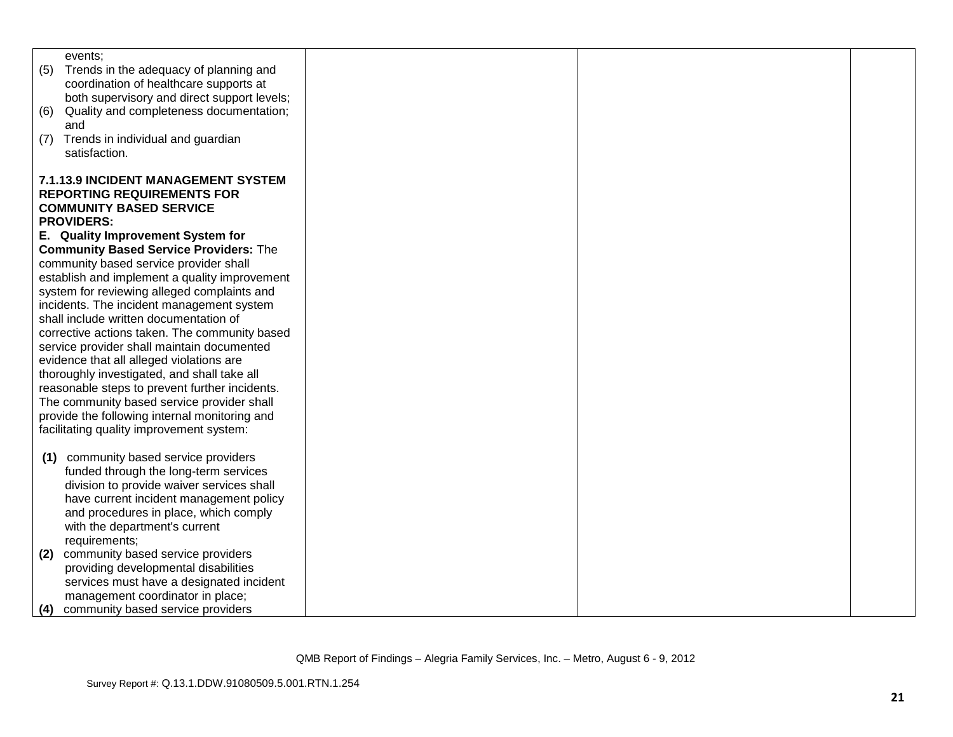| events:<br>(5)<br>Trends in the adequacy of planning and |
|----------------------------------------------------------|
|                                                          |
|                                                          |
| coordination of healthcare supports at                   |
| both supervisory and direct support levels;              |
| Quality and completeness documentation;<br>(6)           |
| and                                                      |
| Trends in individual and guardian<br>(7)                 |
| satisfaction.                                            |
|                                                          |
| <b>7.1.13.9 INCIDENT MANAGEMENT SYSTEM</b>               |
| <b>REPORTING REQUIREMENTS FOR</b>                        |
| <b>COMMUNITY BASED SERVICE</b>                           |
| <b>PROVIDERS:</b>                                        |
| E. Quality Improvement System for                        |
| <b>Community Based Service Providers: The</b>            |
| community based service provider shall                   |
| establish and implement a quality improvement            |
| system for reviewing alleged complaints and              |
| incidents. The incident management system                |
| shall include written documentation of                   |
| corrective actions taken. The community based            |
| service provider shall maintain documented               |
| evidence that all alleged violations are                 |
| thoroughly investigated, and shall take all              |
| reasonable steps to prevent further incidents.           |
| The community based service provider shall               |
| provide the following internal monitoring and            |
| facilitating quality improvement system:                 |
|                                                          |
| community based service providers<br>(1)                 |
| funded through the long-term services                    |
| division to provide waiver services shall                |
| have current incident management policy                  |
| and procedures in place, which comply                    |
| with the department's current                            |
| requirements;                                            |
| community based service providers<br>(2)                 |
| providing developmental disabilities                     |
| services must have a designated incident                 |
| management coordinator in place;                         |
| community based service providers<br>(4)                 |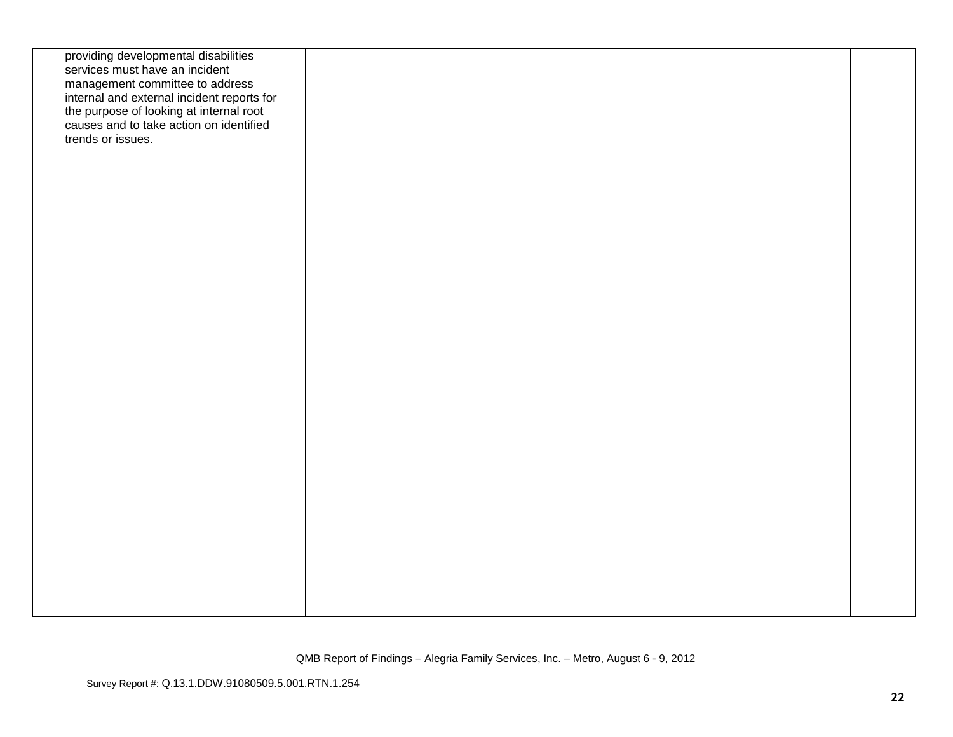| providing developmental disabilities<br>services must have an incident<br>management committee to address<br>internal and external incident reports for<br>the purpose of looking at internal root<br>causes and to take action on identified<br>trends or issues. |  |  |
|--------------------------------------------------------------------------------------------------------------------------------------------------------------------------------------------------------------------------------------------------------------------|--|--|
|                                                                                                                                                                                                                                                                    |  |  |
|                                                                                                                                                                                                                                                                    |  |  |
|                                                                                                                                                                                                                                                                    |  |  |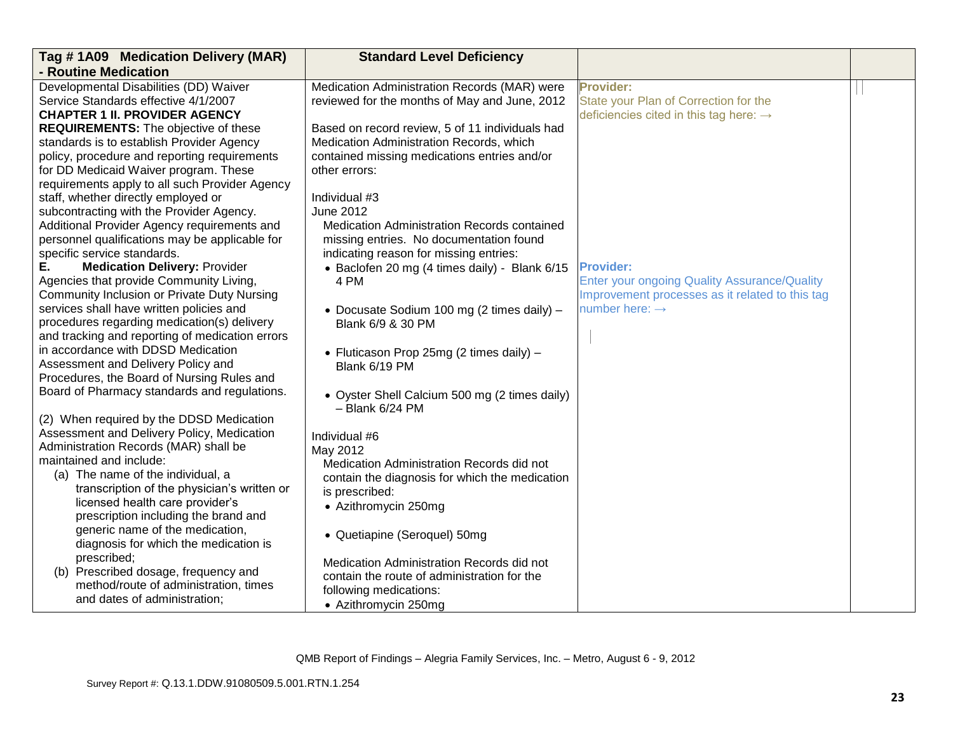| - Routine Medication<br>Medication Administration Records (MAR) were<br>Provider:                                                                      |                                        |
|--------------------------------------------------------------------------------------------------------------------------------------------------------|----------------------------------------|
|                                                                                                                                                        |                                        |
|                                                                                                                                                        | Developmental Disabilities (DD) Waiver |
| Service Standards effective 4/1/2007<br>reviewed for the months of May and June, 2012<br>State your Plan of Correction for the                         |                                        |
| <b>CHAPTER 1 II. PROVIDER AGENCY</b><br>deficiencies cited in this tag here: $\rightarrow$                                                             |                                        |
| <b>REQUIREMENTS:</b> The objective of these<br>Based on record review, 5 of 11 individuals had                                                         |                                        |
| standards is to establish Provider Agency<br>Medication Administration Records, which                                                                  |                                        |
| policy, procedure and reporting requirements<br>contained missing medications entries and/or<br>for DD Medicaid Waiver program. These<br>other errors: |                                        |
| requirements apply to all such Provider Agency                                                                                                         |                                        |
| staff, whether directly employed or<br>Individual #3                                                                                                   |                                        |
| subcontracting with the Provider Agency.<br><b>June 2012</b>                                                                                           |                                        |
| Additional Provider Agency requirements and<br>Medication Administration Records contained                                                             |                                        |
| personnel qualifications may be applicable for<br>missing entries. No documentation found                                                              |                                        |
| specific service standards.<br>indicating reason for missing entries:                                                                                  |                                        |
| <b>Medication Delivery: Provider</b><br><b>Provider:</b><br>Е.<br>• Baclofen 20 mg (4 times daily) - Blank 6/15                                        |                                        |
| Agencies that provide Community Living,<br>4 PM<br><b>Enter your ongoing Quality Assurance/Quality</b>                                                 |                                        |
| Community Inclusion or Private Duty Nursing<br>Improvement processes as it related to this tag                                                         |                                        |
| services shall have written policies and<br>number here: $\rightarrow$<br>• Docusate Sodium 100 mg (2 times daily) -                                   |                                        |
| procedures regarding medication(s) delivery<br>Blank 6/9 & 30 PM<br>and tracking and reporting of medication errors                                    |                                        |
| in accordance with DDSD Medication                                                                                                                     |                                        |
| • Fluticason Prop 25mg (2 times daily) -<br>Assessment and Delivery Policy and<br>Blank 6/19 PM                                                        |                                        |
| Procedures, the Board of Nursing Rules and                                                                                                             |                                        |
| Board of Pharmacy standards and regulations.<br>• Oyster Shell Calcium 500 mg (2 times daily)                                                          |                                        |
| $-$ Blank $6/24$ PM                                                                                                                                    |                                        |
| (2) When required by the DDSD Medication                                                                                                               |                                        |
| Assessment and Delivery Policy, Medication<br>Individual #6                                                                                            |                                        |
| Administration Records (MAR) shall be<br>May 2012                                                                                                      |                                        |
| maintained and include:<br>Medication Administration Records did not                                                                                   |                                        |
| (a) The name of the individual, a<br>contain the diagnosis for which the medication<br>transcription of the physician's written or                     |                                        |
| is prescribed:<br>licensed health care provider's                                                                                                      |                                        |
| • Azithromycin 250mg<br>prescription including the brand and                                                                                           |                                        |
| generic name of the medication,<br>• Quetiapine (Seroquel) 50mg                                                                                        |                                        |
| diagnosis for which the medication is                                                                                                                  |                                        |
| prescribed;<br>Medication Administration Records did not                                                                                               |                                        |
| (b) Prescribed dosage, frequency and<br>contain the route of administration for the                                                                    |                                        |
| method/route of administration, times<br>following medications:                                                                                        |                                        |
| and dates of administration;<br>• Azithromycin 250mg                                                                                                   |                                        |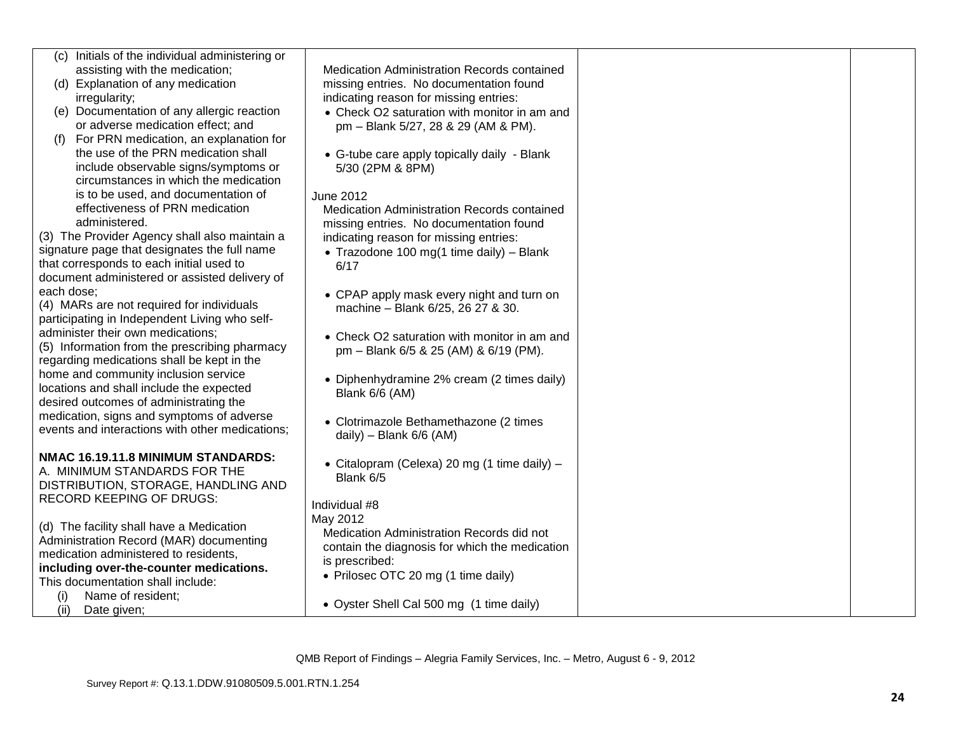| (c) Initials of the individual administering or                                  |                                                    |  |
|----------------------------------------------------------------------------------|----------------------------------------------------|--|
| assisting with the medication;                                                   | <b>Medication Administration Records contained</b> |  |
| (d) Explanation of any medication                                                | missing entries. No documentation found            |  |
| irregularity;                                                                    | indicating reason for missing entries:             |  |
| (e) Documentation of any allergic reaction                                       | • Check O2 saturation with monitor in am and       |  |
| or adverse medication effect; and                                                | pm - Blank 5/27, 28 & 29 (AM & PM).                |  |
| (f) For PRN medication, an explanation for                                       |                                                    |  |
| the use of the PRN medication shall                                              | • G-tube care apply topically daily - Blank        |  |
| include observable signs/symptoms or                                             | 5/30 (2PM & 8PM)                                   |  |
| circumstances in which the medication                                            |                                                    |  |
| is to be used, and documentation of                                              | June 2012                                          |  |
| effectiveness of PRN medication                                                  | Medication Administration Records contained        |  |
| administered.                                                                    | missing entries. No documentation found            |  |
| (3) The Provider Agency shall also maintain a                                    | indicating reason for missing entries:             |  |
| signature page that designates the full name                                     | • Trazodone 100 mg(1 time daily) - Blank           |  |
| that corresponds to each initial used to                                         | 6/17                                               |  |
| document administered or assisted delivery of                                    |                                                    |  |
| each dose:                                                                       | • CPAP apply mask every night and turn on          |  |
| (4) MARs are not required for individuals                                        | machine - Blank 6/25, 26 27 & 30.                  |  |
| participating in Independent Living who self-                                    |                                                    |  |
| administer their own medications;                                                | • Check O2 saturation with monitor in am and       |  |
| (5) Information from the prescribing pharmacy                                    | pm - Blank 6/5 & 25 (AM) & 6/19 (PM).              |  |
| regarding medications shall be kept in the                                       |                                                    |  |
| home and community inclusion service                                             | • Diphenhydramine 2% cream (2 times daily)         |  |
| locations and shall include the expected                                         | Blank 6/6 (AM)                                     |  |
| desired outcomes of administrating the                                           |                                                    |  |
| medication, signs and symptoms of adverse                                        | • Clotrimazole Bethamethazone (2 times             |  |
| events and interactions with other medications;                                  | daily) - Blank $6/6$ (AM)                          |  |
|                                                                                  |                                                    |  |
| NMAC 16.19.11.8 MINIMUM STANDARDS:                                               | • Citalopram (Celexa) 20 mg (1 time daily) -       |  |
| A. MINIMUM STANDARDS FOR THE                                                     | Blank 6/5                                          |  |
| DISTRIBUTION, STORAGE, HANDLING AND                                              |                                                    |  |
| <b>RECORD KEEPING OF DRUGS:</b>                                                  | Individual #8                                      |  |
|                                                                                  | May 2012                                           |  |
| (d) The facility shall have a Medication                                         | Medication Administration Records did not          |  |
| Administration Record (MAR) documenting                                          | contain the diagnosis for which the medication     |  |
| medication administered to residents,<br>including over-the-counter medications. | is prescribed:                                     |  |
| This documentation shall include:                                                | • Prilosec OTC 20 mg (1 time daily)                |  |
| Name of resident;                                                                |                                                    |  |
| (i)<br>Date given;<br>(ii)                                                       | • Oyster Shell Cal 500 mg (1 time daily)           |  |
|                                                                                  |                                                    |  |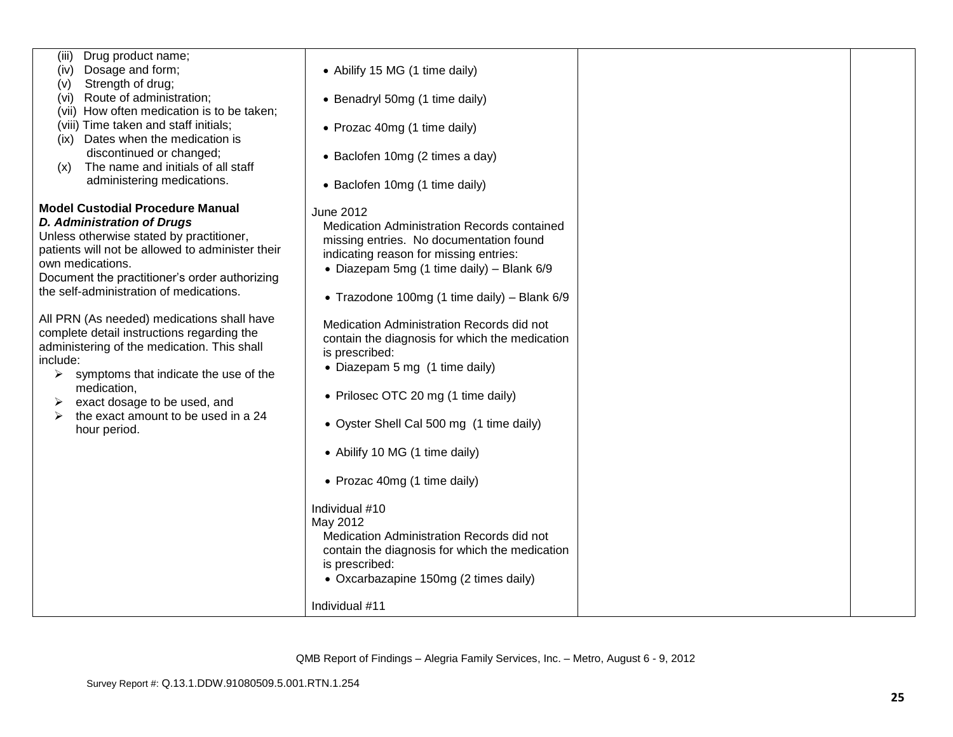| Drug product name;<br>(iii)<br>Dosage and form;  |                                                |  |
|--------------------------------------------------|------------------------------------------------|--|
| (iv)                                             | • Abilify 15 MG (1 time daily)                 |  |
| Strength of drug;<br>(V)                         |                                                |  |
| Route of administration;<br>(vi)                 | • Benadryl 50mg (1 time daily)                 |  |
| (vii) How often medication is to be taken;       |                                                |  |
| (viii) Time taken and staff initials;            | • Prozac 40mg (1 time daily)                   |  |
| Dates when the medication is<br>(ix)             |                                                |  |
| discontinued or changed;                         | • Baclofen 10mg (2 times a day)                |  |
| The name and initials of all staff<br>(x)        |                                                |  |
| administering medications.                       | • Baclofen 10mg (1 time daily)                 |  |
|                                                  |                                                |  |
| <b>Model Custodial Procedure Manual</b>          | June 2012                                      |  |
| <b>D. Administration of Drugs</b>                | Medication Administration Records contained    |  |
| Unless otherwise stated by practitioner,         | missing entries. No documentation found        |  |
| patients will not be allowed to administer their | indicating reason for missing entries:         |  |
| own medications.                                 |                                                |  |
| Document the practitioner's order authorizing    | • Diazepam 5mg (1 time daily) - Blank 6/9      |  |
| the self-administration of medications.          |                                                |  |
|                                                  | • Trazodone 100mg (1 time daily) – Blank $6/9$ |  |
| All PRN (As needed) medications shall have       |                                                |  |
| complete detail instructions regarding the       | Medication Administration Records did not      |  |
| administering of the medication. This shall      | contain the diagnosis for which the medication |  |
| include:                                         | is prescribed:                                 |  |
|                                                  | • Diazepam 5 mg (1 time daily)                 |  |
| symptoms that indicate the use of the<br>➤       |                                                |  |
| medication,                                      | • Prilosec OTC 20 mg (1 time daily)            |  |
| exact dosage to be used, and<br>➤                |                                                |  |
| the exact amount to be used in a 24<br>➤         | • Oyster Shell Cal 500 mg (1 time daily)       |  |
| hour period.                                     |                                                |  |
|                                                  | • Abilify 10 MG (1 time daily)                 |  |
|                                                  |                                                |  |
|                                                  |                                                |  |
|                                                  | • Prozac 40mg (1 time daily)                   |  |
|                                                  |                                                |  |
|                                                  | Individual #10                                 |  |
|                                                  | May 2012                                       |  |
|                                                  | Medication Administration Records did not      |  |
|                                                  | contain the diagnosis for which the medication |  |
|                                                  | is prescribed:                                 |  |
|                                                  | • Oxcarbazapine 150mg (2 times daily)          |  |
|                                                  |                                                |  |
|                                                  | Individual #11                                 |  |
|                                                  |                                                |  |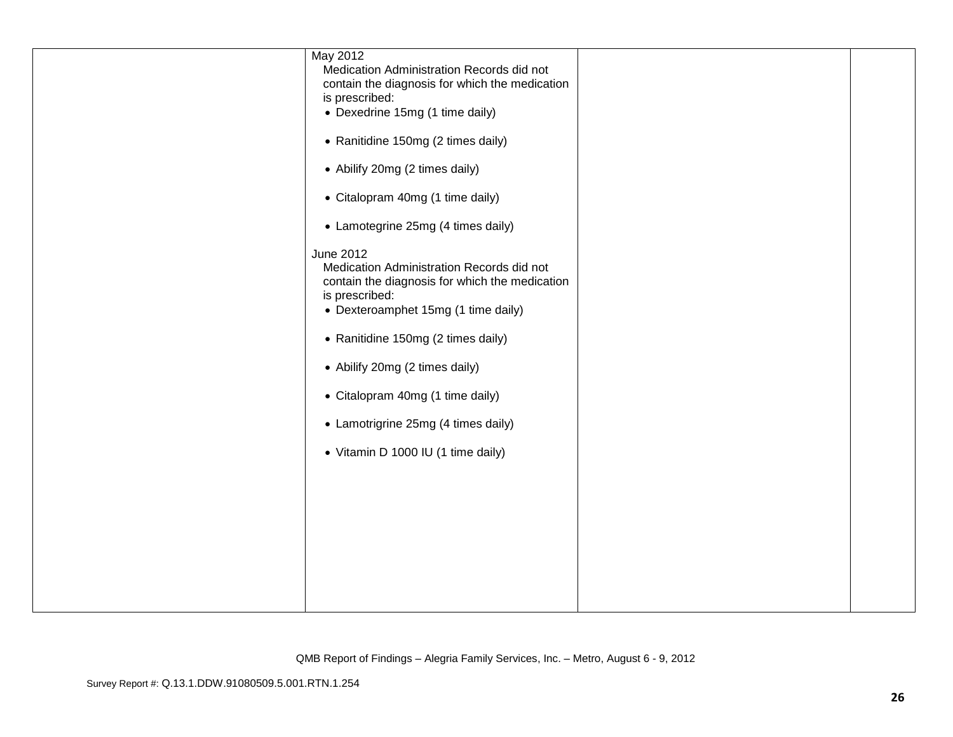| May 2012                                                         |  |
|------------------------------------------------------------------|--|
| Medication Administration Records did not                        |  |
| contain the diagnosis for which the medication<br>is prescribed: |  |
| • Dexedrine 15mg (1 time daily)                                  |  |
|                                                                  |  |
| • Ranitidine 150mg (2 times daily)                               |  |
| • Abilify 20mg (2 times daily)                                   |  |
| • Citalopram 40mg (1 time daily)                                 |  |
| • Lamotegrine 25mg (4 times daily)                               |  |
| June 2012                                                        |  |
| Medication Administration Records did not                        |  |
| contain the diagnosis for which the medication<br>is prescribed: |  |
| • Dexteroamphet 15mg (1 time daily)                              |  |
|                                                                  |  |
| • Ranitidine 150mg (2 times daily)                               |  |
| • Abilify 20mg (2 times daily)                                   |  |
| • Citalopram 40mg (1 time daily)                                 |  |
| • Lamotrigrine 25mg (4 times daily)                              |  |
| • Vitamin D 1000 IU (1 time daily)                               |  |
|                                                                  |  |
|                                                                  |  |
|                                                                  |  |
|                                                                  |  |
|                                                                  |  |
|                                                                  |  |
|                                                                  |  |
|                                                                  |  |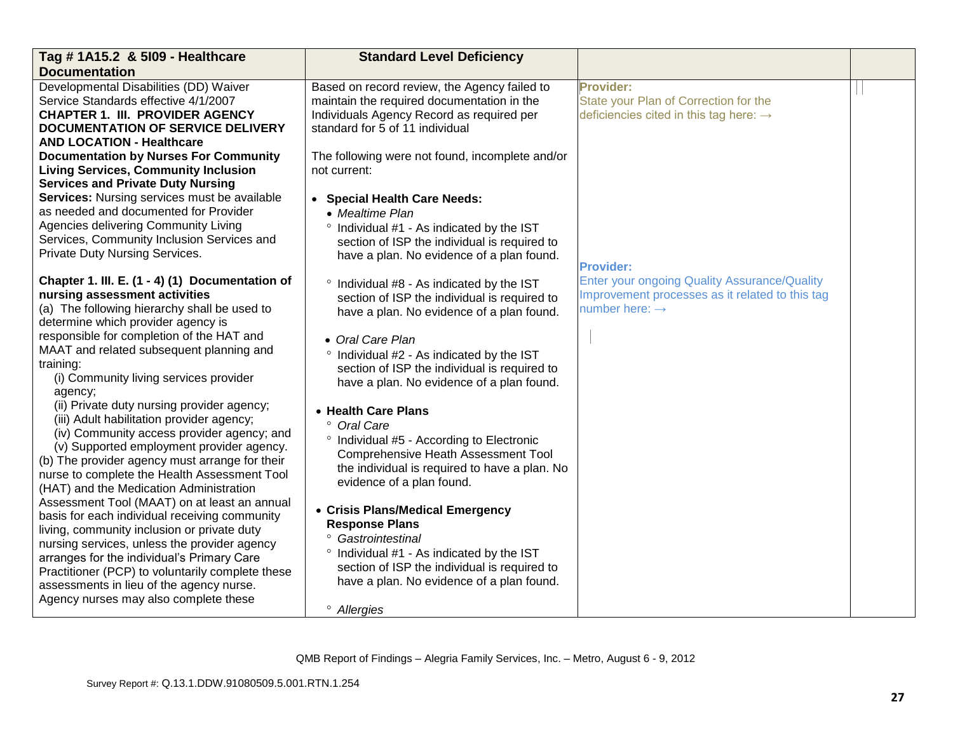| Tag # 1A15.2 & 5109 - Healthcare                                                        | <b>Standard Level Deficiency</b>                     |                                                    |  |
|-----------------------------------------------------------------------------------------|------------------------------------------------------|----------------------------------------------------|--|
| <b>Documentation</b>                                                                    |                                                      |                                                    |  |
| Developmental Disabilities (DD) Waiver                                                  | Based on record review, the Agency failed to         | <b>Provider:</b>                                   |  |
| Service Standards effective 4/1/2007                                                    | maintain the required documentation in the           | State your Plan of Correction for the              |  |
| <b>CHAPTER 1. III. PROVIDER AGENCY</b>                                                  | Individuals Agency Record as required per            | deficiencies cited in this tag here: $\rightarrow$ |  |
| <b>DOCUMENTATION OF SERVICE DELIVERY</b>                                                | standard for 5 of 11 individual                      |                                                    |  |
| <b>AND LOCATION - Healthcare</b>                                                        |                                                      |                                                    |  |
| <b>Documentation by Nurses For Community</b>                                            | The following were not found, incomplete and/or      |                                                    |  |
| <b>Living Services, Community Inclusion</b>                                             | not current:                                         |                                                    |  |
| <b>Services and Private Duty Nursing</b>                                                |                                                      |                                                    |  |
| Services: Nursing services must be available                                            | • Special Health Care Needs:                         |                                                    |  |
| as needed and documented for Provider                                                   | • Mealtime Plan                                      |                                                    |  |
| Agencies delivering Community Living                                                    | ° Individual #1 - As indicated by the IST            |                                                    |  |
| Services, Community Inclusion Services and                                              | section of ISP the individual is required to         |                                                    |  |
| Private Duty Nursing Services.                                                          | have a plan. No evidence of a plan found.            |                                                    |  |
|                                                                                         |                                                      | <b>Provider:</b>                                   |  |
| Chapter 1. III. E. (1 - 4) (1) Documentation of                                         | ° Individual #8 - As indicated by the IST            | Enter your ongoing Quality Assurance/Quality       |  |
| nursing assessment activities                                                           | section of ISP the individual is required to         | Improvement processes as it related to this tag    |  |
| (a) The following hierarchy shall be used to                                            | have a plan. No evidence of a plan found.            | number here: $\rightarrow$                         |  |
| determine which provider agency is                                                      |                                                      |                                                    |  |
| responsible for completion of the HAT and                                               | • Oral Care Plan                                     |                                                    |  |
| MAAT and related subsequent planning and                                                | ° Individual #2 - As indicated by the IST            |                                                    |  |
| training:                                                                               | section of ISP the individual is required to         |                                                    |  |
| (i) Community living services provider                                                  | have a plan. No evidence of a plan found.            |                                                    |  |
| agency;                                                                                 |                                                      |                                                    |  |
| (ii) Private duty nursing provider agency;<br>(iii) Adult habilitation provider agency; | • Health Care Plans                                  |                                                    |  |
| (iv) Community access provider agency; and                                              | ° Oral Care                                          |                                                    |  |
| (v) Supported employment provider agency.                                               | <sup>o</sup> Individual #5 - According to Electronic |                                                    |  |
| (b) The provider agency must arrange for their                                          | <b>Comprehensive Heath Assessment Tool</b>           |                                                    |  |
| nurse to complete the Health Assessment Tool                                            | the individual is required to have a plan. No        |                                                    |  |
| (HAT) and the Medication Administration                                                 | evidence of a plan found.                            |                                                    |  |
| Assessment Tool (MAAT) on at least an annual                                            |                                                      |                                                    |  |
| basis for each individual receiving community                                           | • Crisis Plans/Medical Emergency                     |                                                    |  |
| living, community inclusion or private duty                                             | <b>Response Plans</b>                                |                                                    |  |
| nursing services, unless the provider agency                                            | <sup>o</sup> Gastrointestinal                        |                                                    |  |
| arranges for the individual's Primary Care                                              | ° Individual #1 - As indicated by the IST            |                                                    |  |
| Practitioner (PCP) to voluntarily complete these                                        | section of ISP the individual is required to         |                                                    |  |
| assessments in lieu of the agency nurse.                                                | have a plan. No evidence of a plan found.            |                                                    |  |
| Agency nurses may also complete these                                                   |                                                      |                                                    |  |
|                                                                                         | <sup>o</sup> Allergies                               |                                                    |  |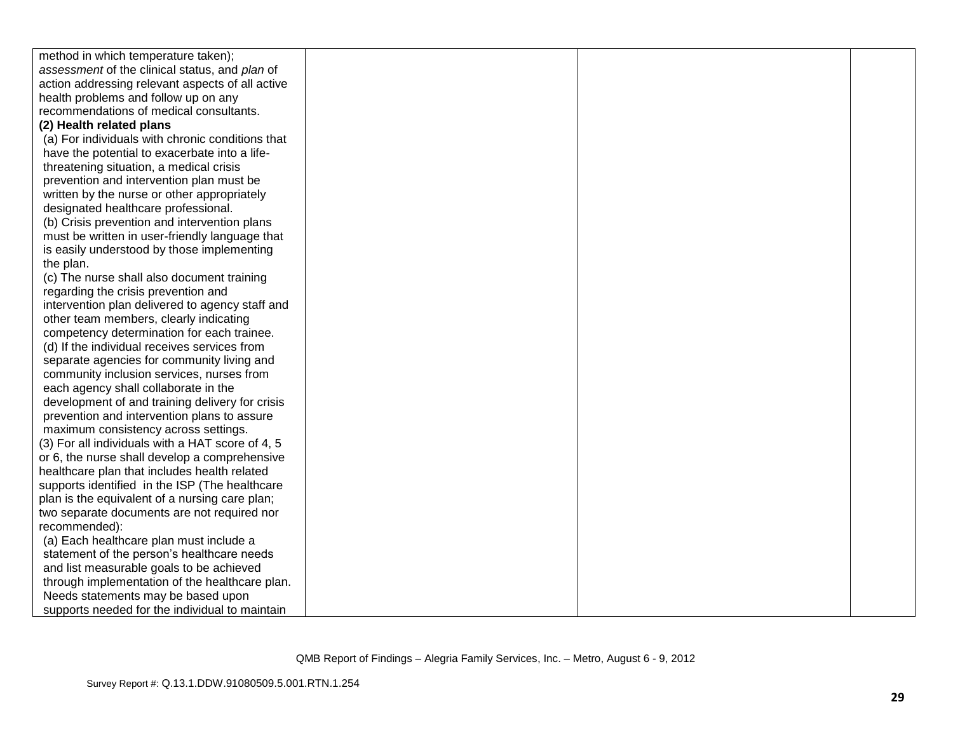| method in which temperature taken);              |  |  |
|--------------------------------------------------|--|--|
| assessment of the clinical status, and plan of   |  |  |
| action addressing relevant aspects of all active |  |  |
| health problems and follow up on any             |  |  |
| recommendations of medical consultants.          |  |  |
| (2) Health related plans                         |  |  |
| (a) For individuals with chronic conditions that |  |  |
| have the potential to exacerbate into a life-    |  |  |
| threatening situation, a medical crisis          |  |  |
| prevention and intervention plan must be         |  |  |
| written by the nurse or other appropriately      |  |  |
| designated healthcare professional.              |  |  |
| (b) Crisis prevention and intervention plans     |  |  |
| must be written in user-friendly language that   |  |  |
| is easily understood by those implementing       |  |  |
| the plan.                                        |  |  |
| (c) The nurse shall also document training       |  |  |
| regarding the crisis prevention and              |  |  |
| intervention plan delivered to agency staff and  |  |  |
| other team members, clearly indicating           |  |  |
| competency determination for each trainee.       |  |  |
| (d) If the individual receives services from     |  |  |
| separate agencies for community living and       |  |  |
| community inclusion services, nurses from        |  |  |
| each agency shall collaborate in the             |  |  |
| development of and training delivery for crisis  |  |  |
| prevention and intervention plans to assure      |  |  |
| maximum consistency across settings.             |  |  |
| (3) For all individuals with a HAT score of 4, 5 |  |  |
| or 6, the nurse shall develop a comprehensive    |  |  |
| healthcare plan that includes health related     |  |  |
| supports identified in the ISP (The healthcare   |  |  |
| plan is the equivalent of a nursing care plan;   |  |  |
| two separate documents are not required nor      |  |  |
| recommended):                                    |  |  |
| (a) Each healthcare plan must include a          |  |  |
| statement of the person's healthcare needs       |  |  |
| and list measurable goals to be achieved         |  |  |
| through implementation of the healthcare plan.   |  |  |
| Needs statements may be based upon               |  |  |
| supports needed for the individual to maintain   |  |  |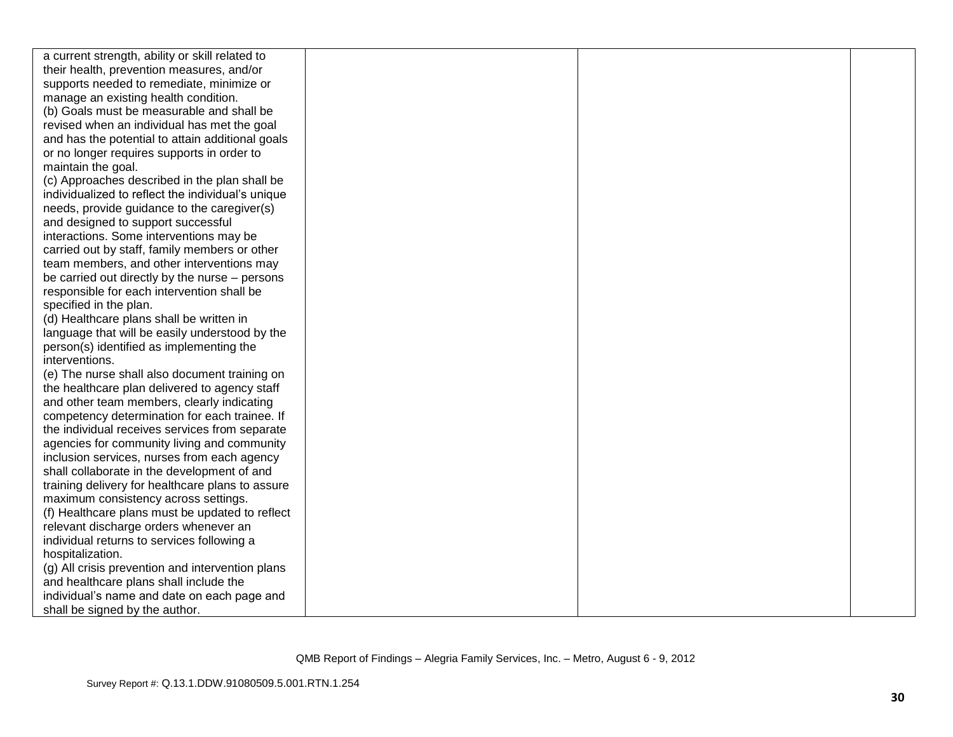| a current strength, ability or skill related to   |  |  |
|---------------------------------------------------|--|--|
| their health, prevention measures, and/or         |  |  |
| supports needed to remediate, minimize or         |  |  |
| manage an existing health condition.              |  |  |
| (b) Goals must be measurable and shall be         |  |  |
| revised when an individual has met the goal       |  |  |
| and has the potential to attain additional goals  |  |  |
| or no longer requires supports in order to        |  |  |
| maintain the goal.                                |  |  |
| (c) Approaches described in the plan shall be     |  |  |
| individualized to reflect the individual's unique |  |  |
| needs, provide guidance to the caregiver(s)       |  |  |
| and designed to support successful                |  |  |
| interactions. Some interventions may be           |  |  |
| carried out by staff, family members or other     |  |  |
| team members, and other interventions may         |  |  |
| be carried out directly by the nurse – persons    |  |  |
| responsible for each intervention shall be        |  |  |
| specified in the plan.                            |  |  |
| (d) Healthcare plans shall be written in          |  |  |
| language that will be easily understood by the    |  |  |
| person(s) identified as implementing the          |  |  |
| interventions.                                    |  |  |
| (e) The nurse shall also document training on     |  |  |
| the healthcare plan delivered to agency staff     |  |  |
| and other team members, clearly indicating        |  |  |
| competency determination for each trainee. If     |  |  |
| the individual receives services from separate    |  |  |
| agencies for community living and community       |  |  |
| inclusion services, nurses from each agency       |  |  |
| shall collaborate in the development of and       |  |  |
| training delivery for healthcare plans to assure  |  |  |
| maximum consistency across settings.              |  |  |
| (f) Healthcare plans must be updated to reflect   |  |  |
| relevant discharge orders whenever an             |  |  |
| individual returns to services following a        |  |  |
| hospitalization.                                  |  |  |
| (g) All crisis prevention and intervention plans  |  |  |
| and healthcare plans shall include the            |  |  |
| individual's name and date on each page and       |  |  |
| shall be signed by the author.                    |  |  |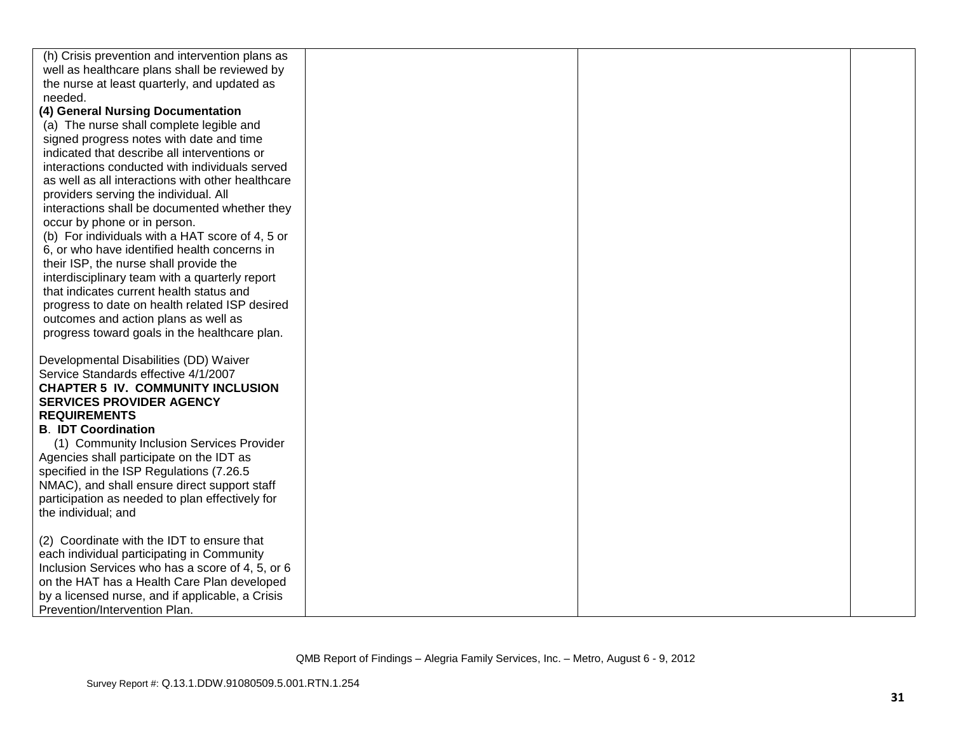| (h) Crisis prevention and intervention plans as                        |  |
|------------------------------------------------------------------------|--|
| well as healthcare plans shall be reviewed by                          |  |
| the nurse at least quarterly, and updated as                           |  |
| needed.                                                                |  |
| (4) General Nursing Documentation                                      |  |
| (a) The nurse shall complete legible and                               |  |
| signed progress notes with date and time                               |  |
| indicated that describe all interventions or                           |  |
| interactions conducted with individuals served                         |  |
| as well as all interactions with other healthcare                      |  |
| providers serving the individual. All                                  |  |
| interactions shall be documented whether they                          |  |
| occur by phone or in person.                                           |  |
| (b) For individuals with a HAT score of 4, 5 or                        |  |
| 6, or who have identified health concerns in                           |  |
| their ISP, the nurse shall provide the                                 |  |
| interdisciplinary team with a quarterly report                         |  |
| that indicates current health status and                               |  |
| progress to date on health related ISP desired                         |  |
| outcomes and action plans as well as                                   |  |
| progress toward goals in the healthcare plan.                          |  |
|                                                                        |  |
| Developmental Disabilities (DD) Waiver                                 |  |
| Service Standards effective 4/1/2007                                   |  |
| <b>CHAPTER 5 IV. COMMUNITY INCLUSION</b>                               |  |
| <b>SERVICES PROVIDER AGENCY</b>                                        |  |
| <b>REQUIREMENTS</b>                                                    |  |
| <b>B. IDT Coordination</b>                                             |  |
| (1) Community Inclusion Services Provider                              |  |
| Agencies shall participate on the IDT as                               |  |
| specified in the ISP Regulations (7.26.5                               |  |
| NMAC), and shall ensure direct support staff                           |  |
| participation as needed to plan effectively for<br>the individual; and |  |
|                                                                        |  |
| (2) Coordinate with the IDT to ensure that                             |  |
| each individual participating in Community                             |  |
| Inclusion Services who has a score of 4, 5, or 6                       |  |
| on the HAT has a Health Care Plan developed                            |  |
| by a licensed nurse, and if applicable, a Crisis                       |  |
| Prevention/Intervention Plan.                                          |  |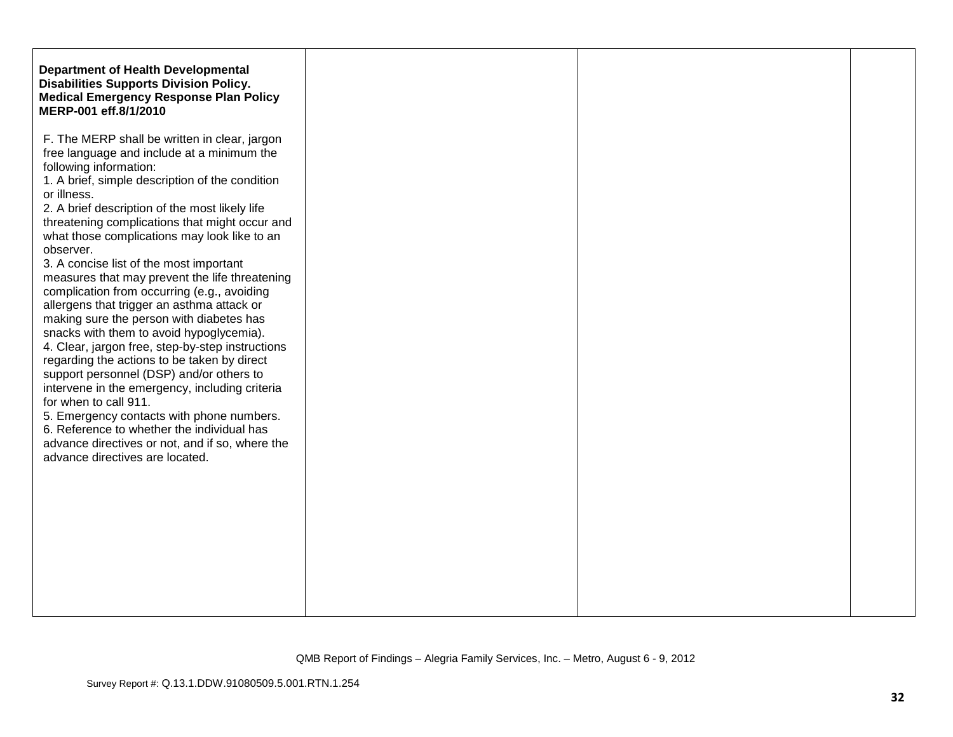| <b>Department of Health Developmental</b><br><b>Disabilities Supports Division Policy.</b><br><b>Medical Emergency Response Plan Policy</b><br>MERP-001 eff.8/1/2010                                                                                                                                                                                                                                                                                                                                                                                                                                                                                                                                                                                                                                                                                                                                                                                                                                                      |  |
|---------------------------------------------------------------------------------------------------------------------------------------------------------------------------------------------------------------------------------------------------------------------------------------------------------------------------------------------------------------------------------------------------------------------------------------------------------------------------------------------------------------------------------------------------------------------------------------------------------------------------------------------------------------------------------------------------------------------------------------------------------------------------------------------------------------------------------------------------------------------------------------------------------------------------------------------------------------------------------------------------------------------------|--|
| F. The MERP shall be written in clear, jargon<br>free language and include at a minimum the<br>following information:<br>1. A brief, simple description of the condition<br>2. A brief description of the most likely life<br>threatening complications that might occur and<br>what those complications may look like to an<br>3. A concise list of the most important<br>measures that may prevent the life threatening<br>complication from occurring (e.g., avoiding<br>allergens that trigger an asthma attack or<br>making sure the person with diabetes has<br>snacks with them to avoid hypoglycemia).<br>4. Clear, jargon free, step-by-step instructions<br>regarding the actions to be taken by direct<br>support personnel (DSP) and/or others to<br>intervene in the emergency, including criteria<br>for when to call 911.<br>5. Emergency contacts with phone numbers.<br>6. Reference to whether the individual has<br>advance directives or not, and if so, where the<br>advance directives are located. |  |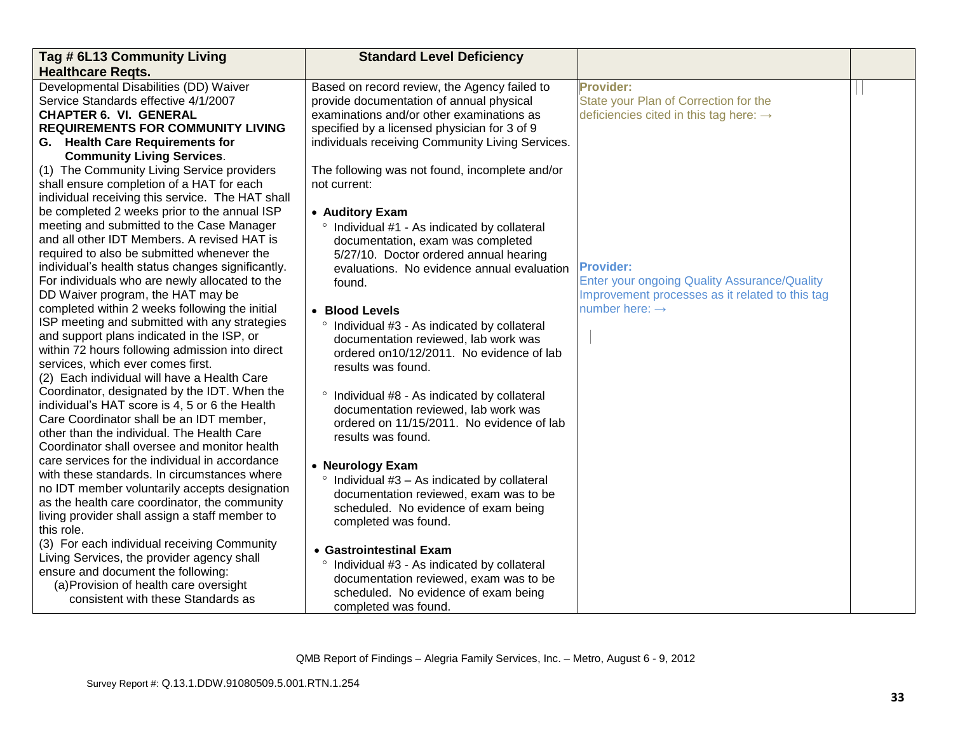| Tag # 6L13 Community Living                                                                    | <b>Standard Level Deficiency</b>                      |                                                     |  |
|------------------------------------------------------------------------------------------------|-------------------------------------------------------|-----------------------------------------------------|--|
| <b>Healthcare Regts.</b>                                                                       |                                                       |                                                     |  |
| Developmental Disabilities (DD) Waiver                                                         | Based on record review, the Agency failed to          | <b>Provider:</b>                                    |  |
| Service Standards effective 4/1/2007                                                           | provide documentation of annual physical              | State your Plan of Correction for the               |  |
| <b>CHAPTER 6. VI. GENERAL</b>                                                                  | examinations and/or other examinations as             | deficiencies cited in this tag here: $\rightarrow$  |  |
| <b>REQUIREMENTS FOR COMMUNITY LIVING</b>                                                       | specified by a licensed physician for 3 of 9          |                                                     |  |
| G. Health Care Requirements for                                                                | individuals receiving Community Living Services.      |                                                     |  |
| <b>Community Living Services.</b>                                                              |                                                       |                                                     |  |
| (1) The Community Living Service providers                                                     | The following was not found, incomplete and/or        |                                                     |  |
| shall ensure completion of a HAT for each                                                      | not current:                                          |                                                     |  |
| individual receiving this service. The HAT shall                                               |                                                       |                                                     |  |
| be completed 2 weeks prior to the annual ISP                                                   | • Auditory Exam                                       |                                                     |  |
| meeting and submitted to the Case Manager                                                      | ° Individual #1 - As indicated by collateral          |                                                     |  |
| and all other IDT Members. A revised HAT is                                                    | documentation, exam was completed                     |                                                     |  |
| required to also be submitted whenever the                                                     | 5/27/10. Doctor ordered annual hearing                |                                                     |  |
| individual's health status changes significantly.                                              | evaluations. No evidence annual evaluation            | <b>Provider:</b>                                    |  |
| For individuals who are newly allocated to the                                                 | found.                                                | <b>Enter your ongoing Quality Assurance/Quality</b> |  |
| DD Waiver program, the HAT may be                                                              |                                                       | Improvement processes as it related to this tag     |  |
| completed within 2 weeks following the initial                                                 | • Blood Levels                                        | number here: $\rightarrow$                          |  |
| ISP meeting and submitted with any strategies                                                  | ° Individual #3 - As indicated by collateral          |                                                     |  |
| and support plans indicated in the ISP, or                                                     | documentation reviewed, lab work was                  |                                                     |  |
| within 72 hours following admission into direct                                                | ordered on10/12/2011. No evidence of lab              |                                                     |  |
| services, which ever comes first.                                                              | results was found.                                    |                                                     |  |
| (2) Each individual will have a Health Care                                                    |                                                       |                                                     |  |
| Coordinator, designated by the IDT. When the                                                   | ° Individual #8 - As indicated by collateral          |                                                     |  |
| individual's HAT score is 4, 5 or 6 the Health                                                 | documentation reviewed, lab work was                  |                                                     |  |
| Care Coordinator shall be an IDT member,                                                       | ordered on 11/15/2011. No evidence of lab             |                                                     |  |
| other than the individual. The Health Care                                                     | results was found.                                    |                                                     |  |
| Coordinator shall oversee and monitor health                                                   |                                                       |                                                     |  |
| care services for the individual in accordance                                                 | • Neurology Exam                                      |                                                     |  |
| with these standards. In circumstances where                                                   | ° Individual #3 - As indicated by collateral          |                                                     |  |
| no IDT member voluntarily accepts designation<br>as the health care coordinator, the community | documentation reviewed, exam was to be                |                                                     |  |
|                                                                                                | scheduled. No evidence of exam being                  |                                                     |  |
| living provider shall assign a staff member to                                                 | completed was found.                                  |                                                     |  |
| this role.<br>(3) For each individual receiving Community                                      |                                                       |                                                     |  |
| Living Services, the provider agency shall                                                     | • Gastrointestinal Exam                               |                                                     |  |
| ensure and document the following:                                                             | Individual #3 - As indicated by collateral<br>$\circ$ |                                                     |  |
| (a) Provision of health care oversight                                                         | documentation reviewed, exam was to be                |                                                     |  |
| consistent with these Standards as                                                             | scheduled. No evidence of exam being                  |                                                     |  |
|                                                                                                | completed was found.                                  |                                                     |  |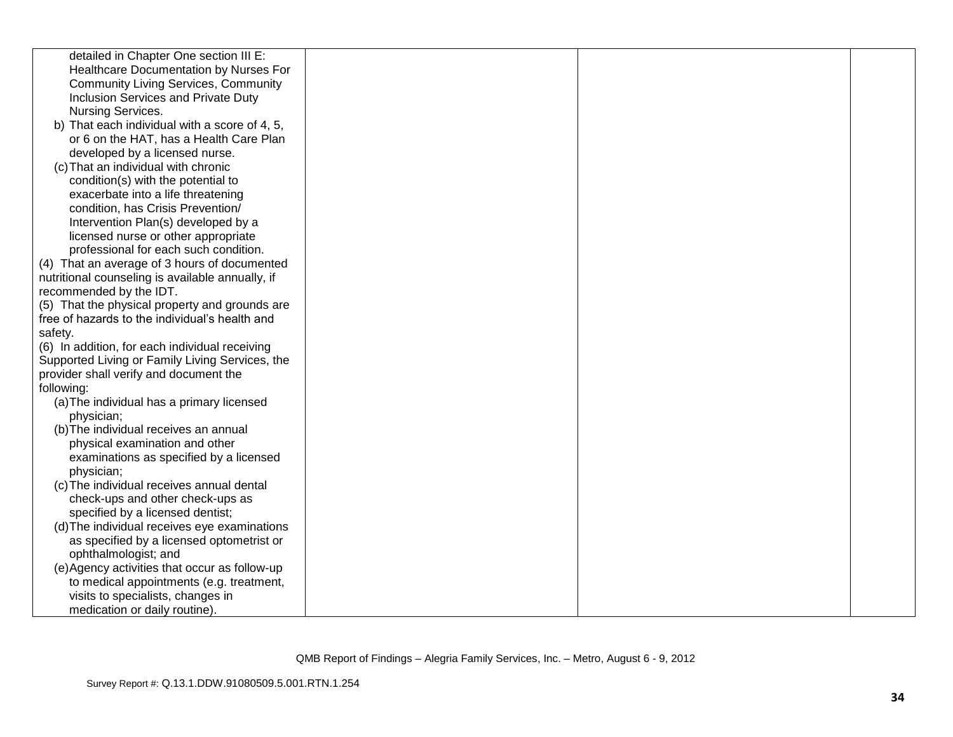| detailed in Chapter One section III E:           |  |  |
|--------------------------------------------------|--|--|
| Healthcare Documentation by Nurses For           |  |  |
| <b>Community Living Services, Community</b>      |  |  |
| Inclusion Services and Private Duty              |  |  |
| Nursing Services.                                |  |  |
| b) That each individual with a score of 4, 5,    |  |  |
| or 6 on the HAT, has a Health Care Plan          |  |  |
| developed by a licensed nurse.                   |  |  |
| (c) That an individual with chronic              |  |  |
| condition(s) with the potential to               |  |  |
| exacerbate into a life threatening               |  |  |
| condition, has Crisis Prevention/                |  |  |
| Intervention Plan(s) developed by a              |  |  |
| licensed nurse or other appropriate              |  |  |
| professional for each such condition.            |  |  |
| (4) That an average of 3 hours of documented     |  |  |
| nutritional counseling is available annually, if |  |  |
| recommended by the IDT.                          |  |  |
| (5) That the physical property and grounds are   |  |  |
| free of hazards to the individual's health and   |  |  |
| safety.                                          |  |  |
| (6) In addition, for each individual receiving   |  |  |
| Supported Living or Family Living Services, the  |  |  |
| provider shall verify and document the           |  |  |
| following:                                       |  |  |
| (a) The individual has a primary licensed        |  |  |
| physician;                                       |  |  |
| (b) The individual receives an annual            |  |  |
| physical examination and other                   |  |  |
| examinations as specified by a licensed          |  |  |
| physician;                                       |  |  |
| (c) The individual receives annual dental        |  |  |
| check-ups and other check-ups as                 |  |  |
| specified by a licensed dentist;                 |  |  |
| (d) The individual receives eye examinations     |  |  |
| as specified by a licensed optometrist or        |  |  |
| ophthalmologist; and                             |  |  |
| (e) Agency activities that occur as follow-up    |  |  |
| to medical appointments (e.g. treatment,         |  |  |
| visits to specialists, changes in                |  |  |
| medication or daily routine).                    |  |  |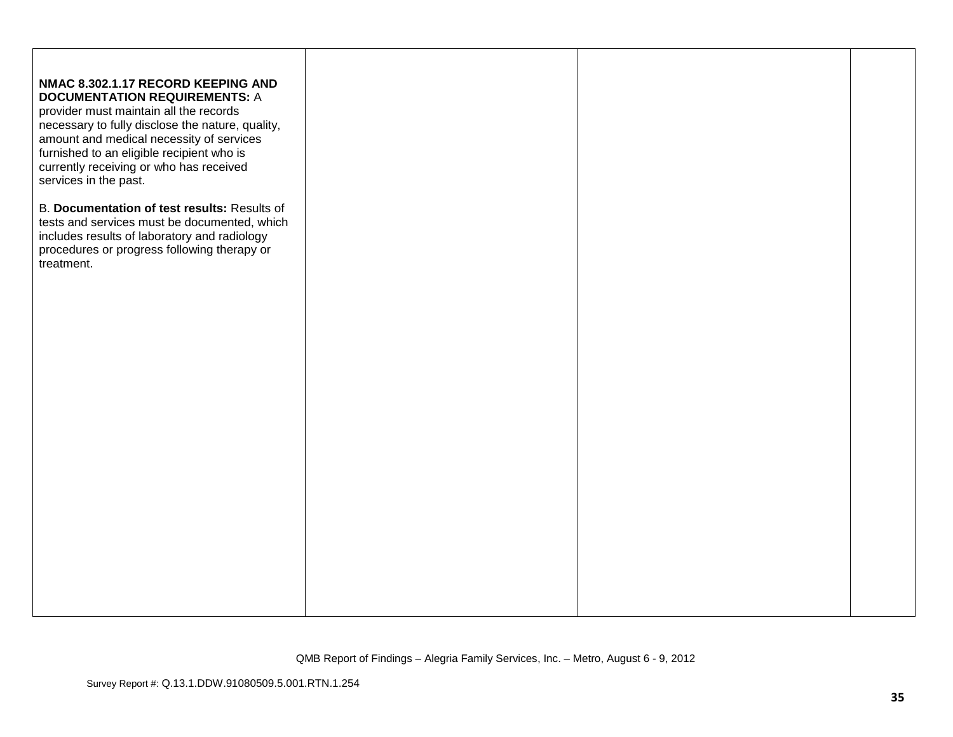| NMAC 8.302.1.17 RECORD KEEPING AND<br><b>DOCUMENTATION REQUIREMENTS: A</b><br>provider must maintain all the records<br>necessary to fully disclose the nature, quality,<br>amount and medical necessity of services<br>furnished to an eligible recipient who is<br>currently receiving or who has received<br>services in the past. |  |  |
|---------------------------------------------------------------------------------------------------------------------------------------------------------------------------------------------------------------------------------------------------------------------------------------------------------------------------------------|--|--|
| B. Documentation of test results: Results of<br>tests and services must be documented, which<br>includes results of laboratory and radiology<br>procedures or progress following therapy or<br>treatment.                                                                                                                             |  |  |
|                                                                                                                                                                                                                                                                                                                                       |  |  |
|                                                                                                                                                                                                                                                                                                                                       |  |  |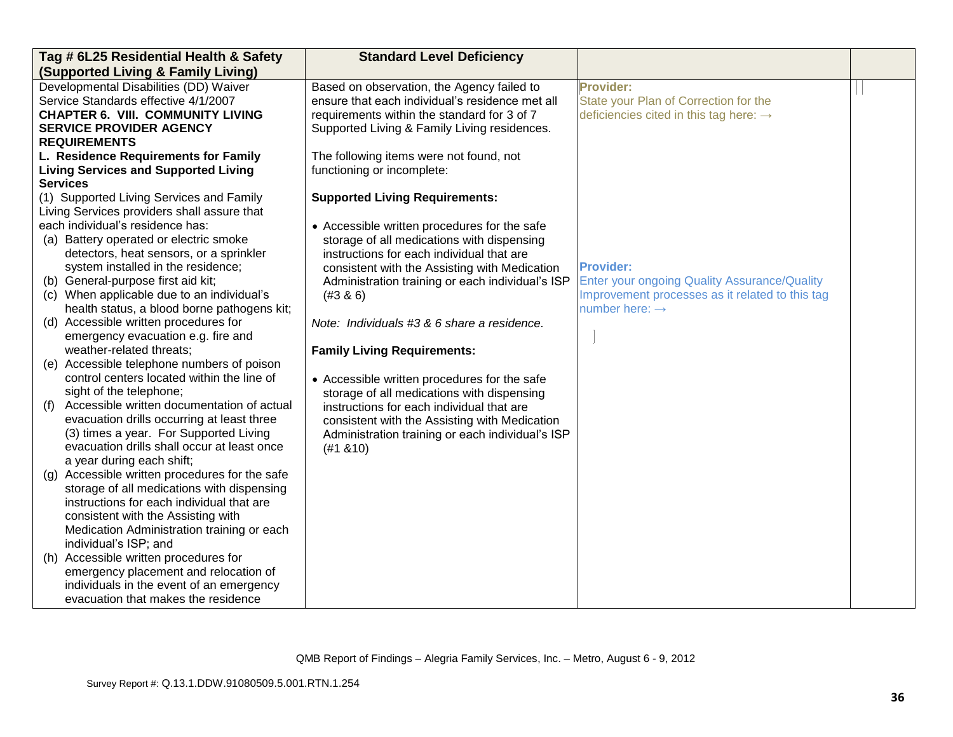| Tag # 6L25 Residential Health & Safety                                                       | <b>Standard Level Deficiency</b>                 |                                                    |  |
|----------------------------------------------------------------------------------------------|--------------------------------------------------|----------------------------------------------------|--|
| (Supported Living & Family Living)                                                           |                                                  |                                                    |  |
| Developmental Disabilities (DD) Waiver                                                       | Based on observation, the Agency failed to       | <b>Provider:</b>                                   |  |
| Service Standards effective 4/1/2007                                                         | ensure that each individual's residence met all  | State your Plan of Correction for the              |  |
| <b>CHAPTER 6. VIII. COMMUNITY LIVING</b>                                                     | requirements within the standard for 3 of 7      | deficiencies cited in this tag here: $\rightarrow$ |  |
| <b>SERVICE PROVIDER AGENCY</b>                                                               | Supported Living & Family Living residences.     |                                                    |  |
| <b>REQUIREMENTS</b>                                                                          |                                                  |                                                    |  |
| L. Residence Requirements for Family                                                         | The following items were not found, not          |                                                    |  |
| <b>Living Services and Supported Living</b>                                                  | functioning or incomplete:                       |                                                    |  |
| <b>Services</b>                                                                              |                                                  |                                                    |  |
| (1) Supported Living Services and Family                                                     | <b>Supported Living Requirements:</b>            |                                                    |  |
| Living Services providers shall assure that                                                  |                                                  |                                                    |  |
| each individual's residence has:                                                             | • Accessible written procedures for the safe     |                                                    |  |
| (a) Battery operated or electric smoke                                                       | storage of all medications with dispensing       |                                                    |  |
| detectors, heat sensors, or a sprinkler                                                      | instructions for each individual that are        |                                                    |  |
| system installed in the residence;                                                           | consistent with the Assisting with Medication    | <b>Provider:</b>                                   |  |
| (b) General-purpose first aid kit;                                                           | Administration training or each individual's ISP | Enter your ongoing Quality Assurance/Quality       |  |
| (c) When applicable due to an individual's                                                   | (#3 & 6)                                         | Improvement processes as it related to this tag    |  |
| health status, a blood borne pathogens kit;                                                  |                                                  | number here: $\rightarrow$                         |  |
| (d) Accessible written procedures for                                                        | Note: Individuals #3 & 6 share a residence.      |                                                    |  |
| emergency evacuation e.g. fire and                                                           |                                                  |                                                    |  |
| weather-related threats;                                                                     | <b>Family Living Requirements:</b>               |                                                    |  |
| (e) Accessible telephone numbers of poison                                                   |                                                  |                                                    |  |
| control centers located within the line of                                                   | • Accessible written procedures for the safe     |                                                    |  |
| sight of the telephone;                                                                      | storage of all medications with dispensing       |                                                    |  |
| Accessible written documentation of actual<br>(f)                                            | instructions for each individual that are        |                                                    |  |
| evacuation drills occurring at least three                                                   | consistent with the Assisting with Medication    |                                                    |  |
| (3) times a year. For Supported Living                                                       | Administration training or each individual's ISP |                                                    |  |
| evacuation drills shall occur at least once                                                  | (#1 8 10)                                        |                                                    |  |
| a year during each shift;                                                                    |                                                  |                                                    |  |
| (g) Accessible written procedures for the safe<br>storage of all medications with dispensing |                                                  |                                                    |  |
| instructions for each individual that are                                                    |                                                  |                                                    |  |
| consistent with the Assisting with                                                           |                                                  |                                                    |  |
| Medication Administration training or each                                                   |                                                  |                                                    |  |
| individual's ISP; and                                                                        |                                                  |                                                    |  |
| (h) Accessible written procedures for                                                        |                                                  |                                                    |  |
| emergency placement and relocation of                                                        |                                                  |                                                    |  |
| individuals in the event of an emergency                                                     |                                                  |                                                    |  |
| evacuation that makes the residence                                                          |                                                  |                                                    |  |
|                                                                                              |                                                  |                                                    |  |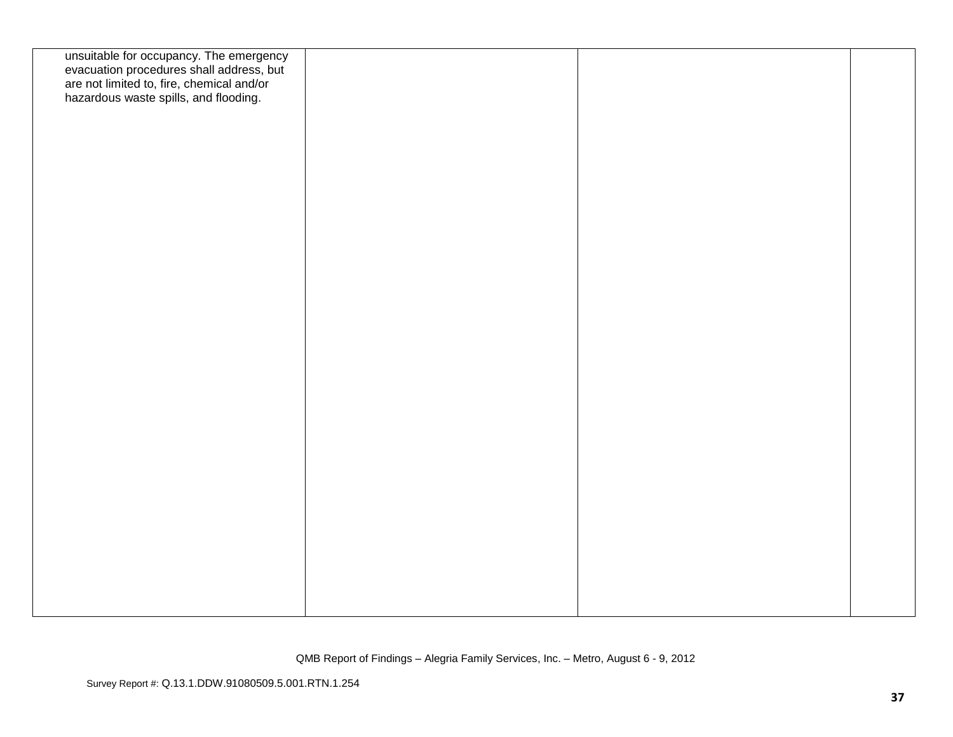| unsuitable for occupancy. The emergency<br>evacuation procedures shall address, but<br>are not limited to, fire, chemical and/or<br>hazardous waste spills, and flooding. |  |  |
|---------------------------------------------------------------------------------------------------------------------------------------------------------------------------|--|--|
|                                                                                                                                                                           |  |  |
|                                                                                                                                                                           |  |  |
|                                                                                                                                                                           |  |  |
|                                                                                                                                                                           |  |  |
|                                                                                                                                                                           |  |  |
|                                                                                                                                                                           |  |  |
|                                                                                                                                                                           |  |  |
|                                                                                                                                                                           |  |  |
|                                                                                                                                                                           |  |  |
|                                                                                                                                                                           |  |  |
|                                                                                                                                                                           |  |  |
|                                                                                                                                                                           |  |  |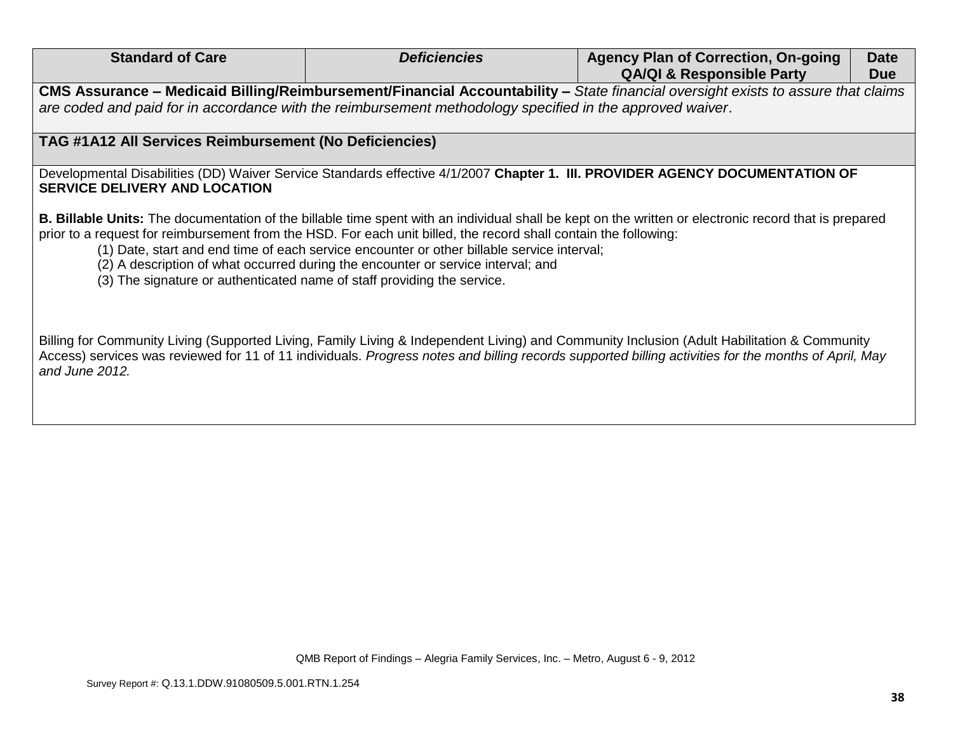| <b>Standard of Care</b>                                                                                                                                                                     | <b>Deficiencies</b>                                                                                                                                                            | <b>Agency Plan of Correction, On-going</b>                                                                                                                               | <b>Date</b> |
|---------------------------------------------------------------------------------------------------------------------------------------------------------------------------------------------|--------------------------------------------------------------------------------------------------------------------------------------------------------------------------------|--------------------------------------------------------------------------------------------------------------------------------------------------------------------------|-------------|
|                                                                                                                                                                                             |                                                                                                                                                                                | <b>QA/QI &amp; Responsible Party</b><br>CMS Assurance - Medicaid Billing/Reimbursement/Financial Accountability - State financial oversight exists to assure that claims | <b>Due</b>  |
|                                                                                                                                                                                             |                                                                                                                                                                                |                                                                                                                                                                          |             |
| are coded and paid for in accordance with the reimbursement methodology specified in the approved waiver.                                                                                   |                                                                                                                                                                                |                                                                                                                                                                          |             |
| TAG #1A12 All Services Reimbursement (No Deficiencies)                                                                                                                                      |                                                                                                                                                                                |                                                                                                                                                                          |             |
| <b>SERVICE DELIVERY AND LOCATION</b>                                                                                                                                                        |                                                                                                                                                                                | Developmental Disabilities (DD) Waiver Service Standards effective 4/1/2007 Chapter 1. III. PROVIDER AGENCY DOCUMENTATION OF                                             |             |
| prior to a request for reimbursement from the HSD. For each unit billed, the record shall contain the following:<br>(3) The signature or authenticated name of staff providing the service. | (1) Date, start and end time of each service encounter or other billable service interval;<br>(2) A description of what occurred during the encounter or service interval; and | <b>B. Billable Units:</b> The documentation of the billable time spent with an individual shall be kept on the written or electronic record that is prepared             |             |
|                                                                                                                                                                                             |                                                                                                                                                                                |                                                                                                                                                                          |             |